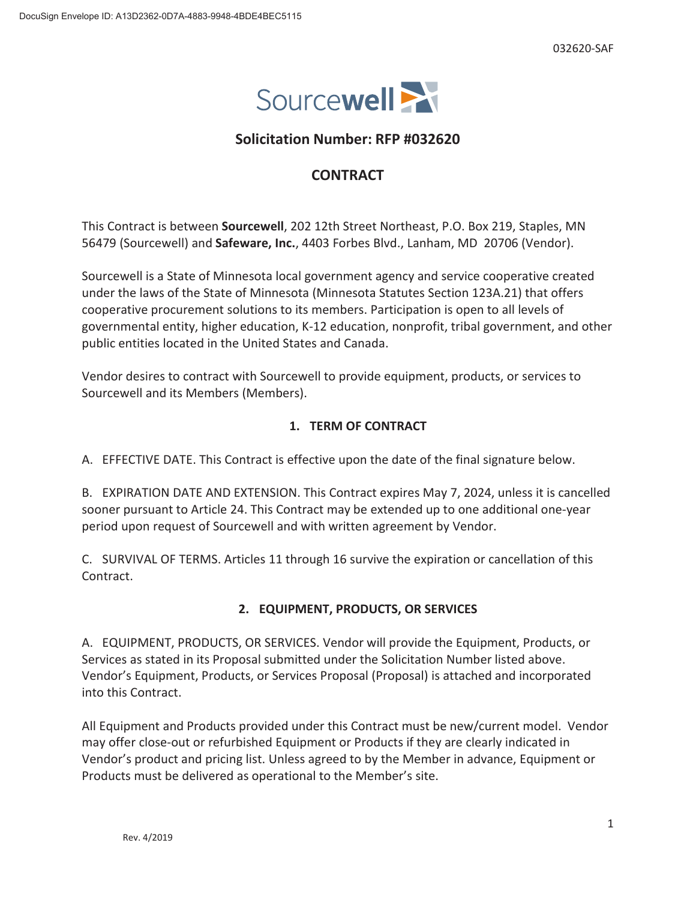

# **Solicitation Number: RFP #032620**

# **CONTRACT**

This Contract is between **Sourcewell**, 202 12th Street Northeast, P.O. Box 219, Staples, MN 56479 (Sourcewell) and **Safeware, Inc.**, 4403 Forbes Blvd., Lanham, MD 20706 (Vendor).

Sourcewell is a State of Minnesota local government agency and service cooperative created under the laws of the State of Minnesota (Minnesota Statutes Section 123A.21) that offers cooperative procurement solutions to its members. Participation is open to all levels of governmental entity, higher education, K-12 education, nonprofit, tribal government, and other public entities located in the United States and Canada.

Vendor desires to contract with Sourcewell to provide equipment, products, or services to Sourcewell and its Members (Members).

## **1. TERM OF CONTRACT**

A. EFFECTIVE DATE. This Contract is effective upon the date of the final signature below.

B. EXPIRATION DATE AND EXTENSION. This Contract expires May 7, 2024, unless it is cancelled sooner pursuant to Article 24. This Contract may be extended up to one additional one-year period upon request of Sourcewell and with written agreement by Vendor.

C. SURVIVAL OF TERMS. Articles 11 through 16 survive the expiration or cancellation of this Contract.

# **2. EQUIPMENT, PRODUCTS, OR SERVICES**

A. EQUIPMENT, PRODUCTS, OR SERVICES. Vendor will provide the Equipment, Products, or Services as stated in its Proposal submitted under the Solicitation Number listed above. Vendor's Equipment, Products, or Services Proposal (Proposal) is attached and incorporated into this Contract.

All Equipment and Products provided under this Contract must be new/current model. Vendor may offer close-out or refurbished Equipment or Products if they are clearly indicated in Vendor's product and pricing list. Unless agreed to by the Member in advance, Equipment or Products must be delivered as operational to the Member's site.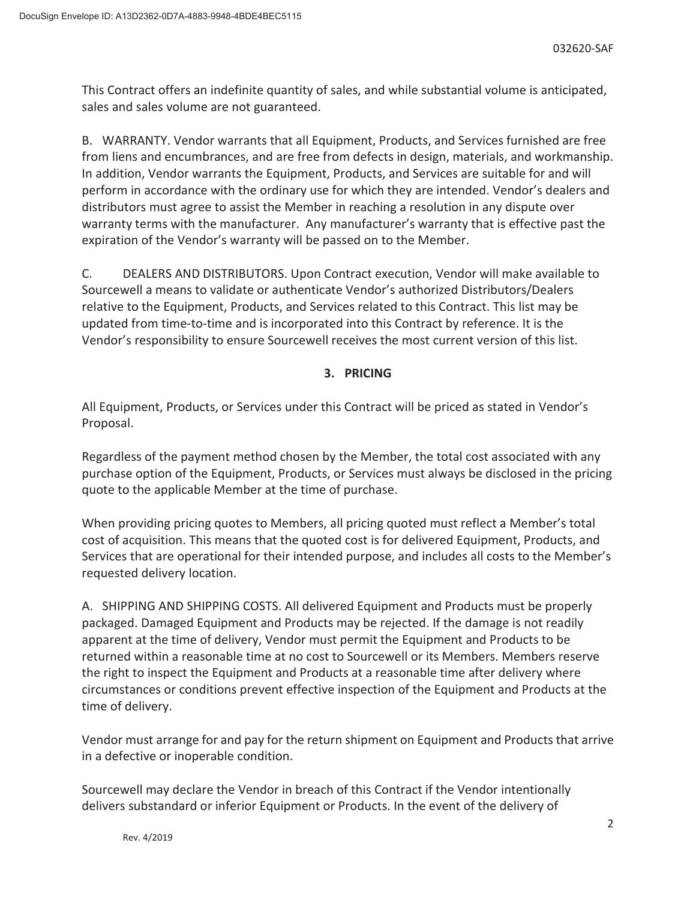This Contract offers an indefinite quantity of sales, and while substantial volume is anticipated, sales and sales volume are not guaranteed.

B. WARRANTY. Vendor warrants that all Equipment, Products, and Services furnished are free from liens and encumbrances, and are free from defects in design, materials, and workmanship. In addition, Vendor warrants the Equipment, Products, and Services are suitable for and will perform in accordance with the ordinary use for which they are intended. Vendor's dealers and distributors must agree to assist the Member in reaching a resolution in any dispute over warranty terms with the manufacturer. Any manufacturer's warranty that is effective past the expiration of the Vendor's warranty will be passed on to the Member.

C. DEALERS AND DISTRIBUTORS. Upon Contract execution, Vendor will make available to Sourcewell a means to validate or authenticate Vendor's authorized Distributors/Dealers relative to the Equipment, Products, and Services related to this Contract. This list may be updated from time-to-time and is incorporated into this Contract by reference. It is the Vendor's responsibility to ensure Sourcewell receives the most current version of this list.

## **3. PRICING**

All Equipment, Products, or Services under this Contract will be priced as stated in Vendor's Proposal.

Regardless of the payment method chosen by the Member, the total cost associated with any purchase option of the Equipment, Products, or Services must always be disclosed in the pricing quote to the applicable Member at the time of purchase.

When providing pricing quotes to Members, all pricing quoted must reflect a Member's total cost of acquisition. This means that the quoted cost is for delivered Equipment, Products, and Services that are operational for their intended purpose, and includes all costs to the Member's requested delivery location.

A. SHIPPING AND SHIPPING COSTS. All delivered Equipment and Products must be properly packaged. Damaged Equipment and Products may be rejected. If the damage is not readily apparent at the time of delivery, Vendor must permit the Equipment and Products to be returned within a reasonable time at no cost to Sourcewell or its Members. Members reserve the right to inspect the Equipment and Products at a reasonable time after delivery where circumstances or conditions prevent effective inspection of the Equipment and Products at the time of delivery.

Vendor must arrange for and pay for the return shipment on Equipment and Products that arrive in a defective or inoperable condition.

Sourcewell may declare the Vendor in breach of this Contract if the Vendor intentionally delivers substandard or inferior Equipment or Products. In the event of the delivery of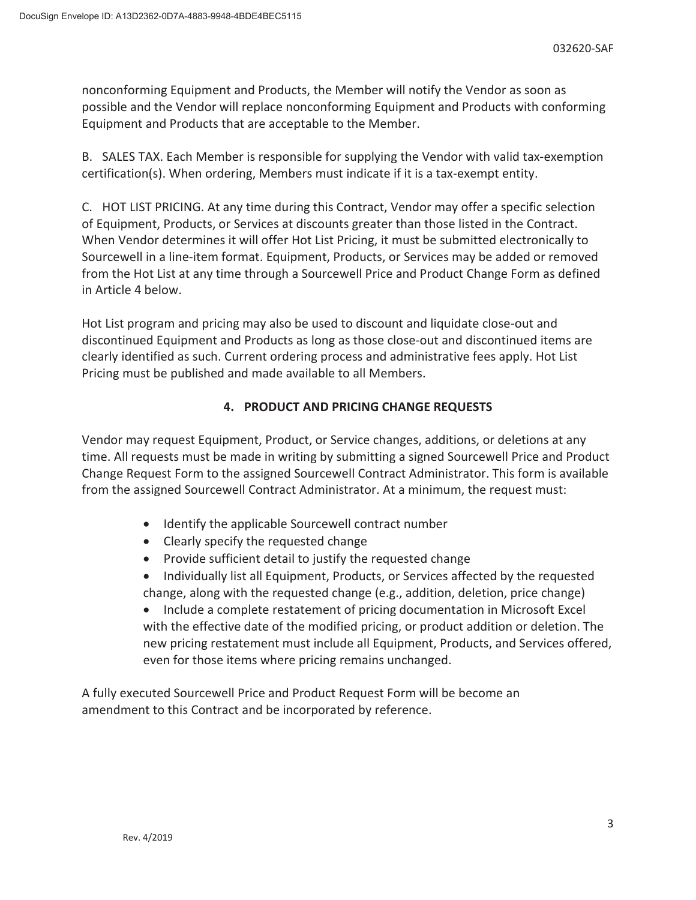nonconforming Equipment and Products, the Member will notify the Vendor as soon as possible and the Vendor will replace nonconforming Equipment and Products with conforming Equipment and Products that are acceptable to the Member.

B. SALES TAX. Each Member is responsible for supplying the Vendor with valid tax-exemption certification(s). When ordering, Members must indicate if it is a tax-exempt entity.

C. HOT LIST PRICING. At any time during this Contract, Vendor may offer a specific selection of Equipment, Products, or Services at discounts greater than those listed in the Contract. When Vendor determines it will offer Hot List Pricing, it must be submitted electronically to Sourcewell in a line-item format. Equipment, Products, or Services may be added or removed from the Hot List at any time through a Sourcewell Price and Product Change Form as defined in Article 4 below.

Hot List program and pricing may also be used to discount and liquidate close-out and discontinued Equipment and Products as long as those close-out and discontinued items are clearly identified as such. Current ordering process and administrative fees apply. Hot List Pricing must be published and made available to all Members.

# **4. PRODUCT AND PRICING CHANGE REQUESTS**

Vendor may request Equipment, Product, or Service changes, additions, or deletions at any time. All requests must be made in writing by submitting a signed Sourcewell Price and Product Change Request Form to the assigned Sourcewell Contract Administrator. This form is available from the assigned Sourcewell Contract Administrator. At a minimum, the request must:

- Identify the applicable Sourcewell contract number
- Clearly specify the requested change
- Provide sufficient detail to justify the requested change
- Individually list all Equipment, Products, or Services affected by the requested change, along with the requested change (e.g., addition, deletion, price change)

• Include a complete restatement of pricing documentation in Microsoft Excel with the effective date of the modified pricing, or product addition or deletion. The new pricing restatement must include all Equipment, Products, and Services offered, even for those items where pricing remains unchanged.

A fully executed Sourcewell Price and Product Request Form will be become an amendment to this Contract and be incorporated by reference.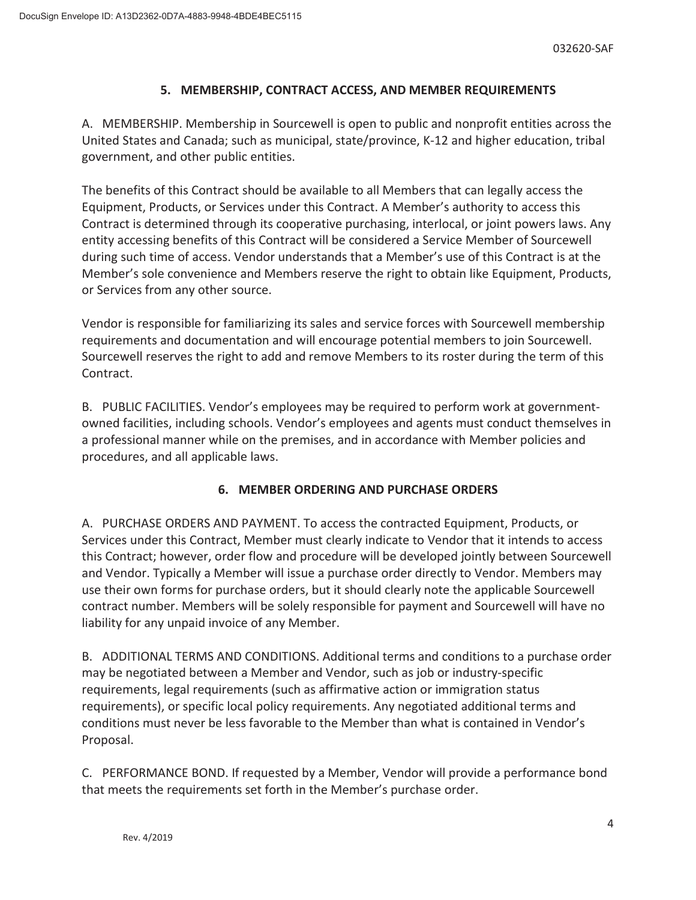## **5. MEMBERSHIP, CONTRACT ACCESS, AND MEMBER REQUIREMENTS**

A. MEMBERSHIP. Membership in Sourcewell is open to public and nonprofit entities across the United States and Canada; such as municipal, state/province, K-12 and higher education, tribal government, and other public entities.

The benefits of this Contract should be available to all Members that can legally access the Equipment, Products, or Services under this Contract. A Member's authority to access this Contract is determined through its cooperative purchasing, interlocal, or joint powers laws. Any entity accessing benefits of this Contract will be considered a Service Member of Sourcewell during such time of access. Vendor understands that a Member's use of this Contract is at the Member's sole convenience and Members reserve the right to obtain like Equipment, Products, or Services from any other source.

Vendor is responsible for familiarizing its sales and service forces with Sourcewell membership requirements and documentation and will encourage potential members to join Sourcewell. Sourcewell reserves the right to add and remove Members to its roster during the term of this Contract.

B. PUBLIC FACILITIES. Vendor's employees may be required to perform work at governmentowned facilities, including schools. Vendor's employees and agents must conduct themselves in a professional manner while on the premises, and in accordance with Member policies and procedures, and all applicable laws.

## **6. MEMBER ORDERING AND PURCHASE ORDERS**

A. PURCHASE ORDERS AND PAYMENT. To access the contracted Equipment, Products, or Services under this Contract, Member must clearly indicate to Vendor that it intends to access this Contract; however, order flow and procedure will be developed jointly between Sourcewell and Vendor. Typically a Member will issue a purchase order directly to Vendor. Members may use their own forms for purchase orders, but it should clearly note the applicable Sourcewell contract number. Members will be solely responsible for payment and Sourcewell will have no liability for any unpaid invoice of any Member.

B. ADDITIONAL TERMS AND CONDITIONS. Additional terms and conditions to a purchase order may be negotiated between a Member and Vendor, such as job or industry-specific requirements, legal requirements (such as affirmative action or immigration status requirements), or specific local policy requirements. Any negotiated additional terms and conditions must never be less favorable to the Member than what is contained in Vendor's Proposal.

C. PERFORMANCE BOND. If requested by a Member, Vendor will provide a performance bond that meets the requirements set forth in the Member's purchase order.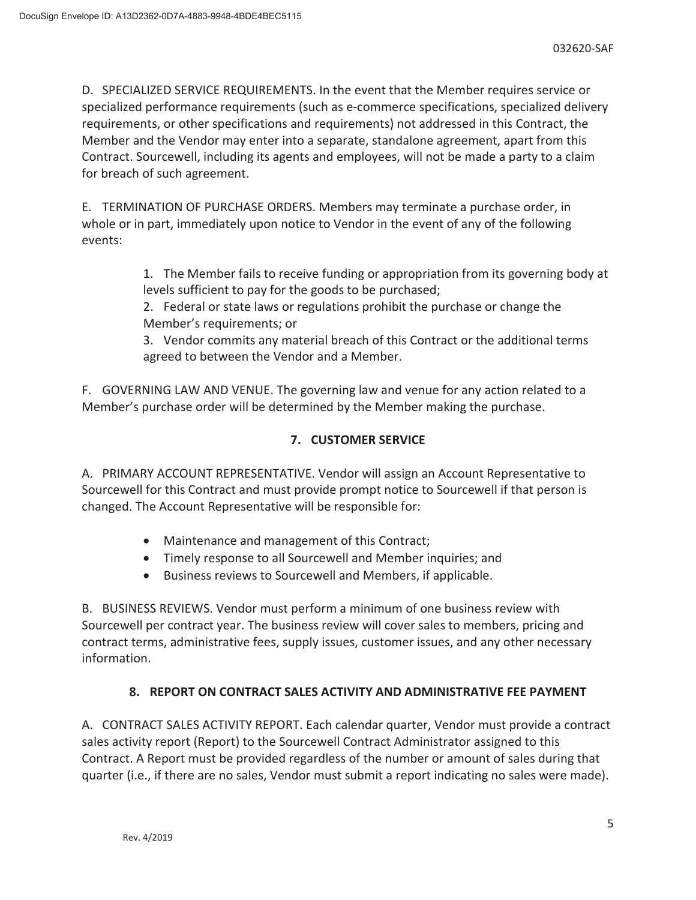D. SPECIALIZED SERVICE REQUIREMENTS. In the event that the Member requires service or specialized performance requirements (such as e-commerce specifications, specialized delivery requirements, or other specifications and requirements) not addressed in this Contract, the Member and the Vendor may enter into a separate, standalone agreement, apart from this Contract. Sourcewell, including its agents and employees, will not be made a party to a claim for breach of such agreement.

E. TERMINATION OF PURCHASE ORDERS. Members may terminate a purchase order, in whole or in part, immediately upon notice to Vendor in the event of any of the following events:

> 1. The Member fails to receive funding or appropriation from its governing body at levels sufficient to pay for the goods to be purchased;

2. Federal or state laws or regulations prohibit the purchase or change the Member's requirements; or

3. Vendor commits any material breach of this Contract or the additional terms agreed to between the Vendor and a Member.

F. GOVERNING LAW AND VENUE. The governing law and venue for any action related to a Member's purchase order will be determined by the Member making the purchase.

# **7. CUSTOMER SERVICE**

A. PRIMARY ACCOUNT REPRESENTATIVE. Vendor will assign an Account Representative to Sourcewell for this Contract and must provide prompt notice to Sourcewell if that person is changed. The Account Representative will be responsible for:

- Maintenance and management of this Contract;
- Timely response to all Sourcewell and Member inquiries; and
- **•** Business reviews to Sourcewell and Members, if applicable.

B. BUSINESS REVIEWS. Vendor must perform a minimum of one business review with Sourcewell per contract year. The business review will cover sales to members, pricing and contract terms, administrative fees, supply issues, customer issues, and any other necessary information.

# **8. REPORT ON CONTRACT SALES ACTIVITY AND ADMINISTRATIVE FEE PAYMENT**

A. CONTRACT SALES ACTIVITY REPORT. Each calendar quarter, Vendor must provide a contract sales activity report (Report) to the Sourcewell Contract Administrator assigned to this Contract. A Report must be provided regardless of the number or amount of sales during that quarter (i.e., if there are no sales, Vendor must submit a report indicating no sales were made).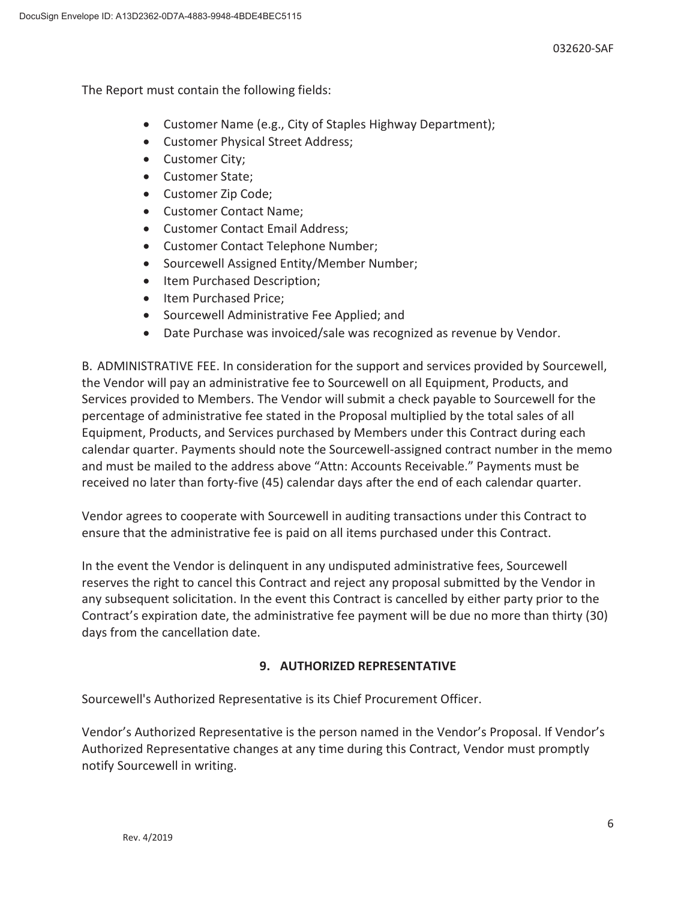The Report must contain the following fields:

- Customer Name (e.g., City of Staples Highway Department);
- Customer Physical Street Address;
- Customer City:
- Customer State:
- Customer Zip Code;
- Customer Contact Name;
- Customer Contact Email Address;
- Customer Contact Telephone Number;
- Sourcewell Assigned Entity/Member Number;
- Item Purchased Description;
- Item Purchased Price;
- Sourcewell Administrative Fee Applied; and
- Date Purchase was invoiced/sale was recognized as revenue by Vendor.

B. ADMINISTRATIVE FEE. In consideration for the support and services provided by Sourcewell, the Vendor will pay an administrative fee to Sourcewell on all Equipment, Products, and Services provided to Members. The Vendor will submit a check payable to Sourcewell for the percentage of administrative fee stated in the Proposal multiplied by the total sales of all Equipment, Products, and Services purchased by Members under this Contract during each calendar quarter. Payments should note the Sourcewell-assigned contract number in the memo and must be mailed to the address above "Attn: Accounts Receivable." Payments must be received no later than forty-five (45) calendar days after the end of each calendar quarter.

Vendor agrees to cooperate with Sourcewell in auditing transactions under this Contract to ensure that the administrative fee is paid on all items purchased under this Contract.

In the event the Vendor is delinquent in any undisputed administrative fees, Sourcewell reserves the right to cancel this Contract and reject any proposal submitted by the Vendor in any subsequent solicitation. In the event this Contract is cancelled by either party prior to the Contract's expiration date, the administrative fee payment will be due no more than thirty (30) days from the cancellation date.

## **9. AUTHORIZED REPRESENTATIVE**

Sourcewell's Authorized Representative is its Chief Procurement Officer.

Vendor's Authorized Representative is the person named in the Vendor's Proposal. If Vendor's Authorized Representative changes at any time during this Contract, Vendor must promptly notify Sourcewell in writing.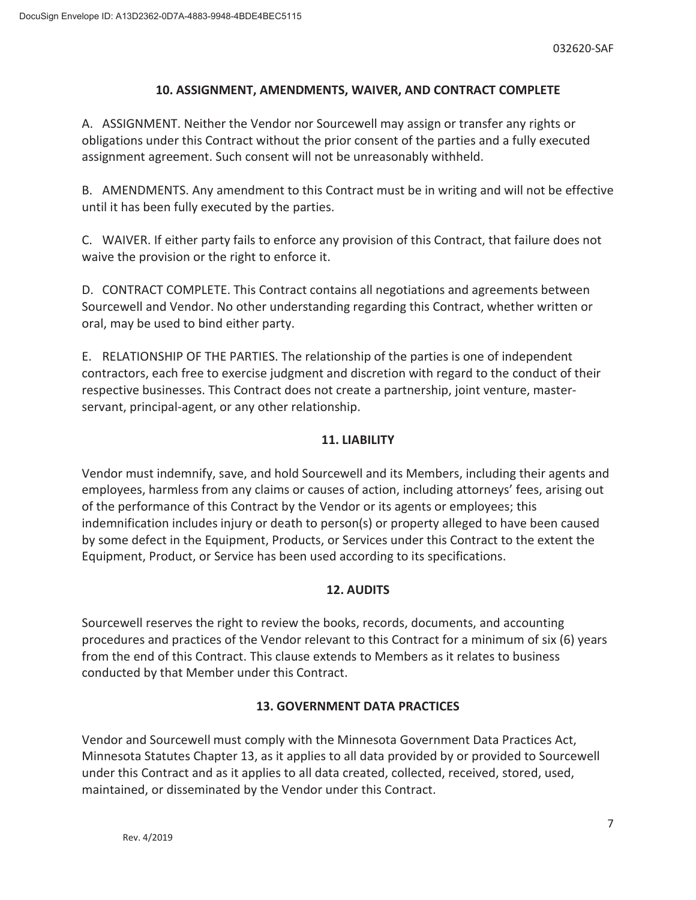## **10. ASSIGNMENT, AMENDMENTS, WAIVER, AND CONTRACT COMPLETE**

A. ASSIGNMENT. Neither the Vendor nor Sourcewell may assign or transfer any rights or obligations under this Contract without the prior consent of the parties and a fully executed assignment agreement. Such consent will not be unreasonably withheld.

B. AMENDMENTS. Any amendment to this Contract must be in writing and will not be effective until it has been fully executed by the parties.

C. WAIVER. If either party fails to enforce any provision of this Contract, that failure does not waive the provision or the right to enforce it.

D. CONTRACT COMPLETE. This Contract contains all negotiations and agreements between Sourcewell and Vendor. No other understanding regarding this Contract, whether written or oral, may be used to bind either party.

E. RELATIONSHIP OF THE PARTIES. The relationship of the parties is one of independent contractors, each free to exercise judgment and discretion with regard to the conduct of their respective businesses. This Contract does not create a partnership, joint venture, masterservant, principal-agent, or any other relationship.

## **11. LIABILITY**

Vendor must indemnify, save, and hold Sourcewell and its Members, including their agents and employees, harmless from any claims or causes of action, including attorneys' fees, arising out of the performance of this Contract by the Vendor or its agents or employees; this indemnification includes injury or death to person(s) or property alleged to have been caused by some defect in the Equipment, Products, or Services under this Contract to the extent the Equipment, Product, or Service has been used according to its specifications.

## **12. AUDITS**

Sourcewell reserves the right to review the books, records, documents, and accounting procedures and practices of the Vendor relevant to this Contract for a minimum of six (6) years from the end of this Contract. This clause extends to Members as it relates to business conducted by that Member under this Contract.

# **13. GOVERNMENT DATA PRACTICES**

Vendor and Sourcewell must comply with the Minnesota Government Data Practices Act, Minnesota Statutes Chapter 13, as it applies to all data provided by or provided to Sourcewell under this Contract and as it applies to all data created, collected, received, stored, used, maintained, or disseminated by the Vendor under this Contract.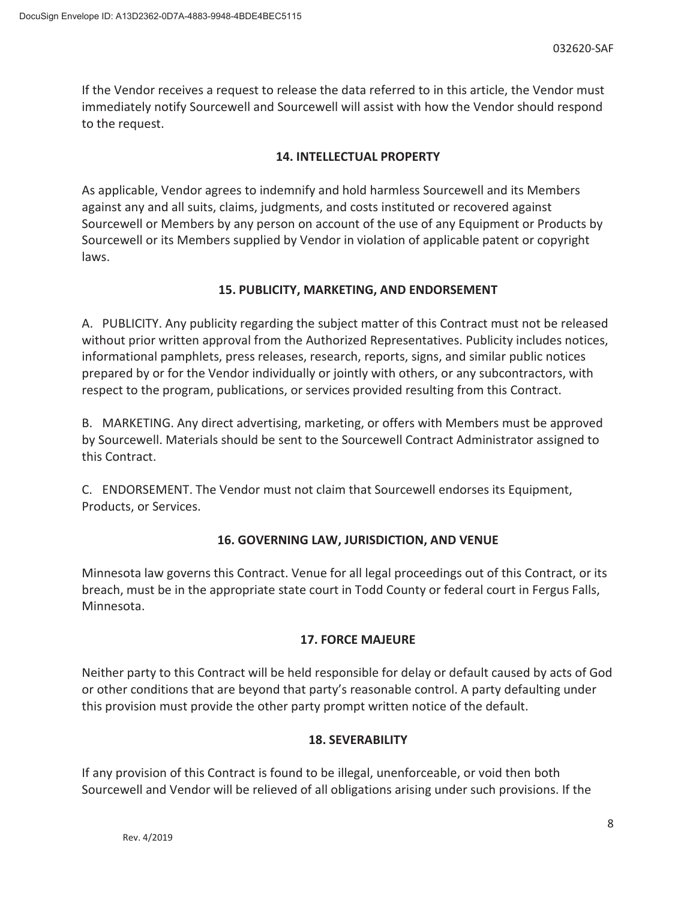If the Vendor receives a request to release the data referred to in this article, the Vendor must immediately notify Sourcewell and Sourcewell will assist with how the Vendor should respond to the request.

## **14. INTELLECTUAL PROPERTY**

As applicable, Vendor agrees to indemnify and hold harmless Sourcewell and its Members against any and all suits, claims, judgments, and costs instituted or recovered against Sourcewell or Members by any person on account of the use of any Equipment or Products by Sourcewell or its Members supplied by Vendor in violation of applicable patent or copyright laws.

## **15. PUBLICITY, MARKETING, AND ENDORSEMENT**

A. PUBLICITY. Any publicity regarding the subject matter of this Contract must not be released without prior written approval from the Authorized Representatives. Publicity includes notices, informational pamphlets, press releases, research, reports, signs, and similar public notices prepared by or for the Vendor individually or jointly with others, or any subcontractors, with respect to the program, publications, or services provided resulting from this Contract.

B. MARKETING. Any direct advertising, marketing, or offers with Members must be approved by Sourcewell. Materials should be sent to the Sourcewell Contract Administrator assigned to this Contract.

C. ENDORSEMENT. The Vendor must not claim that Sourcewell endorses its Equipment, Products, or Services.

## **16. GOVERNING LAW, JURISDICTION, AND VENUE**

Minnesota law governs this Contract. Venue for all legal proceedings out of this Contract, or its breach, must be in the appropriate state court in Todd County or federal court in Fergus Falls, Minnesota.

## **17. FORCE MAJEURE**

Neither party to this Contract will be held responsible for delay or default caused by acts of God or other conditions that are beyond that party's reasonable control. A party defaulting under this provision must provide the other party prompt written notice of the default.

## **18. SEVERABILITY**

If any provision of this Contract is found to be illegal, unenforceable, or void then both Sourcewell and Vendor will be relieved of all obligations arising under such provisions. If the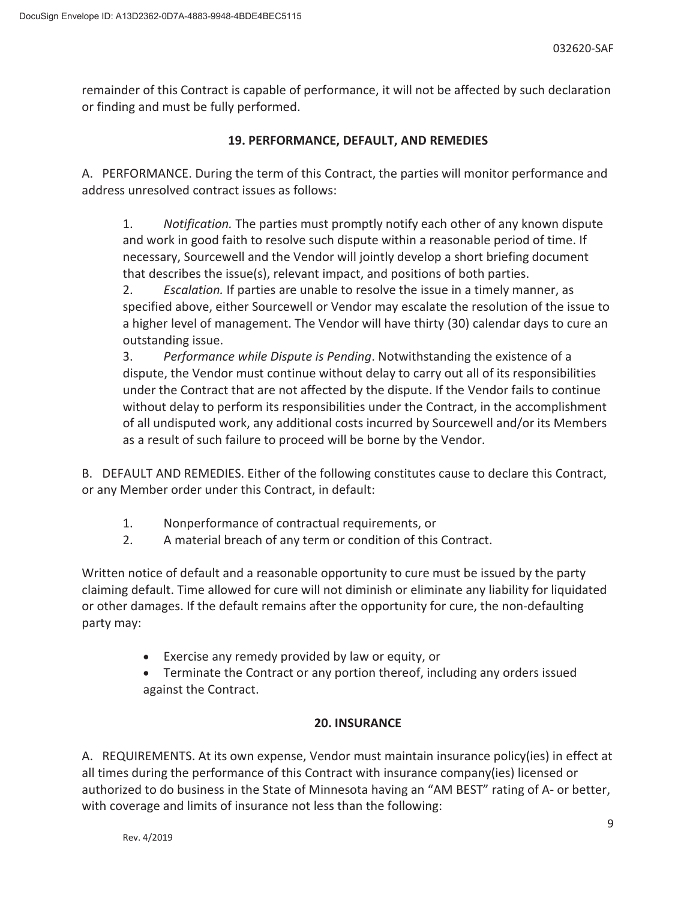remainder of this Contract is capable of performance, it will not be affected by such declaration or finding and must be fully performed.

# **19. PERFORMANCE, DEFAULT, AND REMEDIES**

A. PERFORMANCE. During the term of this Contract, the parties will monitor performance and address unresolved contract issues as follows:

1. *Notification.* The parties must promptly notify each other of any known dispute and work in good faith to resolve such dispute within a reasonable period of time. If necessary, Sourcewell and the Vendor will jointly develop a short briefing document that describes the issue(s), relevant impact, and positions of both parties.

2. *Escalation.* If parties are unable to resolve the issue in a timely manner, as specified above, either Sourcewell or Vendor may escalate the resolution of the issue to a higher level of management. The Vendor will have thirty (30) calendar days to cure an outstanding issue.

3. *Performance while Dispute is Pending*. Notwithstanding the existence of a dispute, the Vendor must continue without delay to carry out all of its responsibilities under the Contract that are not affected by the dispute. If the Vendor fails to continue without delay to perform its responsibilities under the Contract, in the accomplishment of all undisputed work, any additional costs incurred by Sourcewell and/or its Members as a result of such failure to proceed will be borne by the Vendor.

B. DEFAULT AND REMEDIES. Either of the following constitutes cause to declare this Contract, or any Member order under this Contract, in default:

- 1. Nonperformance of contractual requirements, or
- 2. A material breach of any term or condition of this Contract.

Written notice of default and a reasonable opportunity to cure must be issued by the party claiming default. Time allowed for cure will not diminish or eliminate any liability for liquidated or other damages. If the default remains after the opportunity for cure, the non-defaulting party may:

• Exercise any remedy provided by law or equity, or

• Terminate the Contract or any portion thereof, including any orders issued against the Contract.

# **20. INSURANCE**

A. REQUIREMENTS. At its own expense, Vendor must maintain insurance policy(ies) in effect at all times during the performance of this Contract with insurance company(ies) licensed or authorized to do business in the State of Minnesota having an "AM BEST" rating of A- or better, with coverage and limits of insurance not less than the following: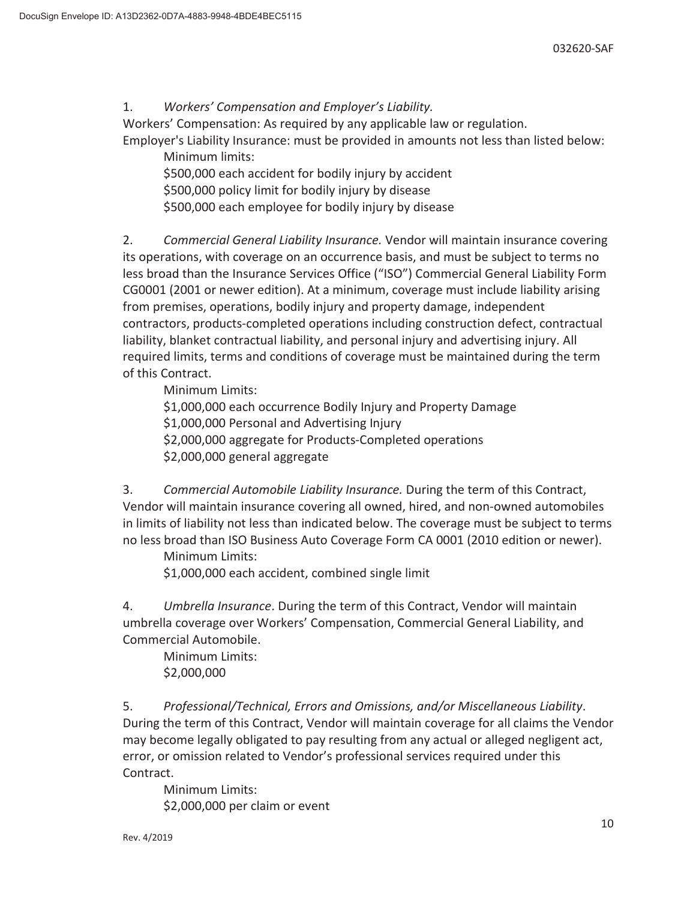1. *Workers' Compensation and Employer's Liability.*

Workers' Compensation: As required by any applicable law or regulation.

Employer's Liability Insurance: must be provided in amounts not less than listed below: Minimum limits:

\$500,000 each accident for bodily injury by accident \$500,000 policy limit for bodily injury by disease \$500,000 each employee for bodily injury by disease

2. *Commercial General Liability Insurance.* Vendor will maintain insurance covering its operations, with coverage on an occurrence basis, and must be subject to terms no less broad than the Insurance Services Office ("ISO") Commercial General Liability Form CG0001 (2001 or newer edition). At a minimum, coverage must include liability arising from premises, operations, bodily injury and property damage, independent contractors, products-completed operations including construction defect, contractual liability, blanket contractual liability, and personal injury and advertising injury. All required limits, terms and conditions of coverage must be maintained during the term of this Contract.

Minimum Limits:

\$1,000,000 each occurrence Bodily Injury and Property Damage \$1,000,000 Personal and Advertising Injury \$2,000,000 aggregate for Products-Completed operations \$2,000,000 general aggregate

3. *Commercial Automobile Liability Insurance.* During the term of this Contract, Vendor will maintain insurance covering all owned, hired, and non-owned automobiles in limits of liability not less than indicated below. The coverage must be subject to terms no less broad than ISO Business Auto Coverage Form CA 0001 (2010 edition or newer).

Minimum Limits:

\$1,000,000 each accident, combined single limit

4. *Umbrella Insurance*. During the term of this Contract, Vendor will maintain umbrella coverage over Workers' Compensation, Commercial General Liability, and Commercial Automobile.

 Minimum Limits: \$2,000,000

5. *Professional/Technical, Errors and Omissions, and/or Miscellaneous Liability*. During the term of this Contract, Vendor will maintain coverage for all claims the Vendor may become legally obligated to pay resulting from any actual or alleged negligent act, error, or omission related to Vendor's professional services required under this Contract.

 Minimum Limits: \$2,000,000 per claim or event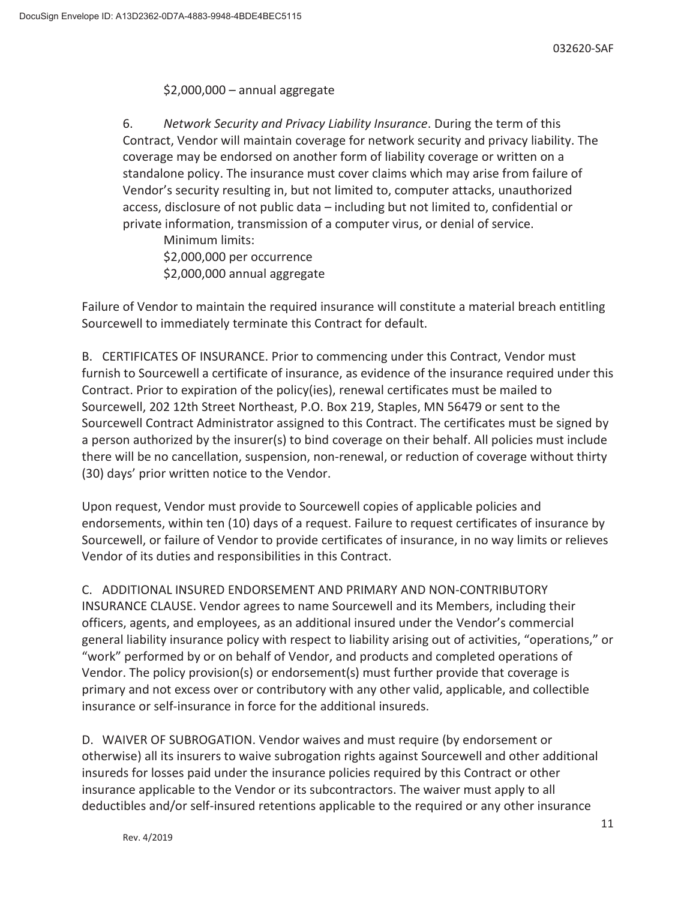## \$2,000,000 – annual aggregate

6. *Network Security and Privacy Liability Insurance*. During the term of this Contract, Vendor will maintain coverage for network security and privacy liability. The coverage may be endorsed on another form of liability coverage or written on a standalone policy. The insurance must cover claims which may arise from failure of Vendor's security resulting in, but not limited to, computer attacks, unauthorized access, disclosure of not public data – including but not limited to, confidential or private information, transmission of a computer virus, or denial of service.

 Minimum limits: \$2,000,000 per occurrence \$2,000,000 annual aggregate

Failure of Vendor to maintain the required insurance will constitute a material breach entitling Sourcewell to immediately terminate this Contract for default.

B. CERTIFICATES OF INSURANCE. Prior to commencing under this Contract, Vendor must furnish to Sourcewell a certificate of insurance, as evidence of the insurance required under this Contract. Prior to expiration of the policy(ies), renewal certificates must be mailed to Sourcewell, 202 12th Street Northeast, P.O. Box 219, Staples, MN 56479 or sent to the Sourcewell Contract Administrator assigned to this Contract. The certificates must be signed by a person authorized by the insurer(s) to bind coverage on their behalf. All policies must include there will be no cancellation, suspension, non-renewal, or reduction of coverage without thirty (30) days' prior written notice to the Vendor.

Upon request, Vendor must provide to Sourcewell copies of applicable policies and endorsements, within ten (10) days of a request. Failure to request certificates of insurance by Sourcewell, or failure of Vendor to provide certificates of insurance, in no way limits or relieves Vendor of its duties and responsibilities in this Contract.

C. ADDITIONAL INSURED ENDORSEMENT AND PRIMARY AND NON-CONTRIBUTORY INSURANCE CLAUSE. Vendor agrees to name Sourcewell and its Members, including their officers, agents, and employees, as an additional insured under the Vendor's commercial general liability insurance policy with respect to liability arising out of activities, "operations," or "work" performed by or on behalf of Vendor, and products and completed operations of Vendor. The policy provision(s) or endorsement(s) must further provide that coverage is primary and not excess over or contributory with any other valid, applicable, and collectible insurance or self-insurance in force for the additional insureds.

D. WAIVER OF SUBROGATION. Vendor waives and must require (by endorsement or otherwise) all its insurers to waive subrogation rights against Sourcewell and other additional insureds for losses paid under the insurance policies required by this Contract or other insurance applicable to the Vendor or its subcontractors. The waiver must apply to all deductibles and/or self-insured retentions applicable to the required or any other insurance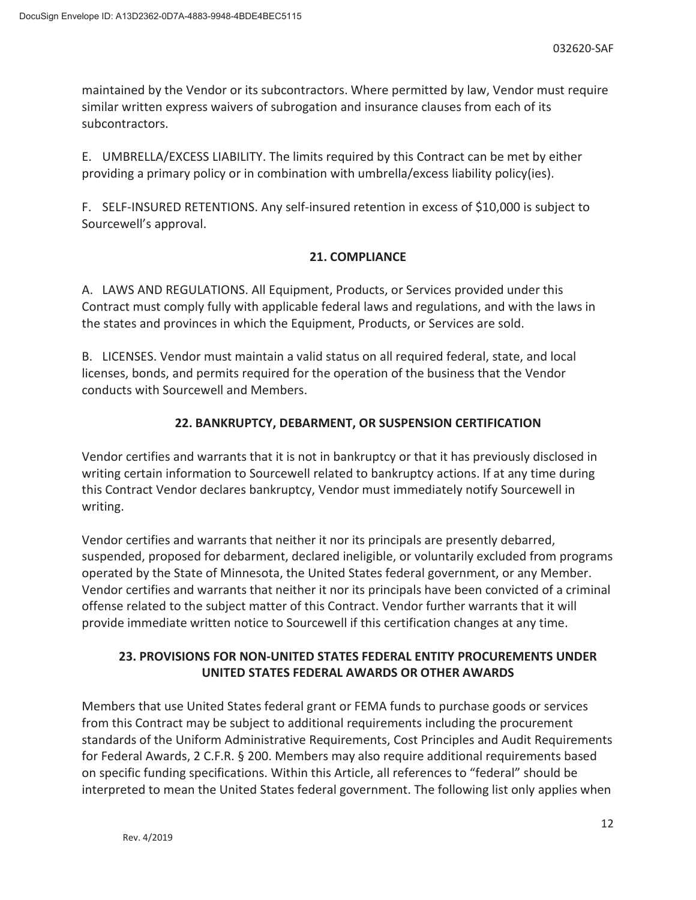maintained by the Vendor or its subcontractors. Where permitted by law, Vendor must require similar written express waivers of subrogation and insurance clauses from each of its subcontractors.

E. UMBRELLA/EXCESS LIABILITY. The limits required by this Contract can be met by either providing a primary policy or in combination with umbrella/excess liability policy(ies).

F. SELF-INSURED RETENTIONS. Any self-insured retention in excess of \$10,000 is subject to Sourcewell's approval.

## **21. COMPLIANCE**

A. LAWS AND REGULATIONS. All Equipment, Products, or Services provided under this Contract must comply fully with applicable federal laws and regulations, and with the laws in the states and provinces in which the Equipment, Products, or Services are sold.

B. LICENSES. Vendor must maintain a valid status on all required federal, state, and local licenses, bonds, and permits required for the operation of the business that the Vendor conducts with Sourcewell and Members.

# **22. BANKRUPTCY, DEBARMENT, OR SUSPENSION CERTIFICATION**

Vendor certifies and warrants that it is not in bankruptcy or that it has previously disclosed in writing certain information to Sourcewell related to bankruptcy actions. If at any time during this Contract Vendor declares bankruptcy, Vendor must immediately notify Sourcewell in writing.

Vendor certifies and warrants that neither it nor its principals are presently debarred, suspended, proposed for debarment, declared ineligible, or voluntarily excluded from programs operated by the State of Minnesota, the United States federal government, or any Member. Vendor certifies and warrants that neither it nor its principals have been convicted of a criminal offense related to the subject matter of this Contract. Vendor further warrants that it will provide immediate written notice to Sourcewell if this certification changes at any time.

# **23. PROVISIONS FOR NON-UNITED STATES FEDERAL ENTITY PROCUREMENTS UNDER UNITED STATES FEDERAL AWARDS OR OTHER AWARDS**

Members that use United States federal grant or FEMA funds to purchase goods or services from this Contract may be subject to additional requirements including the procurement standards of the Uniform Administrative Requirements, Cost Principles and Audit Requirements for Federal Awards, 2 C.F.R. § 200. Members may also require additional requirements based on specific funding specifications. Within this Article, all references to "federal" should be interpreted to mean the United States federal government. The following list only applies when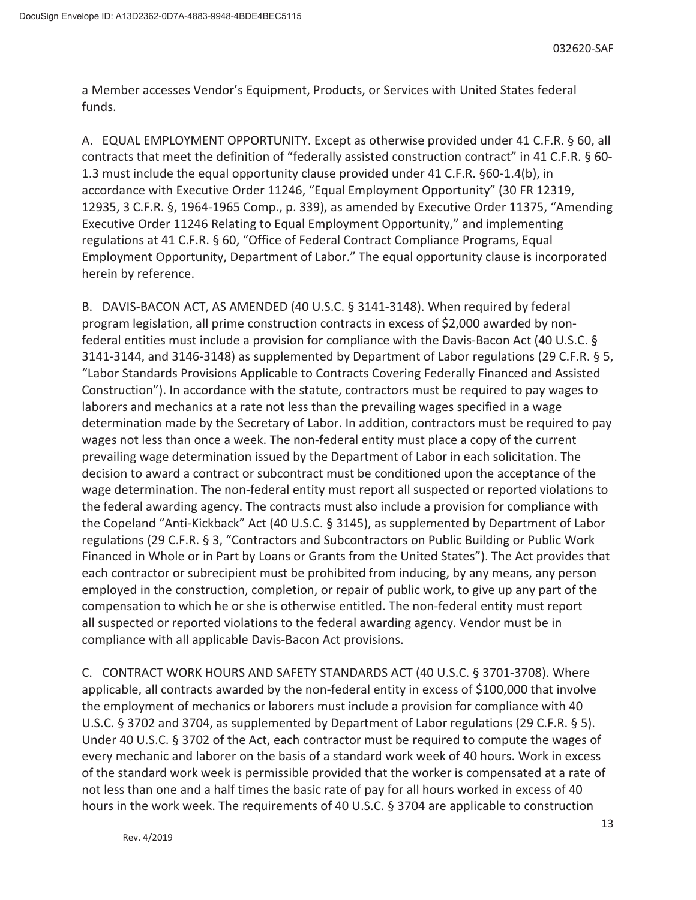a Member accesses Vendor's Equipment, Products, or Services with United States federal funds.

A. EQUAL EMPLOYMENT OPPORTUNITY. Except as otherwise provided under 41 C.F.R. § 60, all contracts that meet the definition of "federally assisted construction contract" in 41 C.F.R. § 60- 1.3 must include the equal opportunity clause provided under 41 C.F.R. §60-1.4(b), in accordance with Executive Order 11246, "Equal Employment Opportunity" (30 FR 12319, 12935, 3 C.F.R. §, 1964-1965 Comp., p. 339), as amended by Executive Order 11375, "Amending Executive Order 11246 Relating to Equal Employment Opportunity," and implementing regulations at 41 C.F.R. § 60, "Office of Federal Contract Compliance Programs, Equal Employment Opportunity, Department of Labor." The equal opportunity clause is incorporated herein by reference.

B. DAVIS-BACON ACT, AS AMENDED (40 U.S.C. § 3141-3148). When required by federal program legislation, all prime construction contracts in excess of \$2,000 awarded by nonfederal entities must include a provision for compliance with the Davis-Bacon Act (40 U.S.C. § 3141-3144, and 3146-3148) as supplemented by Department of Labor regulations (29 C.F.R. § 5, "Labor Standards Provisions Applicable to Contracts Covering Federally Financed and Assisted Construction"). In accordance with the statute, contractors must be required to pay wages to laborers and mechanics at a rate not less than the prevailing wages specified in a wage determination made by the Secretary of Labor. In addition, contractors must be required to pay wages not less than once a week. The non-federal entity must place a copy of the current prevailing wage determination issued by the Department of Labor in each solicitation. The decision to award a contract or subcontract must be conditioned upon the acceptance of the wage determination. The non-federal entity must report all suspected or reported violations to the federal awarding agency. The contracts must also include a provision for compliance with the Copeland "Anti-Kickback" Act (40 U.S.C. § 3145), as supplemented by Department of Labor regulations (29 C.F.R. § 3, "Contractors and Subcontractors on Public Building or Public Work Financed in Whole or in Part by Loans or Grants from the United States"). The Act provides that each contractor or subrecipient must be prohibited from inducing, by any means, any person employed in the construction, completion, or repair of public work, to give up any part of the compensation to which he or she is otherwise entitled. The non-federal entity must report all suspected or reported violations to the federal awarding agency. Vendor must be in compliance with all applicable Davis-Bacon Act provisions.

C. CONTRACT WORK HOURS AND SAFETY STANDARDS ACT (40 U.S.C. § 3701-3708). Where applicable, all contracts awarded by the non-federal entity in excess of \$100,000 that involve the employment of mechanics or laborers must include a provision for compliance with 40 U.S.C. § 3702 and 3704, as supplemented by Department of Labor regulations (29 C.F.R. § 5). Under 40 U.S.C. § 3702 of the Act, each contractor must be required to compute the wages of every mechanic and laborer on the basis of a standard work week of 40 hours. Work in excess of the standard work week is permissible provided that the worker is compensated at a rate of not less than one and a half times the basic rate of pay for all hours worked in excess of 40 hours in the work week. The requirements of 40 U.S.C. § 3704 are applicable to construction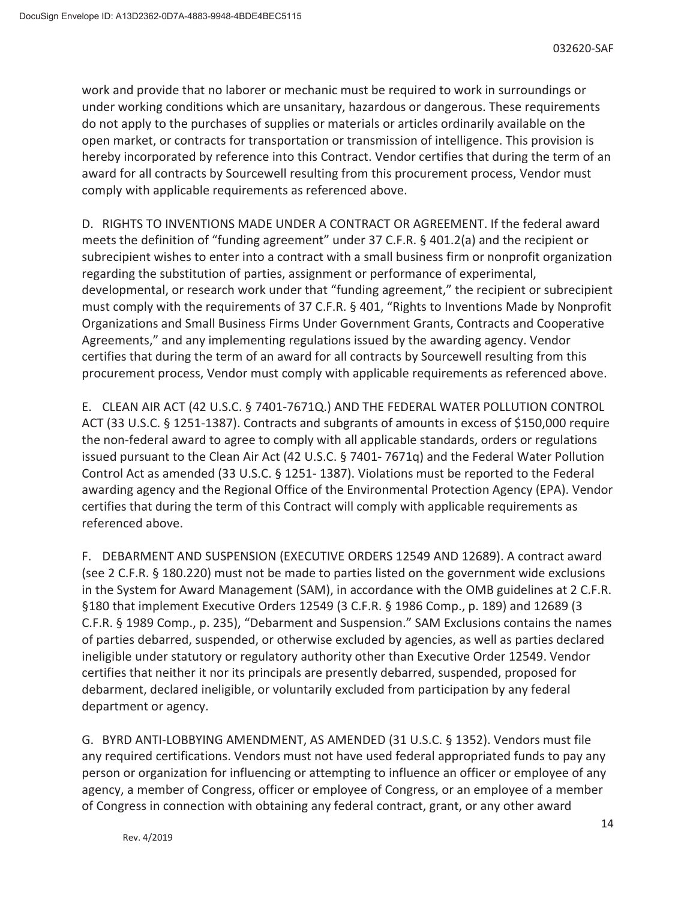work and provide that no laborer or mechanic must be required to work in surroundings or under working conditions which are unsanitary, hazardous or dangerous. These requirements do not apply to the purchases of supplies or materials or articles ordinarily available on the open market, or contracts for transportation or transmission of intelligence. This provision is hereby incorporated by reference into this Contract. Vendor certifies that during the term of an award for all contracts by Sourcewell resulting from this procurement process, Vendor must comply with applicable requirements as referenced above.

D. RIGHTS TO INVENTIONS MADE UNDER A CONTRACT OR AGREEMENT. If the federal award meets the definition of "funding agreement" under 37 C.F.R. § 401.2(a) and the recipient or subrecipient wishes to enter into a contract with a small business firm or nonprofit organization regarding the substitution of parties, assignment or performance of experimental, developmental, or research work under that "funding agreement," the recipient or subrecipient must comply with the requirements of 37 C.F.R. § 401, "Rights to Inventions Made by Nonprofit Organizations and Small Business Firms Under Government Grants, Contracts and Cooperative Agreements," and any implementing regulations issued by the awarding agency. Vendor certifies that during the term of an award for all contracts by Sourcewell resulting from this procurement process, Vendor must comply with applicable requirements as referenced above.

E. CLEAN AIR ACT (42 U.S.C. § 7401-7671Q.) AND THE FEDERAL WATER POLLUTION CONTROL ACT (33 U.S.C. § 1251-1387). Contracts and subgrants of amounts in excess of \$150,000 require the non-federal award to agree to comply with all applicable standards, orders or regulations issued pursuant to the Clean Air Act (42 U.S.C. § 7401- 7671q) and the Federal Water Pollution Control Act as amended (33 U.S.C. § 1251- 1387). Violations must be reported to the Federal awarding agency and the Regional Office of the Environmental Protection Agency (EPA). Vendor certifies that during the term of this Contract will comply with applicable requirements as referenced above.

F. DEBARMENT AND SUSPENSION (EXECUTIVE ORDERS 12549 AND 12689). A contract award (see 2 C.F.R. § 180.220) must not be made to parties listed on the government wide exclusions in the System for Award Management (SAM), in accordance with the OMB guidelines at 2 C.F.R. §180 that implement Executive Orders 12549 (3 C.F.R. § 1986 Comp., p. 189) and 12689 (3 C.F.R. § 1989 Comp., p. 235), "Debarment and Suspension." SAM Exclusions contains the names of parties debarred, suspended, or otherwise excluded by agencies, as well as parties declared ineligible under statutory or regulatory authority other than Executive Order 12549. Vendor certifies that neither it nor its principals are presently debarred, suspended, proposed for debarment, declared ineligible, or voluntarily excluded from participation by any federal department or agency.

G. BYRD ANTI-LOBBYING AMENDMENT, AS AMENDED (31 U.S.C. § 1352). Vendors must file any required certifications. Vendors must not have used federal appropriated funds to pay any person or organization for influencing or attempting to influence an officer or employee of any agency, a member of Congress, officer or employee of Congress, or an employee of a member of Congress in connection with obtaining any federal contract, grant, or any other award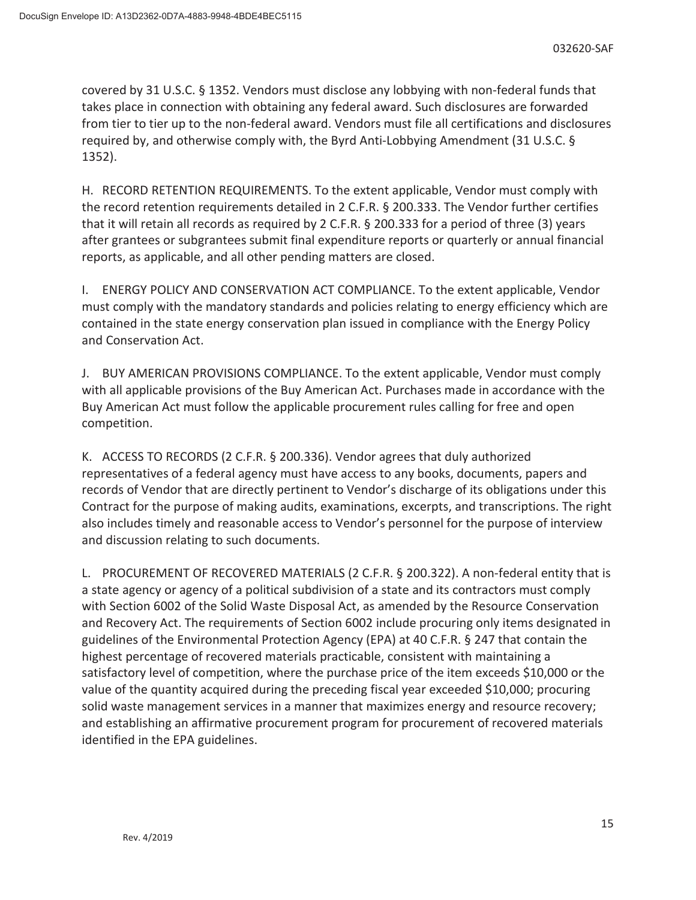covered by 31 U.S.C. § 1352. Vendors must disclose any lobbying with non-federal funds that takes place in connection with obtaining any federal award. Such disclosures are forwarded from tier to tier up to the non-federal award. Vendors must file all certifications and disclosures required by, and otherwise comply with, the Byrd Anti-Lobbying Amendment (31 U.S.C. § 1352).

H. RECORD RETENTION REQUIREMENTS. To the extent applicable, Vendor must comply with the record retention requirements detailed in 2 C.F.R. § 200.333. The Vendor further certifies that it will retain all records as required by 2 C.F.R. § 200.333 for a period of three (3) years after grantees or subgrantees submit final expenditure reports or quarterly or annual financial reports, as applicable, and all other pending matters are closed.

I. ENERGY POLICY AND CONSERVATION ACT COMPLIANCE. To the extent applicable, Vendor must comply with the mandatory standards and policies relating to energy efficiency which are contained in the state energy conservation plan issued in compliance with the Energy Policy and Conservation Act.

J. BUY AMERICAN PROVISIONS COMPLIANCE. To the extent applicable, Vendor must comply with all applicable provisions of the Buy American Act. Purchases made in accordance with the Buy American Act must follow the applicable procurement rules calling for free and open competition.

K. ACCESS TO RECORDS (2 C.F.R. § 200.336). Vendor agrees that duly authorized representatives of a federal agency must have access to any books, documents, papers and records of Vendor that are directly pertinent to Vendor's discharge of its obligations under this Contract for the purpose of making audits, examinations, excerpts, and transcriptions. The right also includes timely and reasonable access to Vendor's personnel for the purpose of interview and discussion relating to such documents.

L. PROCUREMENT OF RECOVERED MATERIALS (2 C.F.R. § 200.322). A non-federal entity that is a state agency or agency of a political subdivision of a state and its contractors must comply with Section 6002 of the Solid Waste Disposal Act, as amended by the Resource Conservation and Recovery Act. The requirements of Section 6002 include procuring only items designated in guidelines of the Environmental Protection Agency (EPA) at 40 C.F.R. § 247 that contain the highest percentage of recovered materials practicable, consistent with maintaining a satisfactory level of competition, where the purchase price of the item exceeds \$10,000 or the value of the quantity acquired during the preceding fiscal year exceeded \$10,000; procuring solid waste management services in a manner that maximizes energy and resource recovery; and establishing an affirmative procurement program for procurement of recovered materials identified in the EPA guidelines.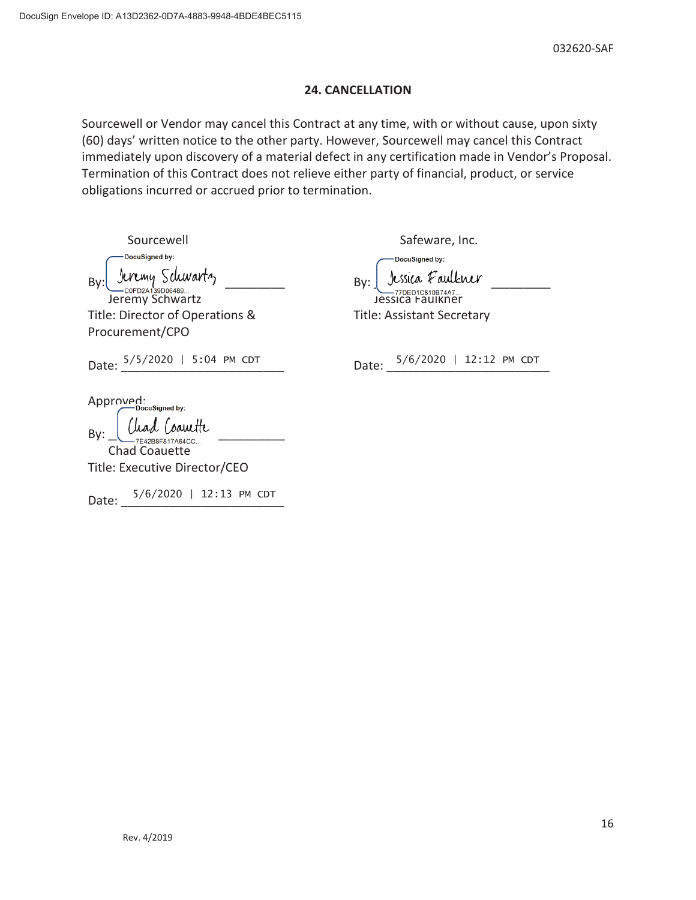#### **24. CANCELLATION**

Sourcewell or Vendor may cancel this Contract at any time, with or without cause, upon sixty (60) days' written notice to the other party. However, Sourcewell may cancel this Contract immediately upon discovery of a material defect in any certification made in Vendor's Proposal. Termination of this Contract does not relieve either party of financial, product, or service obligations incurred or accrued prior to termination.

| Sourcewell                                     | Safeware, Inc.                    |
|------------------------------------------------|-----------------------------------|
| DocuSigned by:                                 | DocuSigned by:                    |
| Jeremy Schwartz<br>By:                         | Jessica Faulkner<br>By:           |
| Jeremy Schwartz                                | Jessica Faulkher                  |
| Title: Director of Operations &                | <b>Title: Assistant Secretary</b> |
| Procurement/CPO                                |                                   |
| Date: $5/5/2020$   5:04 PM CDT                 | Date: 5/6/2020   12:12 PM CDT     |
| Approved:                                      |                                   |
| -DocuSigned by:<br>By:<br><b>Chad Coauette</b> |                                   |
| Title: Executive Director/CEO                  |                                   |
| $5/6/2020$   12:13 PM CDT<br>Date:             |                                   |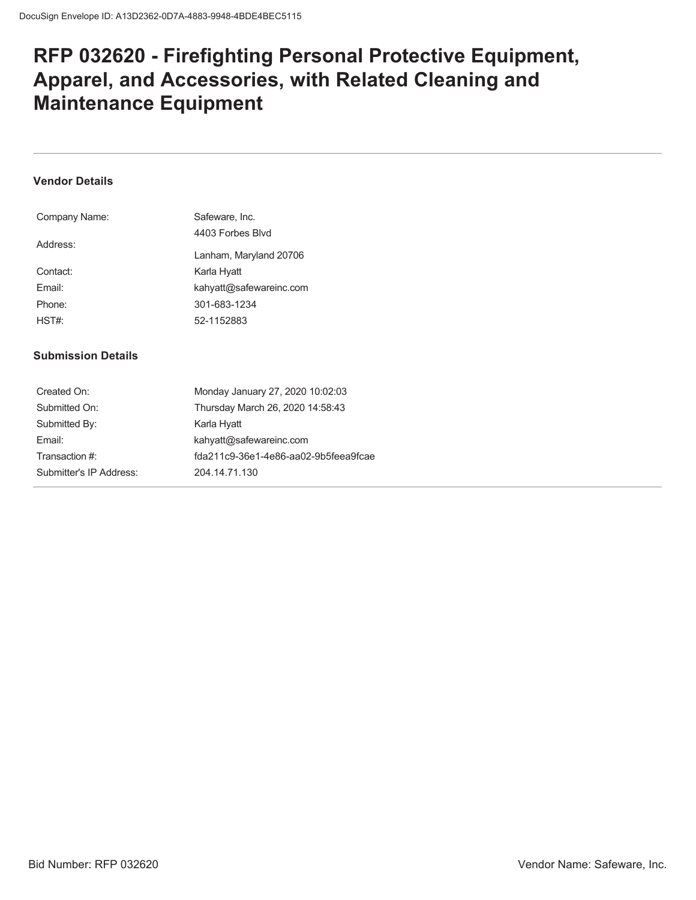# **RFP 032620 - Firefighting Personal Protective Equipment, Apparel, and Accessories, with Related Cleaning and Maintenance Equipment**

### **Vendor Details**

| Company Name: | Safeware, Inc.          |
|---------------|-------------------------|
|               | 4403 Forbes Blvd        |
| Address:      |                         |
|               | Lanham, Maryland 20706  |
| Contact:      | Karla Hyatt             |
| Fmail:        | kahyatt@safewareinc.com |
| Phone:        | 301-683-1234            |
| HST#          | 52-1152883              |
|               |                         |

#### **Submission Details**

| Created On:             | Monday January 27, 2020 10:02:03     |
|-------------------------|--------------------------------------|
| Submitted On:           | Thursday March 26, 2020 14:58:43     |
| Submitted By:           | Karla Hyatt                          |
| Email:                  | kahyatt@safewareinc.com              |
| Transaction #:          | fda211c9-36e1-4e86-aa02-9b5feea9fcae |
| Submitter's IP Address: | 204.14.71.130                        |
|                         |                                      |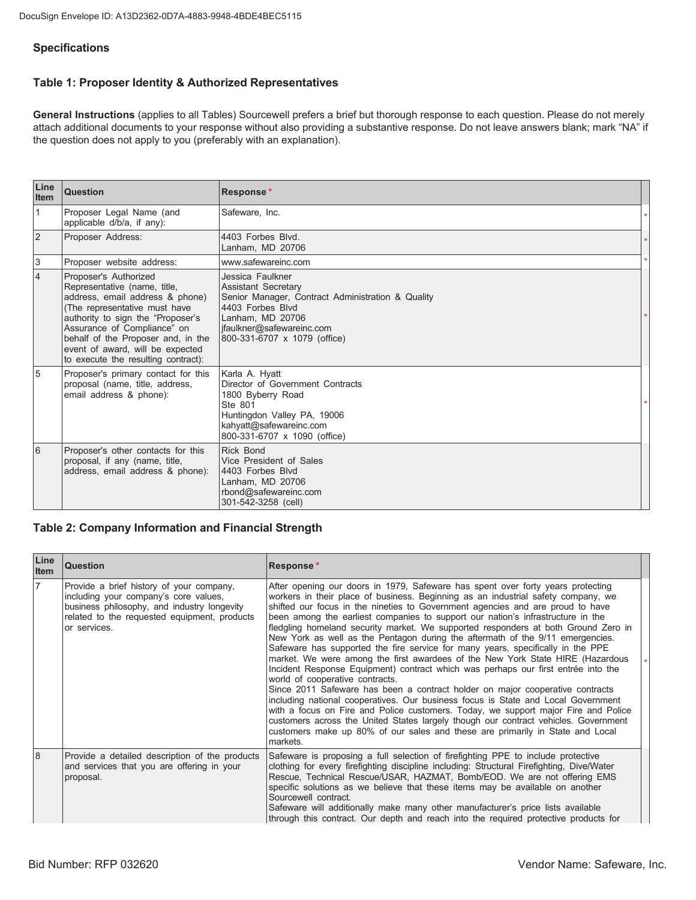#### **Specifications**

## Table 1: Proposer Identity & Authorized Representatives

General Instructions (applies to all Tables) Sourcewell prefers a brief but thorough response to each question. Please do not merely attach additional documents to your response without also providing a substantive response. Do not leave answers blank; mark "NA" if the question does not apply to you (preferably with an explanation).

| Line<br>Item   | Question                                                                                                                                                                                                                                                                                                       | Response*                                                                                                                                                                                                |  |
|----------------|----------------------------------------------------------------------------------------------------------------------------------------------------------------------------------------------------------------------------------------------------------------------------------------------------------------|----------------------------------------------------------------------------------------------------------------------------------------------------------------------------------------------------------|--|
| $\vert$ 1      | Proposer Legal Name (and<br>applicable d/b/a, if any):                                                                                                                                                                                                                                                         | Safeware, Inc.                                                                                                                                                                                           |  |
| <sup>2</sup>   | Proposer Address:                                                                                                                                                                                                                                                                                              | 4403 Forbes Blvd.<br>Lanham, MD 20706                                                                                                                                                                    |  |
| 3              | Proposer website address:                                                                                                                                                                                                                                                                                      | www.safewareinc.com                                                                                                                                                                                      |  |
| $\overline{4}$ | Proposer's Authorized<br>Representative (name, title,<br>address, email address & phone)<br>(The representative must have<br>authority to sign the "Proposer's<br>Assurance of Compliance" on<br>behalf of the Proposer and, in the<br>event of award, will be expected<br>to execute the resulting contract): | Jessica Faulkner<br><b>Assistant Secretary</b><br>Senior Manager, Contract Administration & Quality<br>4403 Forbes Blvd<br>Lanham, MD 20706<br>jfaulkner@safewareinc.com<br>800-331-6707 x 1079 (office) |  |
| 5              | Proposer's primary contact for this<br>proposal (name, title, address,<br>email address & phone):                                                                                                                                                                                                              | Karla A. Hyatt<br>Director of Government Contracts<br>1800 Byberry Road<br>Ste 801<br>Huntingdon Valley PA, 19006<br>kahyatt@safewareinc.com<br>800-331-6707 x 1090 (office)                             |  |
| 6              | Proposer's other contacts for this<br>proposal, if any (name, title,<br>address, email address & phone):                                                                                                                                                                                                       | <b>Rick Bond</b><br>Vice President of Sales<br>4403 Forbes Blvd<br>Lanham, MD 20706<br>rbond@safewareinc.com<br>301-542-3258 (cell)                                                                      |  |

#### **Table 2: Company Information and Financial Strength**

| Line<br>Item   | <b>Question</b>                                                                                                                                                                                  | <b>Response*</b>                                                                                                                                                                                                                                                                                                                                                                                                                                                                                                                                                                                                                                                                                                                                                                                                                                                                                                                                                                                                                                                                                                                                                                                                                                               |  |
|----------------|--------------------------------------------------------------------------------------------------------------------------------------------------------------------------------------------------|----------------------------------------------------------------------------------------------------------------------------------------------------------------------------------------------------------------------------------------------------------------------------------------------------------------------------------------------------------------------------------------------------------------------------------------------------------------------------------------------------------------------------------------------------------------------------------------------------------------------------------------------------------------------------------------------------------------------------------------------------------------------------------------------------------------------------------------------------------------------------------------------------------------------------------------------------------------------------------------------------------------------------------------------------------------------------------------------------------------------------------------------------------------------------------------------------------------------------------------------------------------|--|
| $\overline{7}$ | Provide a brief history of your company,<br>including your company's core values,<br>business philosophy, and industry longevity<br>related to the requested equipment, products<br>or services. | After opening our doors in 1979, Safeware has spent over forty years protecting<br>workers in their place of business. Beginning as an industrial safety company, we<br>shifted our focus in the nineties to Government agencies and are proud to have<br>been among the earliest companies to support our nation's infrastructure in the<br>fledgling homeland security market. We supported responders at both Ground Zero in<br>New York as well as the Pentagon during the aftermath of the 9/11 emergencies.<br>Safeware has supported the fire service for many years, specifically in the PPE<br>market. We were among the first awardees of the New York State HIRE (Hazardous<br>Incident Response Equipment) contract which was perhaps our first entrée into the<br>world of cooperative contracts.<br>Since 2011 Safeware has been a contract holder on major cooperative contracts<br>including national cooperatives. Our business focus is State and Local Government<br>with a focus on Fire and Police customers. Today, we support major Fire and Police<br>customers across the United States largely though our contract vehicles. Government<br>customers make up 80% of our sales and these are primarily in State and Local<br>markets. |  |
| $\overline{8}$ | Provide a detailed description of the products<br>and services that you are offering in your<br>proposal.                                                                                        | Safeware is proposing a full selection of firefighting PPE to include protective<br>clothing for every firefighting discipline including: Structural Firefighting, Dive/Water<br>Rescue, Technical Rescue/USAR, HAZMAT, Bomb/EOD. We are not offering EMS<br>specific solutions as we believe that these items may be available on another<br>Sourcewell contract.<br>Safeware will additionally make many other manufacturer's price lists available<br>through this contract. Our depth and reach into the required protective products for                                                                                                                                                                                                                                                                                                                                                                                                                                                                                                                                                                                                                                                                                                                  |  |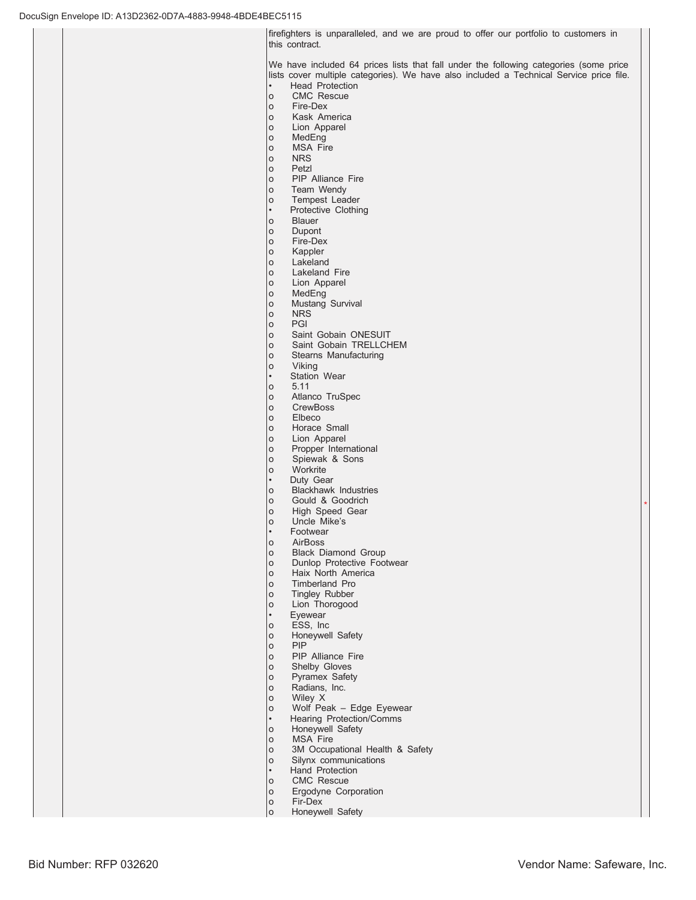Ifirefighters is unparalleled, and we are proud to offer our portfolio to customers in this contract.

We have included 64 prices lists that fall under the following categories (some price lists cover multiple categories). We have also included a Technical Service price file. Head Protection

o CMC Rescue

- o Fire-Dex
- o Kask America
- o Lion Apparel<br>o MedEng
- o MedEng<br>o MSA Fir
- MSA Fire
- o NRS
- o Petzl
- o PIP Alliance Fire
- o Team Wendy
- o Tempest Leader
- Protective Clothing
- o Blauer
- o Dupont
- o Fire-Dex<br>o Kappler
- Kappler o Lakeland
- o Lakeland Fire
- o Lion Apparel
- o MedEng
- o Mustang Survival
- 
- o NRS<br>o PGI PGI
- o Saint Gobain ONESUIT
- o Saint Gobain TRELLCHEM
- o Stearns Manufacturing
- o Viking
- Station Wear<br>o 5.11
- 5.11
- o Atlanco TruSpec
- o CrewBoss
- o Elbeco
- o Horace Small<br>o Lion Apparel Lion Apparel
- 
- o Propper International o Spiewak & Sons
- 
- o Workrite Duty Gear
- 
- o Blackhawk Industries<br>o Gould & Goodrich Gould & Goodrich
- o High Speed Gear
- o Uncle Mike's
- Footwear
- o AirBoss
- 
- o Black Diamond Group
- o Dunlop Protective Footwear<br>o Haix North America Haix North America
- 
- o Timberland Pro
- o Tingley Rubber
- o Lion Thorogood
- Eyewear<br>o ESS, Ind
- ESS, Inc.
- o Honeywell Safety
- o PIP
- o PIP Alliance Fire
- o Shelby Gloves
- o Pyramex Safety<br>o Radians, Inc. Radians, Inc.
- o Wiley X
- o Wolf Peak Edge Eyewear
- Hearing Protection/Comms
- o Honeywell Safety
- 
- o MSA Fire<br>o 3M Occup 3M Occupational Health & Safety
- o Silynx communications
- Hand Protection
- o CMC Rescue
- o Ergodyne Corporation
- o Fir-Dex
- o Honeywell Safety

 $\ddot{\phantom{1}}$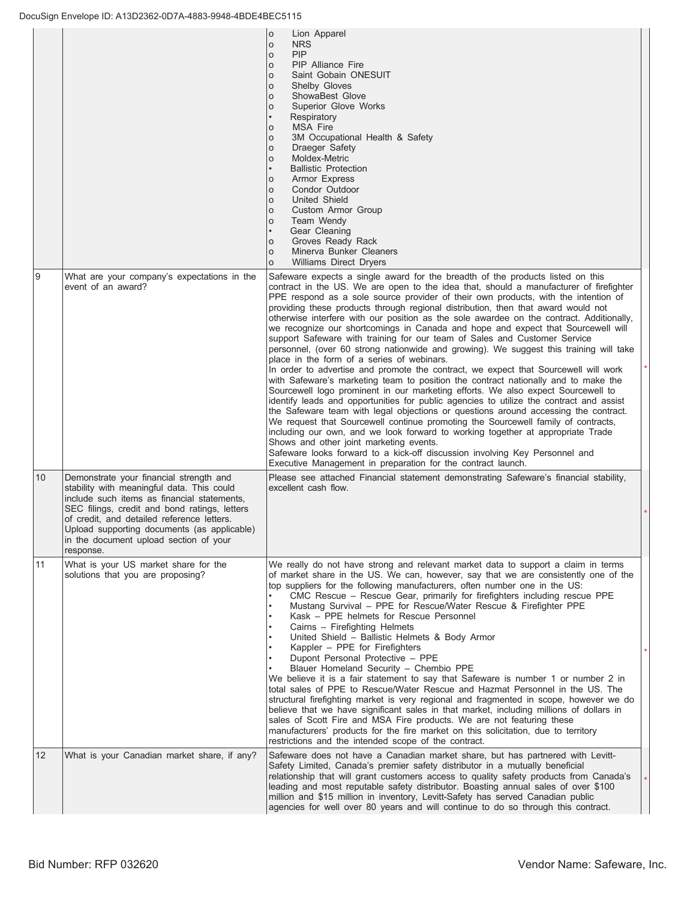|    |                                                                                                                                                                                                                                                                                                                                           | $\circ$<br>Lion Apparel<br><b>NRS</b><br>$\circ$<br>PIP<br>$\circ$<br><b>PIP Alliance Fire</b><br>$\circ$<br>Saint Gobain ONESUIT<br>$\mathsf{o}$<br><b>Shelby Gloves</b><br>$\circ$<br>ShowaBest Glove<br>$\circ$<br>Superior Glove Works<br>$\circ$<br>Respiratory<br>$\bullet$<br><b>MSA Fire</b><br>$\circ$<br>3M Occupational Health & Safety<br>O<br>Draeger Safety<br>O<br>Moldex-Metric<br>$\circ$<br><b>Ballistic Protection</b><br>Armor Express<br>$\circ$<br>Condor Outdoor<br>$\circ$<br>United Shield<br>$\circ$<br>Custom Armor Group<br>$\circ$<br>Team Wendy<br>$\circ$<br>Gear Cleaning<br>Groves Ready Rack<br>$\circ$<br>Minerva Bunker Cleaners<br>$\circ$<br><b>Williams Direct Dryers</b><br>$\Omega$                                                                                                                                                                                                                                                                                                                                                                                                                                                                                                                                                                                                                                                                                                                                                                                                                                                  |  |
|----|-------------------------------------------------------------------------------------------------------------------------------------------------------------------------------------------------------------------------------------------------------------------------------------------------------------------------------------------|-------------------------------------------------------------------------------------------------------------------------------------------------------------------------------------------------------------------------------------------------------------------------------------------------------------------------------------------------------------------------------------------------------------------------------------------------------------------------------------------------------------------------------------------------------------------------------------------------------------------------------------------------------------------------------------------------------------------------------------------------------------------------------------------------------------------------------------------------------------------------------------------------------------------------------------------------------------------------------------------------------------------------------------------------------------------------------------------------------------------------------------------------------------------------------------------------------------------------------------------------------------------------------------------------------------------------------------------------------------------------------------------------------------------------------------------------------------------------------------------------------------------------------------------------------------------------------|--|
| Ι9 | What are your company's expectations in the<br>event of an award?                                                                                                                                                                                                                                                                         | Safeware expects a single award for the breadth of the products listed on this<br>contract in the US. We are open to the idea that, should a manufacturer of firefighter<br>PPE respond as a sole source provider of their own products, with the intention of<br>providing these products through regional distribution, then that award would not<br>otherwise interfere with our position as the sole awardee on the contract. Additionally,<br>we recognize our shortcomings in Canada and hope and expect that Sourcewell will<br>support Safeware with training for our team of Sales and Customer Service<br>personnel, (over 60 strong nationwide and growing). We suggest this training will take<br>place in the form of a series of webinars.<br>In order to advertise and promote the contract, we expect that Sourcewell will work<br>with Safeware's marketing team to position the contract nationally and to make the<br>Sourcewell logo prominent in our marketing efforts. We also expect Sourcewell to<br>identify leads and opportunities for public agencies to utilize the contract and assist<br>the Safeware team with legal objections or questions around accessing the contract.<br>We request that Sourcewell continue promoting the Sourcewell family of contracts,<br>including our own, and we look forward to working together at appropriate Trade<br>Shows and other joint marketing events.<br>Safeware looks forward to a kick-off discussion involving Key Personnel and<br>Executive Management in preparation for the contract launch. |  |
| 10 | Demonstrate your financial strength and<br>stability with meaningful data. This could<br>include such items as financial statements,<br>SEC filings, credit and bond ratings, letters<br>of credit, and detailed reference letters.<br>Upload supporting documents (as applicable)<br>in the document upload section of your<br>response. | Please see attached Financial statement demonstrating Safeware's financial stability,<br>excellent cash flow.                                                                                                                                                                                                                                                                                                                                                                                                                                                                                                                                                                                                                                                                                                                                                                                                                                                                                                                                                                                                                                                                                                                                                                                                                                                                                                                                                                                                                                                                 |  |
| 11 | What is your US market share for the<br>solutions that you are proposing?                                                                                                                                                                                                                                                                 | We really do not have strong and relevant market data to support a claim in terms<br>of market share in the US. We can, however, say that we are consistently one of the<br>top suppliers for the following manufacturers, often number one in the US:<br>CMC Rescue - Rescue Gear, primarily for firefighters including rescue PPE<br>Mustang Survival - PPE for Rescue/Water Rescue & Firefighter PPE<br>Kask - PPE helmets for Rescue Personnel<br>Cairns - Firefighting Helmets<br>United Shield - Ballistic Helmets & Body Armor<br>Kappler - PPE for Firefighters<br>Dupont Personal Protective - PPE<br>Blauer Homeland Security - Chembio PPE<br>We believe it is a fair statement to say that Safeware is number 1 or number 2 in<br>total sales of PPE to Rescue/Water Rescue and Hazmat Personnel in the US. The<br>structural firefighting market is very regional and fragmented in scope, however we do<br>believe that we have significant sales in that market, including millions of dollars in<br>sales of Scott Fire and MSA Fire products. We are not featuring these<br>manufacturers' products for the fire market on this solicitation, due to territory<br>restrictions and the intended scope of the contract.                                                                                                                                                                                                                                                                                                                                       |  |
| 12 | What is your Canadian market share, if any?                                                                                                                                                                                                                                                                                               | Safeware does not have a Canadian market share, but has partnered with Levitt-<br>Safety Limited, Canada's premier safety distributor in a mutually beneficial<br>relationship that will grant customers access to quality safety products from Canada's<br>leading and most reputable safety distributor. Boasting annual sales of over \$100<br>million and \$15 million in inventory, Levitt-Safety has served Canadian public<br>agencies for well over 80 years and will continue to do so through this contract.                                                                                                                                                                                                                                                                                                                                                                                                                                                                                                                                                                                                                                                                                                                                                                                                                                                                                                                                                                                                                                                        |  |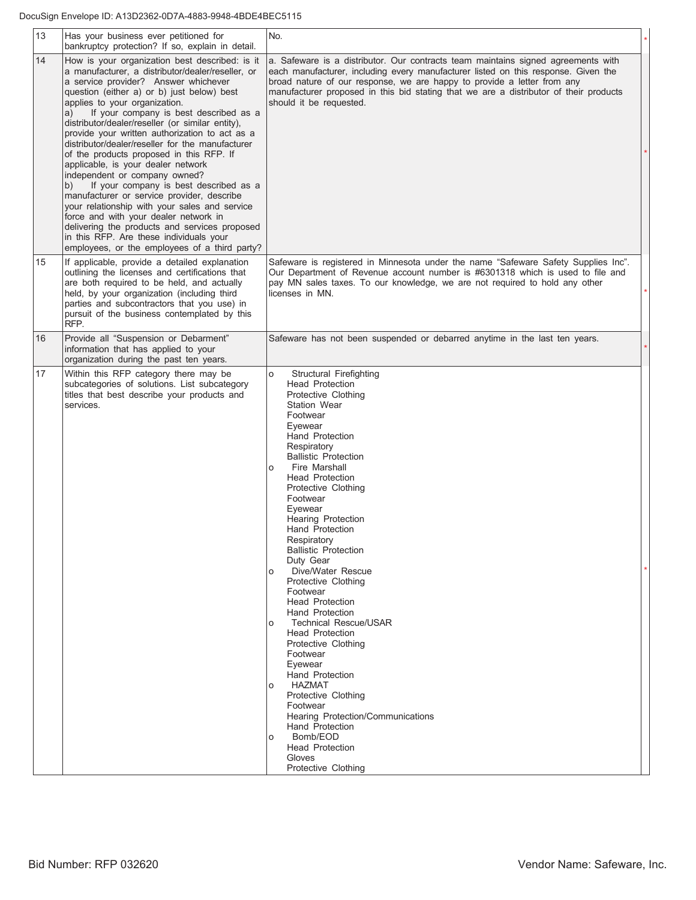| 13 | Has your business ever petitioned for<br>bankruptcy protection? If so, explain in detail.                                                                                                                                                                                                                                                                                                                                                                                                                                                                                                                                                                                                                                                                                                                                                                                                    | No.                                                                                                                                                                                                                                                                                                                                                                                                                                                                                                                                                                                                                                                                                                                                                                                                                                                                    |
|----|----------------------------------------------------------------------------------------------------------------------------------------------------------------------------------------------------------------------------------------------------------------------------------------------------------------------------------------------------------------------------------------------------------------------------------------------------------------------------------------------------------------------------------------------------------------------------------------------------------------------------------------------------------------------------------------------------------------------------------------------------------------------------------------------------------------------------------------------------------------------------------------------|------------------------------------------------------------------------------------------------------------------------------------------------------------------------------------------------------------------------------------------------------------------------------------------------------------------------------------------------------------------------------------------------------------------------------------------------------------------------------------------------------------------------------------------------------------------------------------------------------------------------------------------------------------------------------------------------------------------------------------------------------------------------------------------------------------------------------------------------------------------------|
| 14 | How is your organization best described: is it<br>a manufacturer, a distributor/dealer/reseller, or<br>a service provider? Answer whichever<br>question (either a) or b) just below) best<br>applies to your organization.<br>If your company is best described as a<br>a)<br>distributor/dealer/reseller (or similar entity),<br>provide your written authorization to act as a<br>distributor/dealer/reseller for the manufacturer<br>of the products proposed in this RFP. If<br>applicable, is your dealer network<br>independent or company owned?<br>If your company is best described as a<br>b)<br>manufacturer or service provider, describe<br>your relationship with your sales and service<br>force and with your dealer network in<br>delivering the products and services proposed<br>in this RFP. Are these individuals your<br>employees, or the employees of a third party? | a. Safeware is a distributor. Our contracts team maintains signed agreements with<br>each manufacturer, including every manufacturer listed on this response. Given the<br>broad nature of our response, we are happy to provide a letter from any<br>manufacturer proposed in this bid stating that we are a distributor of their products<br>should it be requested.                                                                                                                                                                                                                                                                                                                                                                                                                                                                                                 |
| 15 | If applicable, provide a detailed explanation<br>outlining the licenses and certifications that<br>are both required to be held, and actually<br>held, by your organization (including third<br>parties and subcontractors that you use) in<br>pursuit of the business contemplated by this<br>RFP.                                                                                                                                                                                                                                                                                                                                                                                                                                                                                                                                                                                          | Safeware is registered in Minnesota under the name "Safeware Safety Supplies Inc".<br>Our Department of Revenue account number is #6301318 which is used to file and<br>pay MN sales taxes. To our knowledge, we are not required to hold any other<br>licenses in MN.                                                                                                                                                                                                                                                                                                                                                                                                                                                                                                                                                                                                 |
| 16 | Provide all "Suspension or Debarment"<br>information that has applied to your<br>organization during the past ten years.                                                                                                                                                                                                                                                                                                                                                                                                                                                                                                                                                                                                                                                                                                                                                                     | Safeware has not been suspended or debarred anytime in the last ten years.                                                                                                                                                                                                                                                                                                                                                                                                                                                                                                                                                                                                                                                                                                                                                                                             |
| 17 | Within this RFP category there may be<br>subcategories of solutions. List subcategory<br>titles that best describe your products and<br>services.                                                                                                                                                                                                                                                                                                                                                                                                                                                                                                                                                                                                                                                                                                                                            | Structural Firefighting<br>$\circ$<br><b>Head Protection</b><br>Protective Clothing<br><b>Station Wear</b><br>Footwear<br>Eyewear<br>Hand Protection<br>Respiratory<br><b>Ballistic Protection</b><br>Fire Marshall<br>O<br><b>Head Protection</b><br>Protective Clothing<br>Footwear<br>Eyewear<br><b>Hearing Protection</b><br><b>Hand Protection</b><br>Respiratory<br><b>Ballistic Protection</b><br>Duty Gear<br>Dive/Water Rescue<br>O<br>Protective Clothing<br>Footwear<br><b>Head Protection</b><br><b>Hand Protection</b><br>Technical Rescue/USAR<br>$\circ$<br><b>Head Protection</b><br>Protective Clothing<br>Footwear<br>Eyewear<br><b>Hand Protection</b><br>HAZMAT<br>O<br>Protective Clothing<br>Footwear<br>Hearing Protection/Communications<br><b>Hand Protection</b><br>Bomb/EOD<br>O<br><b>Head Protection</b><br>Gloves<br>Protective Clothing |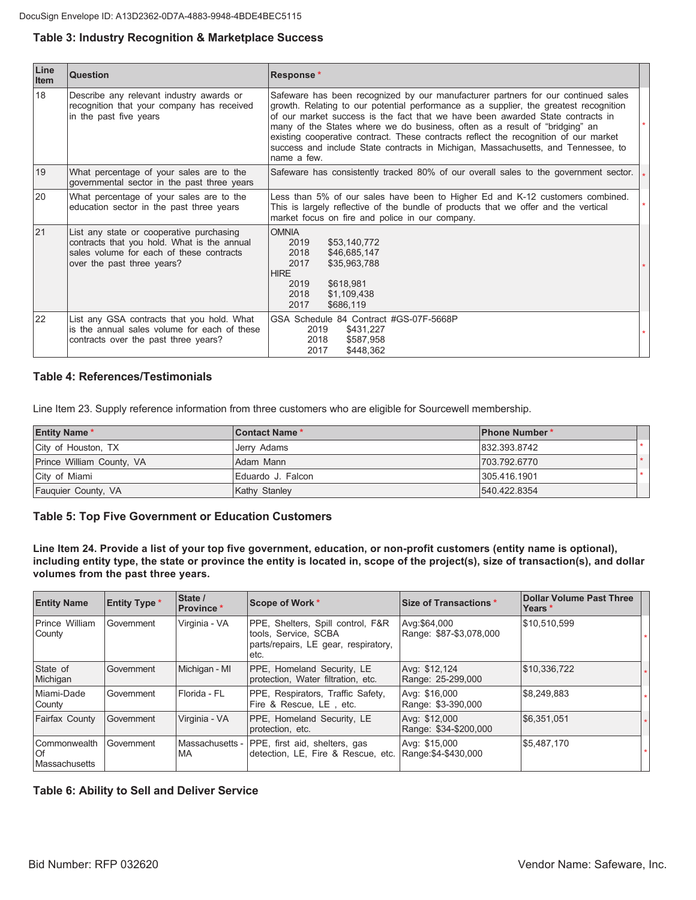#### Table 3: Industry Recognition & Marketplace Success

| Line<br>Item | <b>Question</b>                                                                                                                                                   | Response*                                                                                                                                                                                                                                                                                                                                                                                                                                                                                                                               |         |
|--------------|-------------------------------------------------------------------------------------------------------------------------------------------------------------------|-----------------------------------------------------------------------------------------------------------------------------------------------------------------------------------------------------------------------------------------------------------------------------------------------------------------------------------------------------------------------------------------------------------------------------------------------------------------------------------------------------------------------------------------|---------|
| 18           | Describe any relevant industry awards or<br>recognition that your company has received<br>in the past five years                                                  | Safeware has been recognized by our manufacturer partners for our continued sales<br>growth. Relating to our potential performance as a supplier, the greatest recognition<br>of our market success is the fact that we have been awarded State contracts in<br>many of the States where we do business, often as a result of "bridging" an<br>existing cooperative contract. These contracts reflect the recognition of our market<br>success and include State contracts in Michigan, Massachusetts, and Tennessee, to<br>name a few. |         |
| 19           | What percentage of your sales are to the<br>governmental sector in the past three years                                                                           | Safeware has consistently tracked 80% of our overall sales to the government sector. $\frac{1}{3}$                                                                                                                                                                                                                                                                                                                                                                                                                                      |         |
| 20           | What percentage of your sales are to the<br>education sector in the past three years                                                                              | Less than 5% of our sales have been to Higher Ed and K-12 customers combined.<br>This is largely reflective of the bundle of products that we offer and the vertical<br>market focus on fire and police in our company.                                                                                                                                                                                                                                                                                                                 | $\star$ |
| 21           | List any state or cooperative purchasing<br>contracts that you hold. What is the annual<br>sales volume for each of these contracts<br>over the past three years? | <b>OMNIA</b><br>2019<br>\$53,140,772<br>2018<br>\$46,685,147<br>2017<br>\$35,963,788<br><b>HIRE</b><br>\$618,981<br>2019<br>2018<br>\$1,109,438<br>2017<br>\$686,119                                                                                                                                                                                                                                                                                                                                                                    |         |
| 22           | List any GSA contracts that you hold. What<br>is the annual sales volume for each of these<br>contracts over the past three years?                                | GSA Schedule 84 Contract #GS-07F-5668P<br>\$431,227<br>2019<br>2018<br>\$587,958<br>2017<br>\$448,362                                                                                                                                                                                                                                                                                                                                                                                                                                   |         |

#### **Table 4: References/Testimonials**

Line Item 23. Supply reference information from three customers who are eligible for Sourcewell membership.

| <b>Entity Name*</b>       | <b>Contact Name*</b> | <b>IPhone Number*</b> |  |
|---------------------------|----------------------|-----------------------|--|
| City of Houston, TX       | Jerry Adams          | 832.393.8742          |  |
| Prince William County, VA | Adam Mann            | 1703.792.6770         |  |
| City of Miami             | Eduardo J. Falcon    | 305.416.1901          |  |
| Fauguier County, VA       | <b>Kathy Stanley</b> | 540.422.8354          |  |

#### **Table 5: Top Five Government or Education Customers**

Line Item 24. Provide a list of your top five government, education, or non-profit customers (entity name is optional), including entity type, the state or province the entity is located in, scope of the project(s), size of transaction(s), and dollar volumes from the past three years.

| <b>Entity Name</b>                                  | <b>Entity Type *</b> | State /<br><b>Province</b> * | Scope of Work *                                                                                           | Size of Transactions *                  | <b>Dollar Volume Past Three</b><br>Years * |
|-----------------------------------------------------|----------------------|------------------------------|-----------------------------------------------------------------------------------------------------------|-----------------------------------------|--------------------------------------------|
| Prince William<br>County                            | Government           | Virginia - VA                | PPE, Shelters, Spill control, F&R<br>tools, Service, SCBA<br>parts/repairs, LE gear, respiratory,<br>etc. | Avg:\$64,000<br>Range: \$87-\$3,078,000 | \$10,510,599                               |
| State of<br>Michigan                                | Government           | Michigan - MI                | PPE, Homeland Security, LE<br>protection, Water filtration, etc.                                          | Avg: \$12,124<br>Range: 25-299,000      | \$10,336,722                               |
| Miami-Dade<br>County                                | Government           | Florida - FL                 | PPE, Respirators, Traffic Safety,<br>Fire & Rescue, LE, etc.                                              | Avg: \$16,000<br>Range: \$3-390,000     | \$8,249,883                                |
| <b>Fairfax County</b>                               | Government           | Virginia - VA                | PPE, Homeland Security, LE<br>protection, etc.                                                            | Avg: \$12,000<br>Range: \$34-\$200,000  | \$6,351,051                                |
| <b>Commonwealth</b><br>l Of<br><b>Massachusetts</b> | Government           | Massachusetts -<br>МA        | PPE, first aid, shelters, gas<br>detection, LE, Fire & Rescue, etc.                                       | Avg: \$15,000<br>Range: \$4-\$430,000   | \$5,487,170                                |

#### **Table 6: Ability to Sell and Deliver Service**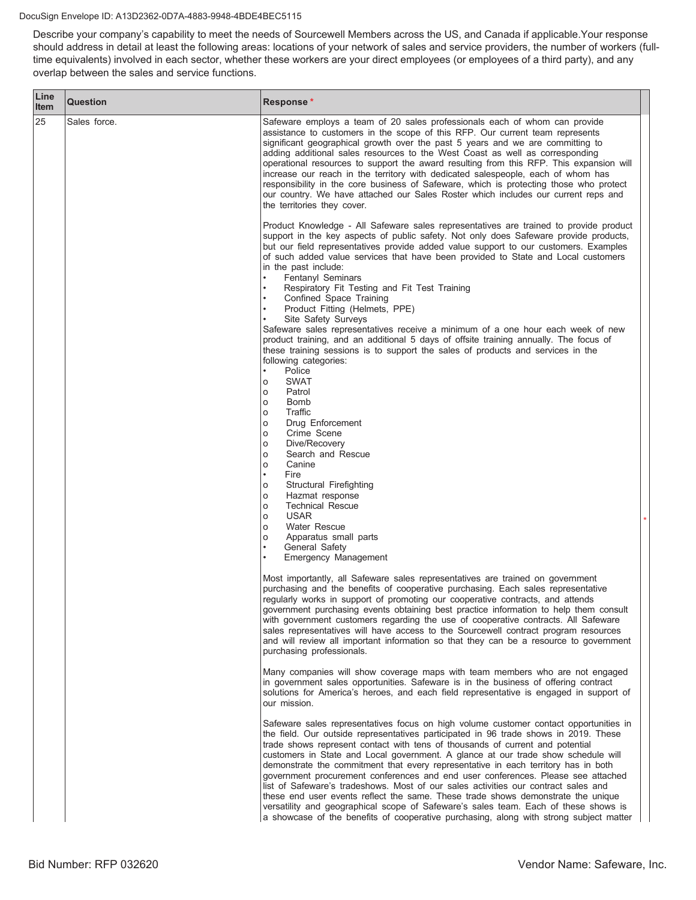#### DocuSign Envelope ID: A13D2362-0D7A-4883-9948-4BDE4BEC5115

Describe your company's capability to meet the needs of Sourcewell Members across the US, and Canada if applicable.Your response should address in detail at least the following areas: locations of your network of sales and service providers, the number of workers (fulltime equivalents) involved in each sector, whether these workers are your direct employees (or employees of a third party), and any overlap between the sales and service functions.

| Line<br><b>Item</b> | <b>Question</b> | Response*                                                                                                                                                                                                                                                                                                                                                                                                                                                                                                                                                                                                                                                                                                                                                                                                                                                                                |  |
|---------------------|-----------------|------------------------------------------------------------------------------------------------------------------------------------------------------------------------------------------------------------------------------------------------------------------------------------------------------------------------------------------------------------------------------------------------------------------------------------------------------------------------------------------------------------------------------------------------------------------------------------------------------------------------------------------------------------------------------------------------------------------------------------------------------------------------------------------------------------------------------------------------------------------------------------------|--|
| 25                  | Sales force.    | Safeware employs a team of 20 sales professionals each of whom can provide<br>assistance to customers in the scope of this RFP. Our current team represents<br>significant geographical growth over the past 5 years and we are committing to<br>adding additional sales resources to the West Coast as well as corresponding<br>operational resources to support the award resulting from this RFP. This expansion will<br>increase our reach in the territory with dedicated salespeople, each of whom has<br>responsibility in the core business of Safeware, which is protecting those who protect<br>our country. We have attached our Sales Roster which includes our current reps and<br>the territories they cover.                                                                                                                                                              |  |
|                     |                 | Product Knowledge - All Safeware sales representatives are trained to provide product<br>support in the key aspects of public safety. Not only does Safeware provide products,<br>but our field representatives provide added value support to our customers. Examples<br>of such added value services that have been provided to State and Local customers<br>in the past include:<br><b>Fentanyl Seminars</b><br>Respiratory Fit Testing and Fit Test Training<br>Confined Space Training                                                                                                                                                                                                                                                                                                                                                                                              |  |
|                     |                 | Product Fitting (Helmets, PPE)<br>Site Safety Surveys<br>Safeware sales representatives receive a minimum of a one hour each week of new<br>product training, and an additional 5 days of offsite training annually. The focus of<br>these training sessions is to support the sales of products and services in the<br>following categories:                                                                                                                                                                                                                                                                                                                                                                                                                                                                                                                                            |  |
|                     |                 | Police<br><b>SWAT</b><br>o<br>Patrol<br>O<br>Bomb<br>O<br>Traffic<br>O<br>Drug Enforcement<br>O<br>Crime Scene<br>o<br>Dive/Recovery<br>O<br>Search and Rescue<br>O<br>Canine<br>o<br>$\bullet$<br>Fire<br>Structural Firefighting<br>o<br>Hazmat response<br>o<br><b>Technical Rescue</b><br>o<br><b>USAR</b><br>o<br><b>Water Rescue</b><br>o<br>Apparatus small parts<br>O<br>$\bullet$<br>General Safety<br>Emergency Management                                                                                                                                                                                                                                                                                                                                                                                                                                                     |  |
|                     |                 | Most importantly, all Safeware sales representatives are trained on government<br>purchasing and the benefits of cooperative purchasing. Each sales representative<br>regularly works in support of promoting our cooperative contracts, and attends<br>government purchasing events obtaining best practice information to help them consult<br>with government customers regarding the use of cooperative contracts. All Safeware<br>sales representatives will have access to the Sourcewell contract program resources<br>and will review all important information so that they can be a resource to government<br>purchasing professionals.                                                                                                                                                                                                                                        |  |
|                     |                 | Many companies will show coverage maps with team members who are not engaged<br>in government sales opportunities. Safeware is in the business of offering contract<br>solutions for America's heroes, and each field representative is engaged in support of<br>our mission.                                                                                                                                                                                                                                                                                                                                                                                                                                                                                                                                                                                                            |  |
|                     |                 | Safeware sales representatives focus on high volume customer contact opportunities in<br>the field. Our outside representatives participated in 96 trade shows in 2019. These<br>trade shows represent contact with tens of thousands of current and potential<br>customers in State and Local government. A glance at our trade show schedule will<br>demonstrate the commitment that every representative in each territory has in both<br>government procurement conferences and end user conferences. Please see attached<br>list of Safeware's tradeshows. Most of our sales activities our contract sales and<br>these end user events reflect the same. These trade shows demonstrate the unique<br>versatility and geographical scope of Safeware's sales team. Each of these shows is<br>a showcase of the benefits of cooperative purchasing, along with strong subject matter |  |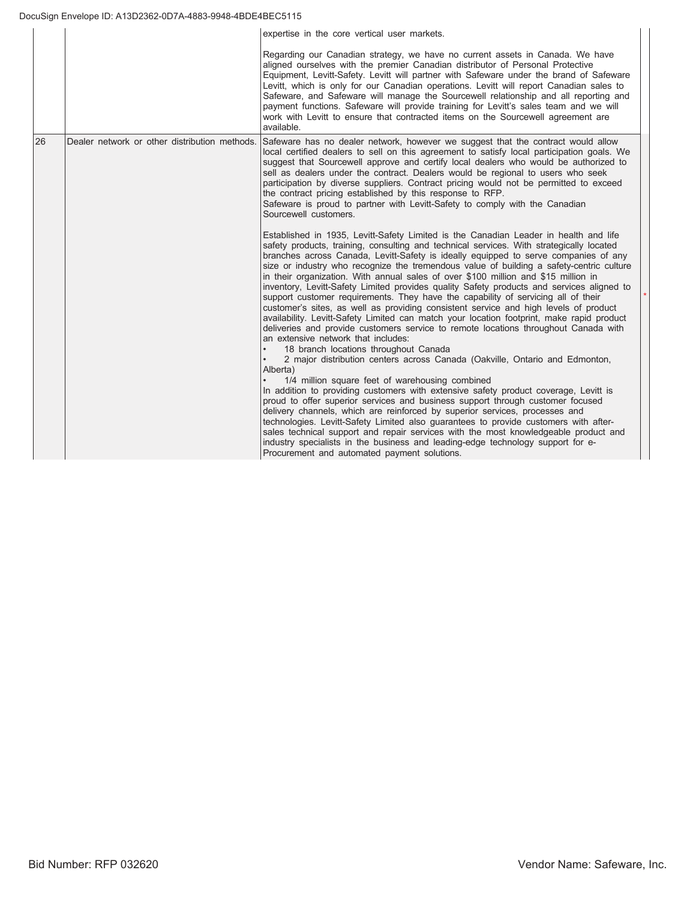|    |                                               | expertise in the core vertical user markets.                                                                                                                                                                                                                                                                                                                                                                                                                                                                                                                                                                                                                                                                                                                                                                                                                                                                                                                                                                                                                                                                                                                                                                                                                                                                                                                                                                                                                                                                                                                                                                                                                                                                                     |
|----|-----------------------------------------------|----------------------------------------------------------------------------------------------------------------------------------------------------------------------------------------------------------------------------------------------------------------------------------------------------------------------------------------------------------------------------------------------------------------------------------------------------------------------------------------------------------------------------------------------------------------------------------------------------------------------------------------------------------------------------------------------------------------------------------------------------------------------------------------------------------------------------------------------------------------------------------------------------------------------------------------------------------------------------------------------------------------------------------------------------------------------------------------------------------------------------------------------------------------------------------------------------------------------------------------------------------------------------------------------------------------------------------------------------------------------------------------------------------------------------------------------------------------------------------------------------------------------------------------------------------------------------------------------------------------------------------------------------------------------------------------------------------------------------------|
|    |                                               | Regarding our Canadian strategy, we have no current assets in Canada. We have<br>aligned ourselves with the premier Canadian distributor of Personal Protective<br>Equipment, Levitt-Safety. Levitt will partner with Safeware under the brand of Safeware<br>Levitt, which is only for our Canadian operations. Levitt will report Canadian sales to<br>Safeware, and Safeware will manage the Sourcewell relationship and all reporting and<br>payment functions. Safeware will provide training for Levitt's sales team and we will<br>work with Levitt to ensure that contracted items on the Sourcewell agreement are<br>available.                                                                                                                                                                                                                                                                                                                                                                                                                                                                                                                                                                                                                                                                                                                                                                                                                                                                                                                                                                                                                                                                                         |
| 26 | Dealer network or other distribution methods. | Safeware has no dealer network, however we suggest that the contract would allow<br>local certified dealers to sell on this agreement to satisfy local participation goals. We<br>suggest that Sourcewell approve and certify local dealers who would be authorized to<br>sell as dealers under the contract. Dealers would be regional to users who seek<br>participation by diverse suppliers. Contract pricing would not be permitted to exceed<br>the contract pricing established by this response to RFP.<br>Safeware is proud to partner with Levitt-Safety to comply with the Canadian<br>Sourcewell customers.                                                                                                                                                                                                                                                                                                                                                                                                                                                                                                                                                                                                                                                                                                                                                                                                                                                                                                                                                                                                                                                                                                          |
|    |                                               | Established in 1935, Levitt-Safety Limited is the Canadian Leader in health and life<br>safety products, training, consulting and technical services. With strategically located<br>branches across Canada, Levitt-Safety is ideally equipped to serve companies of any<br>size or industry who recognize the tremendous value of building a safety-centric culture<br>in their organization. With annual sales of over \$100 million and \$15 million in<br>inventory, Levitt-Safety Limited provides quality Safety products and services aligned to<br>support customer requirements. They have the capability of servicing all of their<br>customer's sites, as well as providing consistent service and high levels of product<br>availability. Levitt-Safety Limited can match your location footprint, make rapid product<br>deliveries and provide customers service to remote locations throughout Canada with<br>an extensive network that includes:<br>18 branch locations throughout Canada<br>2 major distribution centers across Canada (Oakville, Ontario and Edmonton,<br>Alberta)<br>1/4 million square feet of warehousing combined<br>In addition to providing customers with extensive safety product coverage, Levitt is<br>proud to offer superior services and business support through customer focused<br>delivery channels, which are reinforced by superior services, processes and<br>technologies. Levitt-Safety Limited also guarantees to provide customers with after-<br>sales technical support and repair services with the most knowledgeable product and<br>industry specialists in the business and leading-edge technology support for e-<br>Procurement and automated payment solutions. |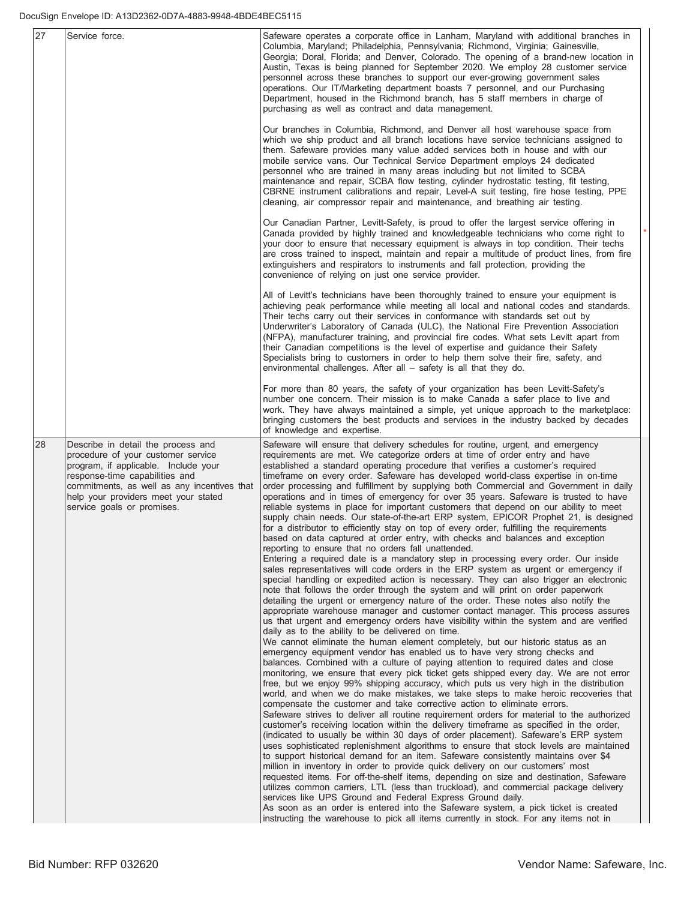| 27 | Service force.                                                                                                                                                                                                                                                          | Safeware operates a corporate office in Lanham, Maryland with additional branches in<br>Columbia, Maryland; Philadelphia, Pennsylvania; Richmond, Virginia; Gainesville,<br>Georgia; Doral, Florida; and Denver, Colorado. The opening of a brand-new location in<br>Austin, Texas is being planned for September 2020. We employ 28 customer service<br>personnel across these branches to support our ever-growing government sales<br>operations. Our IT/Marketing department boasts 7 personnel, and our Purchasing<br>Department, housed in the Richmond branch, has 5 staff members in charge of<br>purchasing as well as contract and data management.                                                                                                                                                                                                                                                                                                                                                                                                                                                                                                                                                                                                                                                                                                                                                                                                                                                                                                                                                                                                                                                                                                                                                                                                                                                                                                                                                                                                                                                                                                                                                                                                                                                                                                                                                                                                                                                                                                                                                                                                                                                                                                                                                                                                                                                                                                                                                                                                                                                                                                                                              |
|----|-------------------------------------------------------------------------------------------------------------------------------------------------------------------------------------------------------------------------------------------------------------------------|------------------------------------------------------------------------------------------------------------------------------------------------------------------------------------------------------------------------------------------------------------------------------------------------------------------------------------------------------------------------------------------------------------------------------------------------------------------------------------------------------------------------------------------------------------------------------------------------------------------------------------------------------------------------------------------------------------------------------------------------------------------------------------------------------------------------------------------------------------------------------------------------------------------------------------------------------------------------------------------------------------------------------------------------------------------------------------------------------------------------------------------------------------------------------------------------------------------------------------------------------------------------------------------------------------------------------------------------------------------------------------------------------------------------------------------------------------------------------------------------------------------------------------------------------------------------------------------------------------------------------------------------------------------------------------------------------------------------------------------------------------------------------------------------------------------------------------------------------------------------------------------------------------------------------------------------------------------------------------------------------------------------------------------------------------------------------------------------------------------------------------------------------------------------------------------------------------------------------------------------------------------------------------------------------------------------------------------------------------------------------------------------------------------------------------------------------------------------------------------------------------------------------------------------------------------------------------------------------------------------------------------------------------------------------------------------------------------------------------------------------------------------------------------------------------------------------------------------------------------------------------------------------------------------------------------------------------------------------------------------------------------------------------------------------------------------------------------------------------------------------------------------------------------------------------------------------------|
|    |                                                                                                                                                                                                                                                                         | Our branches in Columbia, Richmond, and Denver all host warehouse space from<br>which we ship product and all branch locations have service technicians assigned to<br>them. Safeware provides many value added services both in house and with our<br>mobile service vans. Our Technical Service Department employs 24 dedicated<br>personnel who are trained in many areas including but not limited to SCBA<br>maintenance and repair, SCBA flow testing, cylinder hydrostatic testing, fit testing,<br>CBRNE instrument calibrations and repair, Level-A suit testing, fire hose testing, PPE<br>cleaning, air compressor repair and maintenance, and breathing air testing.                                                                                                                                                                                                                                                                                                                                                                                                                                                                                                                                                                                                                                                                                                                                                                                                                                                                                                                                                                                                                                                                                                                                                                                                                                                                                                                                                                                                                                                                                                                                                                                                                                                                                                                                                                                                                                                                                                                                                                                                                                                                                                                                                                                                                                                                                                                                                                                                                                                                                                                           |
|    |                                                                                                                                                                                                                                                                         | Our Canadian Partner, Levitt-Safety, is proud to offer the largest service offering in<br>Canada provided by highly trained and knowledgeable technicians who come right to<br>your door to ensure that necessary equipment is always in top condition. Their techs<br>are cross trained to inspect, maintain and repair a multitude of product lines, from fire<br>extinguishers and respirators to instruments and fall protection, providing the<br>convenience of relying on just one service provider.                                                                                                                                                                                                                                                                                                                                                                                                                                                                                                                                                                                                                                                                                                                                                                                                                                                                                                                                                                                                                                                                                                                                                                                                                                                                                                                                                                                                                                                                                                                                                                                                                                                                                                                                                                                                                                                                                                                                                                                                                                                                                                                                                                                                                                                                                                                                                                                                                                                                                                                                                                                                                                                                                                |
|    |                                                                                                                                                                                                                                                                         | All of Levitt's technicians have been thoroughly trained to ensure your equipment is<br>achieving peak performance while meeting all local and national codes and standards.<br>Their techs carry out their services in conformance with standards set out by<br>Underwriter's Laboratory of Canada (ULC), the National Fire Prevention Association<br>(NFPA), manufacturer training, and provincial fire codes. What sets Levitt apart from<br>their Canadian competitions is the level of expertise and guidance their Safety<br>Specialists bring to customers in order to help them solve their fire, safety, and<br>environmental challenges. After all – safety is all that they do.                                                                                                                                                                                                                                                                                                                                                                                                                                                                                                                                                                                                                                                                                                                                                                                                                                                                                                                                                                                                                                                                                                                                                                                                                                                                                                                                                                                                                                                                                                                                                                                                                                                                                                                                                                                                                                                                                                                                                                                                                                                                                                                                                                                                                                                                                                                                                                                                                                                                                                                 |
|    |                                                                                                                                                                                                                                                                         | For more than 80 years, the safety of your organization has been Levitt-Safety's<br>number one concern. Their mission is to make Canada a safer place to live and<br>work. They have always maintained a simple, yet unique approach to the marketplace:<br>bringing customers the best products and services in the industry backed by decades<br>of knowledge and expertise.                                                                                                                                                                                                                                                                                                                                                                                                                                                                                                                                                                                                                                                                                                                                                                                                                                                                                                                                                                                                                                                                                                                                                                                                                                                                                                                                                                                                                                                                                                                                                                                                                                                                                                                                                                                                                                                                                                                                                                                                                                                                                                                                                                                                                                                                                                                                                                                                                                                                                                                                                                                                                                                                                                                                                                                                                             |
| 28 | Describe in detail the process and<br>procedure of your customer service<br>program, if applicable. Include your<br>response-time capabilities and<br>commitments, as well as any incentives that<br>help your providers meet your stated<br>service goals or promises. | Safeware will ensure that delivery schedules for routine, urgent, and emergency<br>requirements are met. We categorize orders at time of order entry and have<br>established a standard operating procedure that verifies a customer's required<br>timeframe on every order. Safeware has developed world-class expertise in on-time<br>order processing and fulfillment by supplying both Commercial and Government in daily<br>operations and in times of emergency for over 35 years. Safeware is trusted to have<br>reliable systems in place for important customers that depend on our ability to meet<br>supply chain needs. Our state-of-the-art ERP system, EPICOR Prophet 21, is designed<br>for a distributor to efficiently stay on top of every order, fulfilling the requirements<br>based on data captured at order entry, with checks and balances and exception<br>reporting to ensure that no orders fall unattended.<br>Entering a required date is a mandatory step in processing every order. Our inside<br>sales representatives will code orders in the ERP system as urgent or emergency if<br>special handling or expedited action is necessary. They can also trigger an electronic<br>note that follows the order through the system and will print on order paperwork<br>detailing the urgent or emergency nature of the order. These notes also notify the<br>appropriate warehouse manager and customer contact manager. This process assures<br>us that urgent and emergency orders have visibility within the system and are verified<br>daily as to the ability to be delivered on time.<br>We cannot eliminate the human element completely, but our historic status as an<br>emergency equipment vendor has enabled us to have very strong checks and<br>balances. Combined with a culture of paying attention to required dates and close<br>monitoring, we ensure that every pick ticket gets shipped every day. We are not error<br>free, but we enjoy 99% shipping accuracy, which puts us very high in the distribution<br>world, and when we do make mistakes, we take steps to make heroic recoveries that<br>compensate the customer and take corrective action to eliminate errors.<br>Safeware strives to deliver all routine requirement orders for material to the authorized<br>customer's receiving location within the delivery timeframe as specified in the order,<br>(indicated to usually be within 30 days of order placement). Safeware's ERP system<br>uses sophisticated replenishment algorithms to ensure that stock levels are maintained<br>to support historical demand for an item. Safeware consistently maintains over \$4<br>million in inventory in order to provide quick delivery on our customers' most<br>requested items. For off-the-shelf items, depending on size and destination, Safeware<br>utilizes common carriers, LTL (less than truckload), and commercial package delivery<br>services like UPS Ground and Federal Express Ground daily.<br>As soon as an order is entered into the Safeware system, a pick ticket is created<br>instructing the warehouse to pick all items currently in stock. For any items not in |

Ť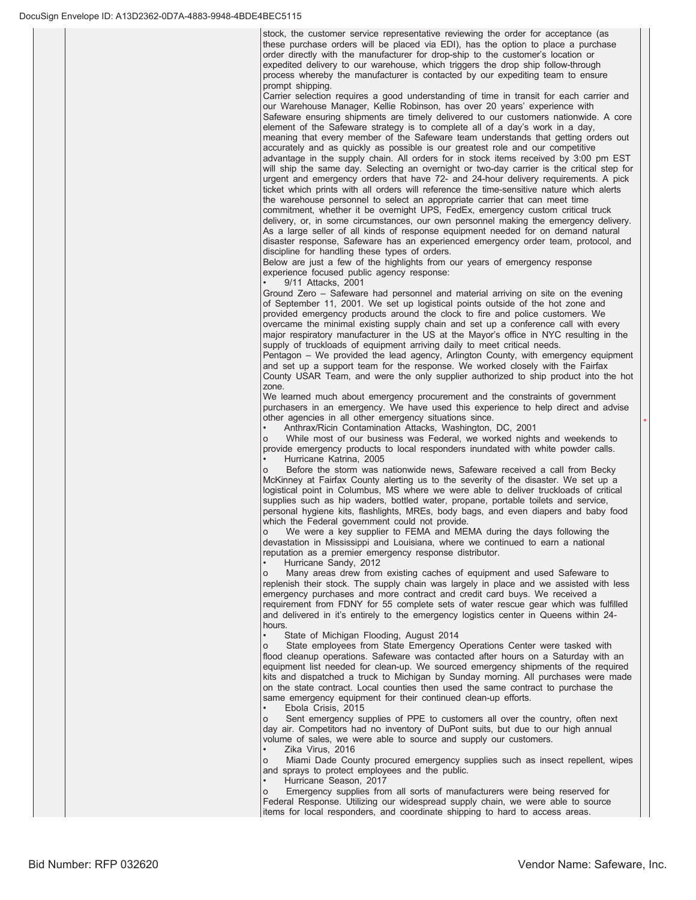stock, the customer service representative reviewing the order for acceptance (as these purchase orders will be placed via EDI), has the option to place a purchase order directly with the manufacturer for drop-ship to the customer's location or expedited delivery to our warehouse, which triggers the drop ship follow-through process whereby the manufacturer is contacted by our expediting team to ensure prompt shipping.

Carrier selection requires a good understanding of time in transit for each carrier and our Warehouse Manager, Kellie Robinson, has over 20 years' experience with Safeware ensuring shipments are timely delivered to our customers nationwide. A core element of the Safeware strategy is to complete all of a day's work in a day, meaning that every member of the Safeware team understands that getting orders out accurately and as quickly as possible is our greatest role and our competitive advantage in the supply chain. All orders for in stock items received by 3:00 pm EST will ship the same day. Selecting an overnight or two-day carrier is the critical step for urgent and emergency orders that have 72- and 24-hour delivery requirements. A pick ticket which prints with all orders will reference the time-sensitive nature which alerts the warehouse personnel to select an appropriate carrier that can meet time commitment, whether it be overnight UPS, FedEx, emergency custom critical truck delivery, or, in some circumstances, our own personnel making the emergency delivery. As a large seller of all kinds of response equipment needed for on demand natural disaster response, Safeware has an experienced emergency order team, protocol, and discipline for handling these types of orders.

Below are just a few of the highlights from our years of emergency response experience focused public agency response:

9/11 Attacks, 2001

Ground Zero - Safeware had personnel and material arriving on site on the evening of September 11, 2001. We set up logistical points outside of the hot zone and provided emergency products around the clock to fire and police customers. We overcame the minimal existing supply chain and set up a conference call with every major respiratory manufacturer in the US at the Mayor's office in NYC resulting in the supply of truckloads of equipment arriving daily to meet critical needs.

Pentagon - We provided the lead agency, Arlington County, with emergency equipment and set up a support team for the response. We worked closely with the Fairfax County USAR Team, and were the only supplier authorized to ship product into the hot zone.

We learned much about emergency procurement and the constraints of government purchasers in an emergency. We have used this experience to help direct and advise other agencies in all other emergency situations since.

Anthrax/Ricin Contamination Attacks, Washington, DC, 2001

While most of our business was Federal, we worked nights and weekends to provide emergency products to local responders inundated with white powder calls. Hurricane Katrina, 2005

Before the storm was nationwide news, Safeware received a call from Becky McKinney at Fairfax County alerting us to the severity of the disaster. We set up a logistical point in Columbus, MS where we were able to deliver truckloads of critical supplies such as hip waders, bottled water, propane, portable toilets and service, personal hygiene kits, flashlights, MREs, body bags, and even diapers and baby food which the Federal government could not provide.

We were a key supplier to FEMA and MEMA during the days following the devastation in Mississippi and Louisiana, where we continued to earn a national reputation as a premier emergency response distributor.

Hurricane Sandy, 2012

Many areas drew from existing caches of equipment and used Safeware to replenish their stock. The supply chain was largely in place and we assisted with less emergency purchases and more contract and credit card buys. We received a requirement from FDNY for 55 complete sets of water rescue gear which was fulfilled and delivered in it's entirely to the emergency logistics center in Queens within 24hours

State of Michigan Flooding, August 2014

State employees from State Emergency Operations Center were tasked with flood cleanup operations. Safeware was contacted after hours on a Saturday with an equipment list needed for clean-up. We sourced emergency shipments of the required kits and dispatched a truck to Michigan by Sunday morning. All purchases were made on the state contract. Local counties then used the same contract to purchase the same emergency equipment for their continued clean-up efforts.

Ebola Crisis, 2015

Sent emergency supplies of PPE to customers all over the country, often next day air. Competitors had no inventory of DuPont suits, but due to our high annual volume of sales, we were able to source and supply our customers.

Zika Virus, 2016

Miami Dade County procured emergency supplies such as insect repellent, wipes and sprays to protect employees and the public.

Hurricane Season, 2017

Emergency supplies from all sorts of manufacturers were being reserved for Federal Response. Utilizing our widespread supply chain, we were able to source items for local responders, and coordinate shipping to hard to access areas.

 $\overline{\phantom{a}}$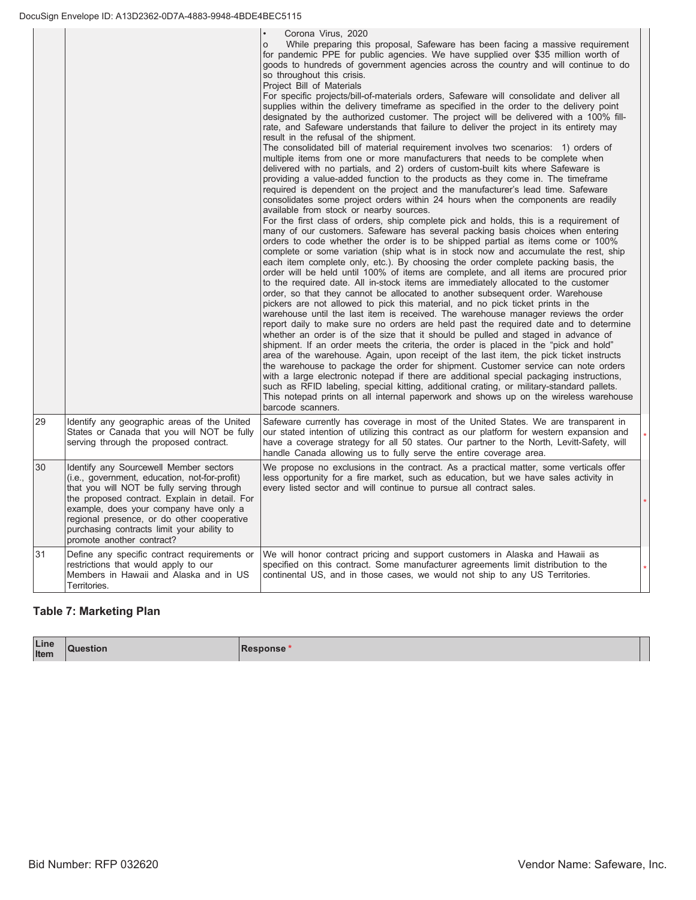|    |                                                                                                                                                                                                                                                                                                                                                           | Corona Virus, 2020<br>While preparing this proposal, Safeware has been facing a massive requirement<br>$\circ$<br>for pandemic PPE for public agencies. We have supplied over \$35 million worth of<br>goods to hundreds of government agencies across the country and will continue to do<br>so throughout this crisis.<br>Project Bill of Materials<br>For specific projects/bill-of-materials orders, Safeware will consolidate and deliver all<br>supplies within the delivery timeframe as specified in the order to the delivery point<br>designated by the authorized customer. The project will be delivered with a 100% fill-<br>rate, and Safeware understands that failure to deliver the project in its entirety may<br>result in the refusal of the shipment.<br>The consolidated bill of material requirement involves two scenarios: 1) orders of<br>multiple items from one or more manufacturers that needs to be complete when<br>delivered with no partials, and 2) orders of custom-built kits where Safeware is<br>providing a value-added function to the products as they come in. The timeframe<br>required is dependent on the project and the manufacturer's lead time. Safeware<br>consolidates some project orders within 24 hours when the components are readily<br>available from stock or nearby sources.<br>For the first class of orders, ship complete pick and holds, this is a requirement of<br>many of our customers. Safeware has several packing basis choices when entering<br>orders to code whether the order is to be shipped partial as items come or 100%<br>complete or some variation (ship what is in stock now and accumulate the rest, ship<br>each item complete only, etc.). By choosing the order complete packing basis, the<br>order will be held until 100% of items are complete, and all items are procured prior<br>to the required date. All in-stock items are immediately allocated to the customer<br>order, so that they cannot be allocated to another subsequent order. Warehouse<br>pickers are not allowed to pick this material, and no pick ticket prints in the<br>warehouse until the last item is received. The warehouse manager reviews the order<br>report daily to make sure no orders are held past the required date and to determine<br>whether an order is of the size that it should be pulled and staged in advance of<br>shipment. If an order meets the criteria, the order is placed in the "pick and hold"<br>area of the warehouse. Again, upon receipt of the last item, the pick ticket instructs<br>the warehouse to package the order for shipment. Customer service can note orders<br>with a large electronic notepad if there are additional special packaging instructions,<br>such as RFID labeling, special kitting, additional crating, or military-standard pallets.<br>This notepad prints on all internal paperwork and shows up on the wireless warehouse<br>barcode scanners. |  |
|----|-----------------------------------------------------------------------------------------------------------------------------------------------------------------------------------------------------------------------------------------------------------------------------------------------------------------------------------------------------------|-----------------------------------------------------------------------------------------------------------------------------------------------------------------------------------------------------------------------------------------------------------------------------------------------------------------------------------------------------------------------------------------------------------------------------------------------------------------------------------------------------------------------------------------------------------------------------------------------------------------------------------------------------------------------------------------------------------------------------------------------------------------------------------------------------------------------------------------------------------------------------------------------------------------------------------------------------------------------------------------------------------------------------------------------------------------------------------------------------------------------------------------------------------------------------------------------------------------------------------------------------------------------------------------------------------------------------------------------------------------------------------------------------------------------------------------------------------------------------------------------------------------------------------------------------------------------------------------------------------------------------------------------------------------------------------------------------------------------------------------------------------------------------------------------------------------------------------------------------------------------------------------------------------------------------------------------------------------------------------------------------------------------------------------------------------------------------------------------------------------------------------------------------------------------------------------------------------------------------------------------------------------------------------------------------------------------------------------------------------------------------------------------------------------------------------------------------------------------------------------------------------------------------------------------------------------------------------------------------------------------------------------------------------------------------------------------------------------------------------------------------------------------------------------------------------------------------------------------------------------------------------------------------------------------------------------------------------------------------------------|--|
| 29 | Identify any geographic areas of the United<br>States or Canada that you will NOT be fully<br>serving through the proposed contract.                                                                                                                                                                                                                      | Safeware currently has coverage in most of the United States. We are transparent in<br>our stated intention of utilizing this contract as our platform for western expansion and<br>have a coverage strategy for all 50 states. Our partner to the North, Levitt-Safety, will<br>handle Canada allowing us to fully serve the entire coverage area.                                                                                                                                                                                                                                                                                                                                                                                                                                                                                                                                                                                                                                                                                                                                                                                                                                                                                                                                                                                                                                                                                                                                                                                                                                                                                                                                                                                                                                                                                                                                                                                                                                                                                                                                                                                                                                                                                                                                                                                                                                                                                                                                                                                                                                                                                                                                                                                                                                                                                                                                                                                                                                     |  |
| 30 | Identify any Sourcewell Member sectors<br>(i.e., government, education, not-for-profit)<br>that you will NOT be fully serving through<br>the proposed contract. Explain in detail. For<br>example, does your company have only a<br>regional presence, or do other cooperative<br>purchasing contracts limit your ability to<br>promote another contract? | We propose no exclusions in the contract. As a practical matter, some verticals offer<br>less opportunity for a fire market, such as education, but we have sales activity in<br>every listed sector and will continue to pursue all contract sales.                                                                                                                                                                                                                                                                                                                                                                                                                                                                                                                                                                                                                                                                                                                                                                                                                                                                                                                                                                                                                                                                                                                                                                                                                                                                                                                                                                                                                                                                                                                                                                                                                                                                                                                                                                                                                                                                                                                                                                                                                                                                                                                                                                                                                                                                                                                                                                                                                                                                                                                                                                                                                                                                                                                                    |  |
| 31 | Define any specific contract requirements or<br>restrictions that would apply to our<br>Members in Hawaii and Alaska and in US<br>Territories.                                                                                                                                                                                                            | We will honor contract pricing and support customers in Alaska and Hawaii as<br>specified on this contract. Some manufacturer agreements limit distribution to the<br>continental US, and in those cases, we would not ship to any US Territories.                                                                                                                                                                                                                                                                                                                                                                                                                                                                                                                                                                                                                                                                                                                                                                                                                                                                                                                                                                                                                                                                                                                                                                                                                                                                                                                                                                                                                                                                                                                                                                                                                                                                                                                                                                                                                                                                                                                                                                                                                                                                                                                                                                                                                                                                                                                                                                                                                                                                                                                                                                                                                                                                                                                                      |  |

# **Table 7: Marketing Plan**

| Line | <b>Question</b> | Response |
|------|-----------------|----------|
| Item |                 |          |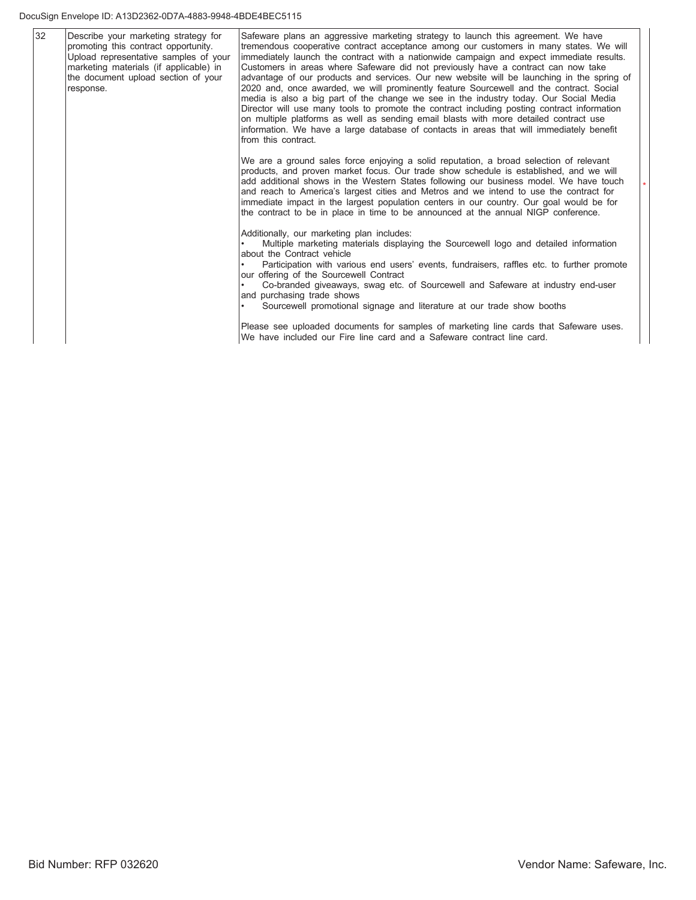#### DocuSign Envelope ID: A13D2362-0D7A-4883-9948-4BDE4BEC5115

| 32 | Describe your marketing strategy for<br>promoting this contract opportunity.<br>Upload representative samples of your<br>marketing materials (if applicable) in<br>the document upload section of your<br>response. | Safeware plans an aggressive marketing strategy to launch this agreement. We have<br>tremendous cooperative contract acceptance among our customers in many states. We will<br>immediately launch the contract with a nationwide campaign and expect immediate results.<br>Customers in areas where Safeware did not previously have a contract can now take<br>advantage of our products and services. Our new website will be launching in the spring of<br>2020 and, once awarded, we will prominently feature Sourcewell and the contract. Social<br>media is also a big part of the change we see in the industry today. Our Social Media<br>Director will use many tools to promote the contract including posting contract information<br>on multiple platforms as well as sending email blasts with more detailed contract use<br>information. We have a large database of contacts in areas that will immediately benefit<br>from this contract. |
|----|---------------------------------------------------------------------------------------------------------------------------------------------------------------------------------------------------------------------|-----------------------------------------------------------------------------------------------------------------------------------------------------------------------------------------------------------------------------------------------------------------------------------------------------------------------------------------------------------------------------------------------------------------------------------------------------------------------------------------------------------------------------------------------------------------------------------------------------------------------------------------------------------------------------------------------------------------------------------------------------------------------------------------------------------------------------------------------------------------------------------------------------------------------------------------------------------|
|    |                                                                                                                                                                                                                     | We are a ground sales force enjoying a solid reputation, a broad selection of relevant<br>products, and proven market focus. Our trade show schedule is established, and we will<br>add additional shows in the Western States following our business model. We have touch<br>and reach to America's largest cities and Metros and we intend to use the contract for<br>immediate impact in the largest population centers in our country. Our goal would be for<br>the contract to be in place in time to be announced at the annual NIGP conference.                                                                                                                                                                                                                                                                                                                                                                                                    |
|    |                                                                                                                                                                                                                     | Additionally, our marketing plan includes:<br>Multiple marketing materials displaying the Sourcewell logo and detailed information<br>about the Contract vehicle<br>Participation with various end users' events, fundraisers, raffles etc. to further promote<br>our offering of the Sourcewell Contract<br>Co-branded giveaways, swag etc. of Sourcewell and Safeware at industry end-user<br>and purchasing trade shows<br>Sourcewell promotional signage and literature at our trade show booths                                                                                                                                                                                                                                                                                                                                                                                                                                                      |
|    |                                                                                                                                                                                                                     | Please see uploaded documents for samples of marketing line cards that Safeware uses.<br>We have included our Fire line card and a Safeware contract line card.                                                                                                                                                                                                                                                                                                                                                                                                                                                                                                                                                                                                                                                                                                                                                                                           |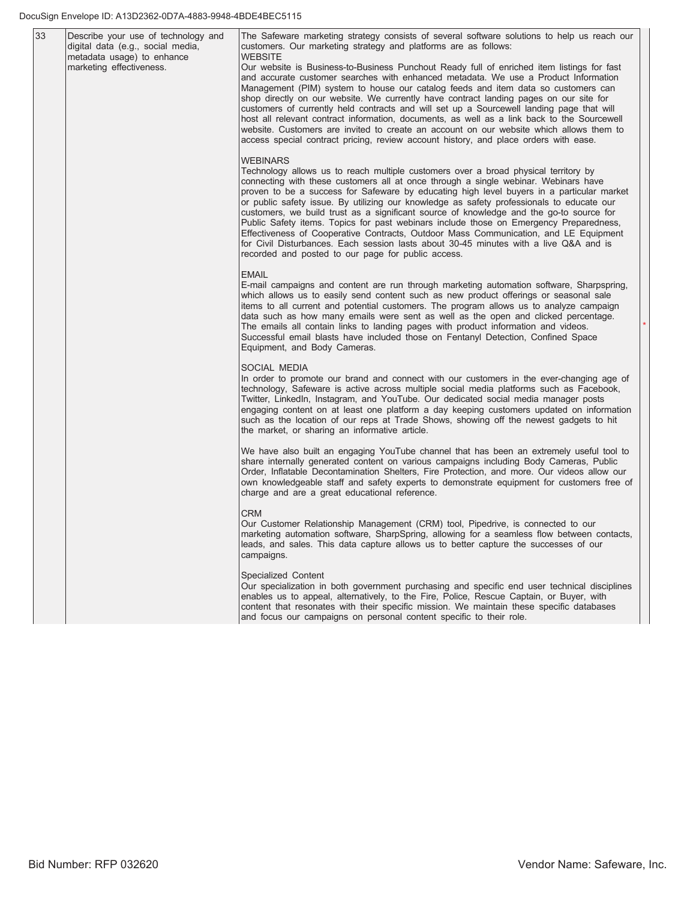| 33 | Describe your use of technology and<br>digital data (e.g., social media,<br>metadata usage) to enhance<br>marketing effectiveness. | The Safeware marketing strategy consists of several software solutions to help us reach our<br>customers. Our marketing strategy and platforms are as follows:<br><b>WEBSITE</b><br>Our website is Business-to-Business Punchout Ready full of enriched item listings for fast<br>and accurate customer searches with enhanced metadata. We use a Product Information<br>Management (PIM) system to house our catalog feeds and item data so customers can<br>shop directly on our website. We currently have contract landing pages on our site for<br>customers of currently held contracts and will set up a Sourcewell landing page that will<br>host all relevant contract information, documents, as well as a link back to the Sourcewell<br>website. Customers are invited to create an account on our website which allows them to<br>access special contract pricing, review account history, and place orders with ease. |
|----|------------------------------------------------------------------------------------------------------------------------------------|-------------------------------------------------------------------------------------------------------------------------------------------------------------------------------------------------------------------------------------------------------------------------------------------------------------------------------------------------------------------------------------------------------------------------------------------------------------------------------------------------------------------------------------------------------------------------------------------------------------------------------------------------------------------------------------------------------------------------------------------------------------------------------------------------------------------------------------------------------------------------------------------------------------------------------------|
|    |                                                                                                                                    | <b>WEBINARS</b><br>Technology allows us to reach multiple customers over a broad physical territory by<br>connecting with these customers all at once through a single webinar. Webinars have<br>proven to be a success for Safeware by educating high level buyers in a particular market<br>or public safety issue. By utilizing our knowledge as safety professionals to educate our<br>customers, we build trust as a significant source of knowledge and the go-to source for<br>Public Safety items. Topics for past webinars include those on Emergency Preparedness,<br>Effectiveness of Cooperative Contracts, Outdoor Mass Communication, and LE Equipment<br>for Civil Disturbances. Each session lasts about 30-45 minutes with a live Q&A and is<br>recorded and posted to our page for public access.                                                                                                                 |
|    |                                                                                                                                    | <b>EMAIL</b><br>E-mail campaigns and content are run through marketing automation software, Sharpspring,<br>which allows us to easily send content such as new product offerings or seasonal sale<br>items to all current and potential customers. The program allows us to analyze campaign<br>data such as how many emails were sent as well as the open and clicked percentage.<br>The emails all contain links to landing pages with product information and videos.<br>Successful email blasts have included those on Fentanyl Detection, Confined Space<br>Equipment, and Body Cameras.                                                                                                                                                                                                                                                                                                                                       |
|    |                                                                                                                                    | SOCIAL MEDIA<br>In order to promote our brand and connect with our customers in the ever-changing age of<br>technology, Safeware is active across multiple social media platforms such as Facebook,<br>Twitter, LinkedIn, Instagram, and YouTube. Our dedicated social media manager posts<br>engaging content on at least one platform a day keeping customers updated on information<br>such as the location of our reps at Trade Shows, showing off the newest gadgets to hit<br>the market, or sharing an informative article.                                                                                                                                                                                                                                                                                                                                                                                                  |
|    |                                                                                                                                    | We have also built an engaging YouTube channel that has been an extremely useful tool to<br>share internally generated content on various campaigns including Body Cameras, Public<br>Order, Inflatable Decontamination Shelters, Fire Protection, and more. Our videos allow our<br>own knowledgeable staff and safety experts to demonstrate equipment for customers free of<br>charge and are a great educational reference.                                                                                                                                                                                                                                                                                                                                                                                                                                                                                                     |
|    |                                                                                                                                    | <b>CRM</b><br>Our Customer Relationship Management (CRM) tool, Pipedrive, is connected to our<br>marketing automation software, SharpSpring, allowing for a seamless flow between contacts,<br>leads, and sales. This data capture allows us to better capture the successes of our<br>campaigns.                                                                                                                                                                                                                                                                                                                                                                                                                                                                                                                                                                                                                                   |
|    |                                                                                                                                    | Specialized Content<br>Our specialization in both government purchasing and specific end user technical disciplines<br>enables us to appeal, alternatively, to the Fire, Police, Rescue Captain, or Buyer, with<br>content that resonates with their specific mission. We maintain these specific databases<br>and focus our campaigns on personal content specific to their role.                                                                                                                                                                                                                                                                                                                                                                                                                                                                                                                                                  |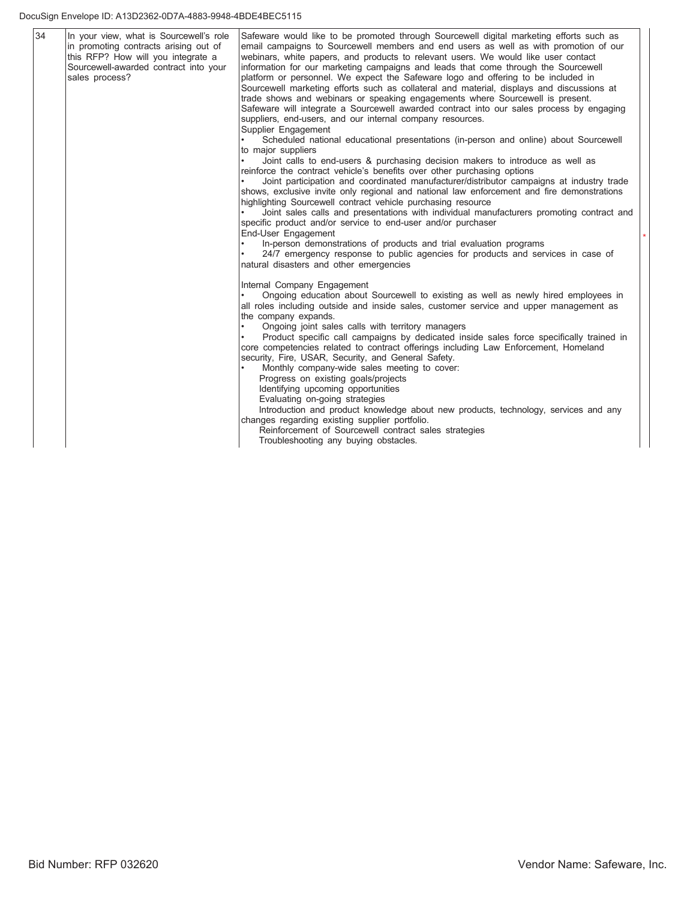#### DocuSign Envelope ID: A13D2362-0D7A-4883-9948-4BDE4BEC5115

| 34 | In your view, what is Sourcewell's role<br>in promoting contracts arising out of<br>this RFP? How will you integrate a<br>Sourcewell-awarded contract into your<br>sales process? | Safeware would like to be promoted through Sourcewell digital marketing efforts such as<br>email campaigns to Sourcewell members and end users as well as with promotion of our<br>webinars, white papers, and products to relevant users. We would like user contact<br>information for our marketing campaigns and leads that come through the Sourcewell<br>platform or personnel. We expect the Safeware logo and offering to be included in<br>Sourcewell marketing efforts such as collateral and material, displays and discussions at<br>trade shows and webinars or speaking engagements where Sourcewell is present.<br>Safeware will integrate a Sourcewell awarded contract into our sales process by engaging<br>suppliers, end-users, and our internal company resources.<br>Supplier Engagement<br>Scheduled national educational presentations (in-person and online) about Sourcewell<br>to major suppliers<br>Joint calls to end-users & purchasing decision makers to introduce as well as<br>reinforce the contract vehicle's benefits over other purchasing options<br>Joint participation and coordinated manufacturer/distributor campaigns at industry trade<br>shows, exclusive invite only regional and national law enforcement and fire demonstrations |
|----|-----------------------------------------------------------------------------------------------------------------------------------------------------------------------------------|------------------------------------------------------------------------------------------------------------------------------------------------------------------------------------------------------------------------------------------------------------------------------------------------------------------------------------------------------------------------------------------------------------------------------------------------------------------------------------------------------------------------------------------------------------------------------------------------------------------------------------------------------------------------------------------------------------------------------------------------------------------------------------------------------------------------------------------------------------------------------------------------------------------------------------------------------------------------------------------------------------------------------------------------------------------------------------------------------------------------------------------------------------------------------------------------------------------------------------------------------------------------------------|
|    |                                                                                                                                                                                   | highlighting Sourcewell contract vehicle purchasing resource<br>Joint sales calls and presentations with individual manufacturers promoting contract and<br>specific product and/or service to end-user and/or purchaser<br>End-User Engagement<br>In-person demonstrations of products and trial evaluation programs<br>24/7 emergency response to public agencies for products and services in case of<br>natural disasters and other emergencies                                                                                                                                                                                                                                                                                                                                                                                                                                                                                                                                                                                                                                                                                                                                                                                                                                |
|    |                                                                                                                                                                                   | Internal Company Engagement<br>Ongoing education about Sourcewell to existing as well as newly hired employees in<br>all roles including outside and inside sales, customer service and upper management as<br>the company expands.<br>Ongoing joint sales calls with territory managers<br>Product specific call campaigns by dedicated inside sales force specifically trained in<br>core competencies related to contract offerings including Law Enforcement, Homeland<br>security, Fire, USAR, Security, and General Safety.<br>Monthly company-wide sales meeting to cover:<br>Progress on existing goals/projects<br>Identifying upcoming opportunities<br>Evaluating on-going strategies<br>Introduction and product knowledge about new products, technology, services and any                                                                                                                                                                                                                                                                                                                                                                                                                                                                                            |
|    |                                                                                                                                                                                   | changes regarding existing supplier portfolio.<br>Reinforcement of Sourcewell contract sales strategies<br>Troubleshooting any buying obstacles.                                                                                                                                                                                                                                                                                                                                                                                                                                                                                                                                                                                                                                                                                                                                                                                                                                                                                                                                                                                                                                                                                                                                   |

Ť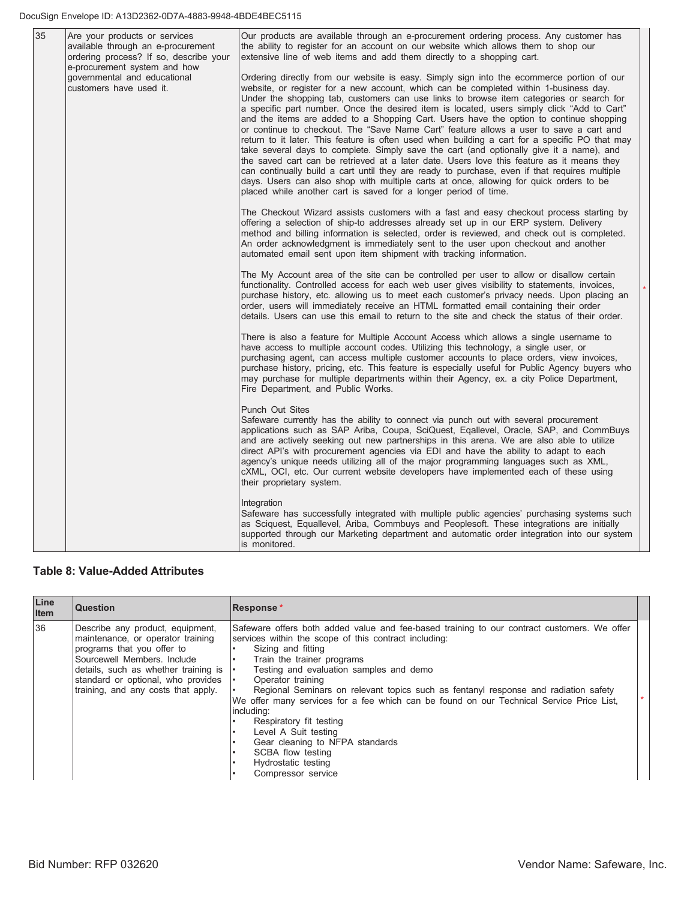| 35 | Are your products or services<br>available through an e-procurement<br>ordering process? If so, describe your<br>e-procurement system and how | Our products are available through an e-procurement ordering process. Any customer has<br>the ability to register for an account on our website which allows them to shop our<br>extensive line of web items and add them directly to a shopping cart.                                                                                                                                                                                                                                                                                                                                                                                                                                                                                                                                                                                                                                                                                                                                                                                                                                                                   |
|----|-----------------------------------------------------------------------------------------------------------------------------------------------|--------------------------------------------------------------------------------------------------------------------------------------------------------------------------------------------------------------------------------------------------------------------------------------------------------------------------------------------------------------------------------------------------------------------------------------------------------------------------------------------------------------------------------------------------------------------------------------------------------------------------------------------------------------------------------------------------------------------------------------------------------------------------------------------------------------------------------------------------------------------------------------------------------------------------------------------------------------------------------------------------------------------------------------------------------------------------------------------------------------------------|
|    | governmental and educational<br>customers have used it.                                                                                       | Ordering directly from our website is easy. Simply sign into the ecommerce portion of our<br>website, or register for a new account, which can be completed within 1-business day.<br>Under the shopping tab, customers can use links to browse item categories or search for<br>a specific part number. Once the desired item is located, users simply click "Add to Cart"<br>and the items are added to a Shopping Cart. Users have the option to continue shopping<br>or continue to checkout. The "Save Name Cart" feature allows a user to save a cart and<br>return to it later. This feature is often used when building a cart for a specific PO that may<br>take several days to complete. Simply save the cart (and optionally give it a name), and<br>the saved cart can be retrieved at a later date. Users love this feature as it means they<br>can continually build a cart until they are ready to purchase, even if that requires multiple<br>days. Users can also shop with multiple carts at once, allowing for quick orders to be<br>placed while another cart is saved for a longer period of time. |
|    |                                                                                                                                               | The Checkout Wizard assists customers with a fast and easy checkout process starting by<br>offering a selection of ship-to addresses already set up in our ERP system. Delivery<br>method and billing information is selected, order is reviewed, and check out is completed.<br>An order acknowledgment is immediately sent to the user upon checkout and another<br>automated email sent upon item shipment with tracking information.                                                                                                                                                                                                                                                                                                                                                                                                                                                                                                                                                                                                                                                                                 |
|    |                                                                                                                                               | The My Account area of the site can be controlled per user to allow or disallow certain<br>functionality. Controlled access for each web user gives visibility to statements, invoices,<br>purchase history, etc. allowing us to meet each customer's privacy needs. Upon placing an<br>order, users will immediately receive an HTML formatted email containing their order<br>details. Users can use this email to return to the site and check the status of their order.                                                                                                                                                                                                                                                                                                                                                                                                                                                                                                                                                                                                                                             |
|    |                                                                                                                                               | There is also a feature for Multiple Account Access which allows a single username to<br>have access to multiple account codes. Utilizing this technology, a single user, or<br>purchasing agent, can access multiple customer accounts to place orders, view invoices,<br>purchase history, pricing, etc. This feature is especially useful for Public Agency buyers who<br>may purchase for multiple departments within their Agency, ex. a city Police Department,<br>Fire Department, and Public Works.                                                                                                                                                                                                                                                                                                                                                                                                                                                                                                                                                                                                              |
|    |                                                                                                                                               | Punch Out Sites<br>Safeware currently has the ability to connect via punch out with several procurement<br>applications such as SAP Ariba, Coupa, SciQuest, Eqallevel, Oracle, SAP, and CommBuys<br>and are actively seeking out new partnerships in this arena. We are also able to utilize<br>direct API's with procurement agencies via EDI and have the ability to adapt to each<br>agency's unique needs utilizing all of the major programming languages such as XML,<br>cXML, OCI, etc. Our current website developers have implemented each of these using<br>their proprietary system.                                                                                                                                                                                                                                                                                                                                                                                                                                                                                                                          |
|    |                                                                                                                                               | Integration<br>Safeware has successfully integrated with multiple public agencies' purchasing systems such<br>as Sciguest, Equallevel, Ariba, Commbuys and Peoplesoft. These integrations are initially<br>supported through our Marketing department and automatic order integration into our system<br>is monitored.                                                                                                                                                                                                                                                                                                                                                                                                                                                                                                                                                                                                                                                                                                                                                                                                   |

# **Table 8: Value-Added Attributes**

| Line<br>Item | <b>Question</b>                                                                                                                                                                                                                                                     | Response*                                                                                                                                                                                                                                                                                                                                                                                                                                                                                                                                                                                                                         |  |
|--------------|---------------------------------------------------------------------------------------------------------------------------------------------------------------------------------------------------------------------------------------------------------------------|-----------------------------------------------------------------------------------------------------------------------------------------------------------------------------------------------------------------------------------------------------------------------------------------------------------------------------------------------------------------------------------------------------------------------------------------------------------------------------------------------------------------------------------------------------------------------------------------------------------------------------------|--|
| 36           | Describe any product, equipment,<br>maintenance, or operator training<br>programs that you offer to<br>Sourcewell Members, Include<br>details, such as whether training is $\cdot$<br>standard or optional, who provides   •<br>training, and any costs that apply. | Safeware offers both added value and fee-based training to our contract customers. We offer<br>services within the scope of this contract including:<br>Sizing and fitting<br>Train the trainer programs<br>Testing and evaluation samples and demo<br>Operator training<br>Regional Seminars on relevant topics such as fentanyl response and radiation safety<br>We offer many services for a fee which can be found on our Technical Service Price List,<br>including:<br>Respiratory fit testing<br>Level A Suit testing<br>Gear cleaning to NFPA standards<br>SCBA flow testing<br>Hydrostatic testing<br>Compressor service |  |

 $\ast$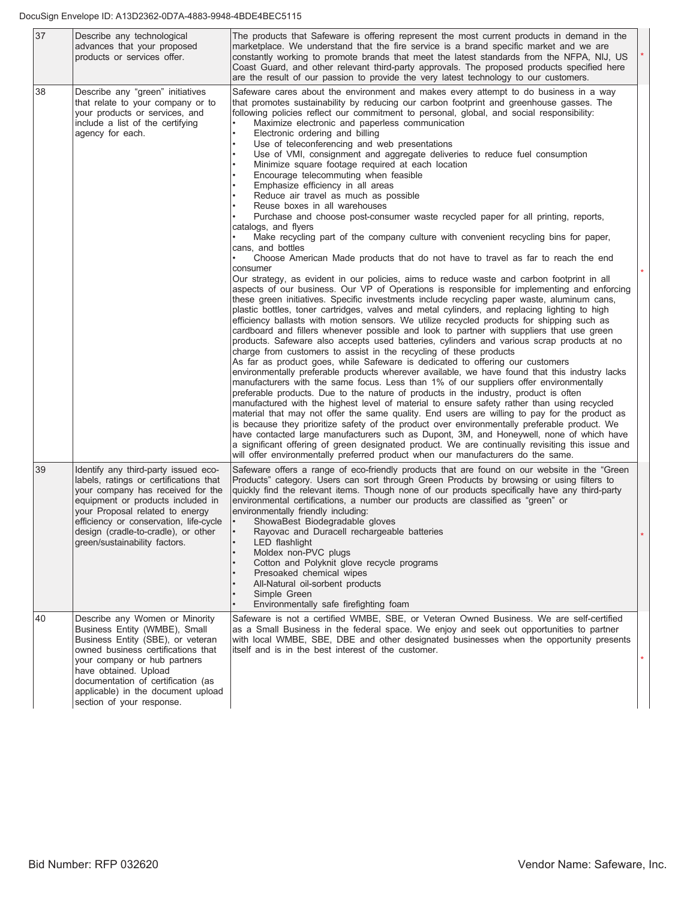| 37 | Describe any technological<br>advances that your proposed<br>products or services offer.                                                                                                                                                                                                                      | The products that Safeware is offering represent the most current products in demand in the<br>marketplace. We understand that the fire service is a brand specific market and we are<br>constantly working to promote brands that meet the latest standards from the NFPA, NIJ, US<br>Coast Guard, and other relevant third-party approvals. The proposed products specified here<br>are the result of our passion to provide the very latest technology to our customers.                                                                                                                                                                                                                                                                                                                                                                                                                                                                                                                                                                                                                                                                                                                                                                                                                                                                                                                                                                                                                                                                                                                                                                                                                                                                                                                                                                                                                                                                                                                                                                                                                                                                                                                                                                                                                                                                                                                                                                                                                                                                                                                                                                                                                                                                                     |  |
|----|---------------------------------------------------------------------------------------------------------------------------------------------------------------------------------------------------------------------------------------------------------------------------------------------------------------|-----------------------------------------------------------------------------------------------------------------------------------------------------------------------------------------------------------------------------------------------------------------------------------------------------------------------------------------------------------------------------------------------------------------------------------------------------------------------------------------------------------------------------------------------------------------------------------------------------------------------------------------------------------------------------------------------------------------------------------------------------------------------------------------------------------------------------------------------------------------------------------------------------------------------------------------------------------------------------------------------------------------------------------------------------------------------------------------------------------------------------------------------------------------------------------------------------------------------------------------------------------------------------------------------------------------------------------------------------------------------------------------------------------------------------------------------------------------------------------------------------------------------------------------------------------------------------------------------------------------------------------------------------------------------------------------------------------------------------------------------------------------------------------------------------------------------------------------------------------------------------------------------------------------------------------------------------------------------------------------------------------------------------------------------------------------------------------------------------------------------------------------------------------------------------------------------------------------------------------------------------------------------------------------------------------------------------------------------------------------------------------------------------------------------------------------------------------------------------------------------------------------------------------------------------------------------------------------------------------------------------------------------------------------------------------------------------------------------------------------------------------------|--|
| 38 | Describe any "green" initiatives<br>that relate to your company or to<br>your products or services, and<br>include a list of the certifying<br>agency for each.                                                                                                                                               | Safeware cares about the environment and makes every attempt to do business in a way<br>that promotes sustainability by reducing our carbon footprint and greenhouse gasses. The<br>following policies reflect our commitment to personal, global, and social responsibility:<br>Maximize electronic and paperless communication<br>Electronic ordering and billing<br>Use of teleconferencing and web presentations<br>Use of VMI, consignment and aggregate deliveries to reduce fuel consumption<br>Minimize square footage required at each location<br>Encourage telecommuting when feasible<br>Emphasize efficiency in all areas<br>Reduce air travel as much as possible<br>Reuse boxes in all warehouses<br>Purchase and choose post-consumer waste recycled paper for all printing, reports,<br>catalogs, and flyers<br>Make recycling part of the company culture with convenient recycling bins for paper,<br>cans, and bottles<br>Choose American Made products that do not have to travel as far to reach the end<br>consumer<br>Our strategy, as evident in our policies, aims to reduce waste and carbon footprint in all<br>aspects of our business. Our VP of Operations is responsible for implementing and enforcing<br>these green initiatives. Specific investments include recycling paper waste, aluminum cans,<br>plastic bottles, toner cartridges, valves and metal cylinders, and replacing lighting to high<br>efficiency ballasts with motion sensors. We utilize recycled products for shipping such as<br>cardboard and fillers whenever possible and look to partner with suppliers that use green<br>products. Safeware also accepts used batteries, cylinders and various scrap products at no<br>charge from customers to assist in the recycling of these products<br>As far as product goes, while Safeware is dedicated to offering our customers<br>environmentally preferable products wherever available, we have found that this industry lacks<br>manufacturers with the same focus. Less than 1% of our suppliers offer environmentally<br>preferable products. Due to the nature of products in the industry, product is often<br>manufactured with the highest level of material to ensure safety rather than using recycled<br>material that may not offer the same quality. End users are willing to pay for the product as<br>is because they prioritize safety of the product over environmentally preferable product. We<br>have contacted large manufacturers such as Dupont, 3M, and Honeywell, none of which have<br>a significant offering of green designated product. We are continually revisiting this issue and<br>will offer environmentally preferred product when our manufacturers do the same. |  |
| 39 | Identify any third-party issued eco-<br>labels, ratings or certifications that<br>your company has received for the<br>equipment or products included in<br>your Proposal related to energy<br>efficiency or conservation, life-cycle<br>design (cradle-to-cradle), or other<br>green/sustainability factors. | Safeware offers a range of eco-friendly products that are found on our website in the "Green"<br>Products" category. Users can sort through Green Products by browsing or using filters to<br>quickly find the relevant items. Though none of our products specifically have any third-party<br>environmental certifications, a number our products are classified as "green" or<br>environmentally friendly including:<br>ShowaBest Biodegradable gloves<br>Rayovac and Duracell rechargeable batteries<br>LED flashlight<br>Moldex non-PVC plugs<br>Cotton and Polyknit glove recycle programs<br>Presoaked chemical wipes<br>All-Natural oil-sorbent products<br>Simple Green<br>Environmentally safe firefighting foam                                                                                                                                                                                                                                                                                                                                                                                                                                                                                                                                                                                                                                                                                                                                                                                                                                                                                                                                                                                                                                                                                                                                                                                                                                                                                                                                                                                                                                                                                                                                                                                                                                                                                                                                                                                                                                                                                                                                                                                                                                      |  |
| 40 | Describe any Women or Minority<br>Business Entity (WMBE), Small<br>Business Entity (SBE), or veteran<br>owned business certifications that<br>your company or hub partners<br>have obtained. Upload<br>documentation of certification (as<br>applicable) in the document upload<br>section of your response.  | Safeware is not a certified WMBE, SBE, or Veteran Owned Business. We are self-certified<br>as a Small Business in the federal space. We enjoy and seek out opportunities to partner<br>with local WMBE, SBE, DBE and other designated businesses when the opportunity presents<br>itself and is in the best interest of the customer.                                                                                                                                                                                                                                                                                                                                                                                                                                                                                                                                                                                                                                                                                                                                                                                                                                                                                                                                                                                                                                                                                                                                                                                                                                                                                                                                                                                                                                                                                                                                                                                                                                                                                                                                                                                                                                                                                                                                                                                                                                                                                                                                                                                                                                                                                                                                                                                                                           |  |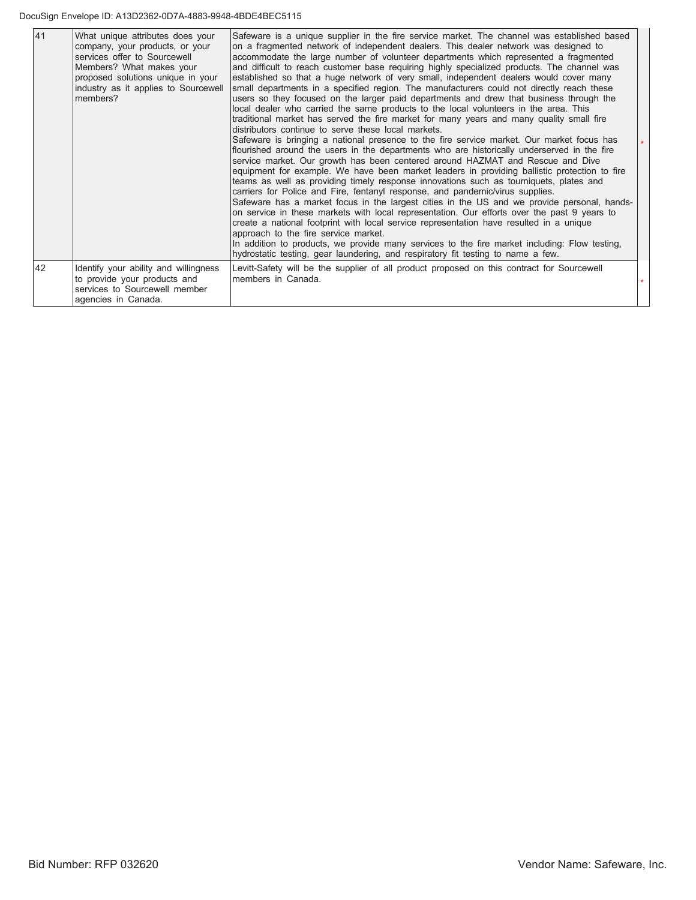#### DocuSign Envelope ID: A13D2362-0D7A-4883-9948-4BDE4BEC5115

| 41 | What unique attributes does your<br>company, your products, or your<br>services offer to Sourcewell<br>Members? What makes your<br>proposed solutions unique in your<br>industry as it applies to Sourcewell<br>members? | Safeware is a unique supplier in the fire service market. The channel was established based<br>on a fragmented network of independent dealers. This dealer network was designed to<br>accommodate the large number of volunteer departments which represented a fragmented<br>and difficult to reach customer base requiring highly specialized products. The channel was<br>established so that a huge network of very small, independent dealers would cover many<br>small departments in a specified region. The manufacturers could not directly reach these<br>users so they focused on the larger paid departments and drew that business through the<br>local dealer who carried the same products to the local volunteers in the area. This<br>traditional market has served the fire market for many years and many quality small fire<br>distributors continue to serve these local markets.<br>Safeware is bringing a national presence to the fire service market. Our market focus has<br>flourished around the users in the departments who are historically underserved in the fire<br>service market. Our growth has been centered around HAZMAT and Rescue and Dive<br>equipment for example. We have been market leaders in providing ballistic protection to fire<br>teams as well as providing timely response innovations such as tourniquets, plates and<br>carriers for Police and Fire, fentanyl response, and pandemic/virus supplies.<br>Safeware has a market focus in the largest cities in the US and we provide personal, hands-<br>on service in these markets with local representation. Our efforts over the past 9 years to<br>create a national footprint with local service representation have resulted in a unique<br>approach to the fire service market.<br>In addition to products, we provide many services to the fire market including: Flow testing,<br>hydrostatic testing, gear laundering, and respiratory fit testing to name a few. |  |
|----|--------------------------------------------------------------------------------------------------------------------------------------------------------------------------------------------------------------------------|---------------------------------------------------------------------------------------------------------------------------------------------------------------------------------------------------------------------------------------------------------------------------------------------------------------------------------------------------------------------------------------------------------------------------------------------------------------------------------------------------------------------------------------------------------------------------------------------------------------------------------------------------------------------------------------------------------------------------------------------------------------------------------------------------------------------------------------------------------------------------------------------------------------------------------------------------------------------------------------------------------------------------------------------------------------------------------------------------------------------------------------------------------------------------------------------------------------------------------------------------------------------------------------------------------------------------------------------------------------------------------------------------------------------------------------------------------------------------------------------------------------------------------------------------------------------------------------------------------------------------------------------------------------------------------------------------------------------------------------------------------------------------------------------------------------------------------------------------------------------------------------------------------------------------------------------------------------------------------------|--|
| 42 | Identify your ability and willingness<br>to provide your products and<br>services to Sourcewell member<br>agencies in Canada.                                                                                            | Levitt-Safety will be the supplier of all product proposed on this contract for Sourcewell<br>members in Canada.                                                                                                                                                                                                                                                                                                                                                                                                                                                                                                                                                                                                                                                                                                                                                                                                                                                                                                                                                                                                                                                                                                                                                                                                                                                                                                                                                                                                                                                                                                                                                                                                                                                                                                                                                                                                                                                                      |  |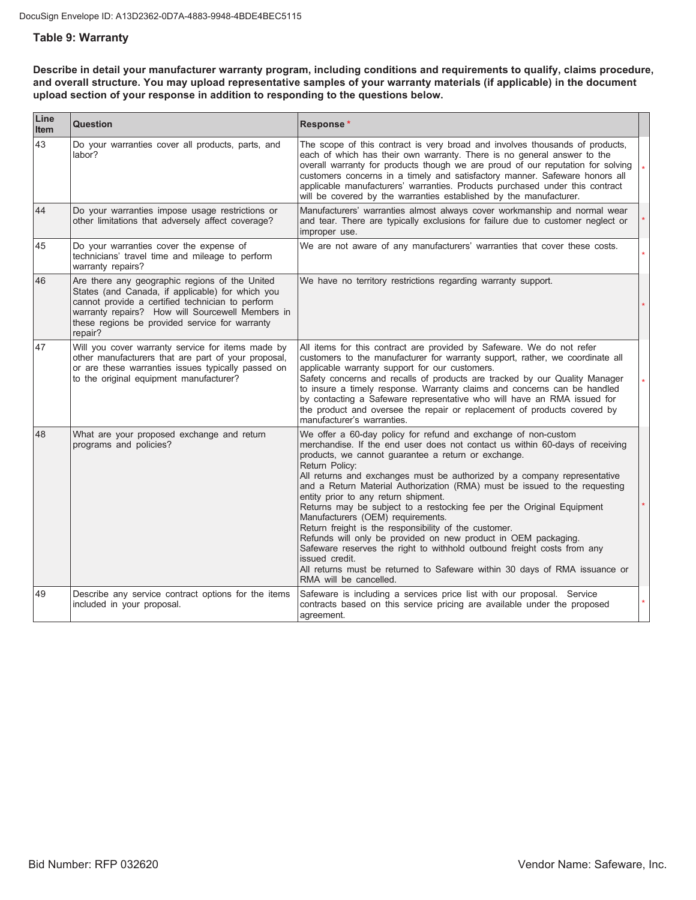#### **Table 9: Warranty**

Describe in detail your manufacturer warranty program, including conditions and requirements to qualify, claims procedure, and overall structure. You may upload representative samples of your warranty materials (if applicable) in the document upload section of your response in addition to responding to the questions below.

| Line<br>Item | Question                                                                                                                                                                                                                                                                | Response*                                                                                                                                                                                                                                                                                                                                                                                                                                                                                                                                                                                                                                                                                                                                                                                                                                                               |  |
|--------------|-------------------------------------------------------------------------------------------------------------------------------------------------------------------------------------------------------------------------------------------------------------------------|-------------------------------------------------------------------------------------------------------------------------------------------------------------------------------------------------------------------------------------------------------------------------------------------------------------------------------------------------------------------------------------------------------------------------------------------------------------------------------------------------------------------------------------------------------------------------------------------------------------------------------------------------------------------------------------------------------------------------------------------------------------------------------------------------------------------------------------------------------------------------|--|
| 43           | Do your warranties cover all products, parts, and<br>labor?                                                                                                                                                                                                             | The scope of this contract is very broad and involves thousands of products,<br>each of which has their own warranty. There is no general answer to the<br>overall warranty for products though we are proud of our reputation for solving<br>customers concerns in a timely and satisfactory manner. Safeware honors all<br>applicable manufacturers' warranties. Products purchased under this contract<br>will be covered by the warranties established by the manufacturer.                                                                                                                                                                                                                                                                                                                                                                                         |  |
| 44           | Do your warranties impose usage restrictions or<br>other limitations that adversely affect coverage?                                                                                                                                                                    | Manufacturers' warranties almost always cover workmanship and normal wear<br>and tear. There are typically exclusions for failure due to customer neglect or<br>improper use.                                                                                                                                                                                                                                                                                                                                                                                                                                                                                                                                                                                                                                                                                           |  |
| 45           | Do your warranties cover the expense of<br>technicians' travel time and mileage to perform<br>warranty repairs?                                                                                                                                                         | We are not aware of any manufacturers' warranties that cover these costs.                                                                                                                                                                                                                                                                                                                                                                                                                                                                                                                                                                                                                                                                                                                                                                                               |  |
| 46           | Are there any geographic regions of the United<br>States (and Canada, if applicable) for which you<br>cannot provide a certified technician to perform<br>warranty repairs? How will Sourcewell Members in<br>these regions be provided service for warranty<br>repair? | We have no territory restrictions regarding warranty support.                                                                                                                                                                                                                                                                                                                                                                                                                                                                                                                                                                                                                                                                                                                                                                                                           |  |
| 47           | Will you cover warranty service for items made by<br>other manufacturers that are part of your proposal,<br>or are these warranties issues typically passed on<br>to the original equipment manufacturer?                                                               | All items for this contract are provided by Safeware. We do not refer<br>customers to the manufacturer for warranty support, rather, we coordinate all<br>applicable warranty support for our customers.<br>Safety concerns and recalls of products are tracked by our Quality Manager<br>to insure a timely response. Warranty claims and concerns can be handled<br>by contacting a Safeware representative who will have an RMA issued for<br>the product and oversee the repair or replacement of products covered by<br>manufacturer's warranties.                                                                                                                                                                                                                                                                                                                 |  |
| 48           | What are your proposed exchange and return<br>programs and policies?                                                                                                                                                                                                    | We offer a 60-day policy for refund and exchange of non-custom<br>merchandise. If the end user does not contact us within 60-days of receiving<br>products, we cannot guarantee a return or exchange.<br>Return Policy:<br>All returns and exchanges must be authorized by a company representative<br>and a Return Material Authorization (RMA) must be issued to the requesting<br>entity prior to any return shipment.<br>Returns may be subject to a restocking fee per the Original Equipment<br>Manufacturers (OEM) requirements.<br>Return freight is the responsibility of the customer.<br>Refunds will only be provided on new product in OEM packaging.<br>Safeware reserves the right to withhold outbound freight costs from any<br>issued credit.<br>All returns must be returned to Safeware within 30 days of RMA issuance or<br>RMA will be cancelled. |  |
| 49           | Describe any service contract options for the items<br>included in your proposal.                                                                                                                                                                                       | Safeware is including a services price list with our proposal. Service<br>contracts based on this service pricing are available under the proposed<br>agreement.                                                                                                                                                                                                                                                                                                                                                                                                                                                                                                                                                                                                                                                                                                        |  |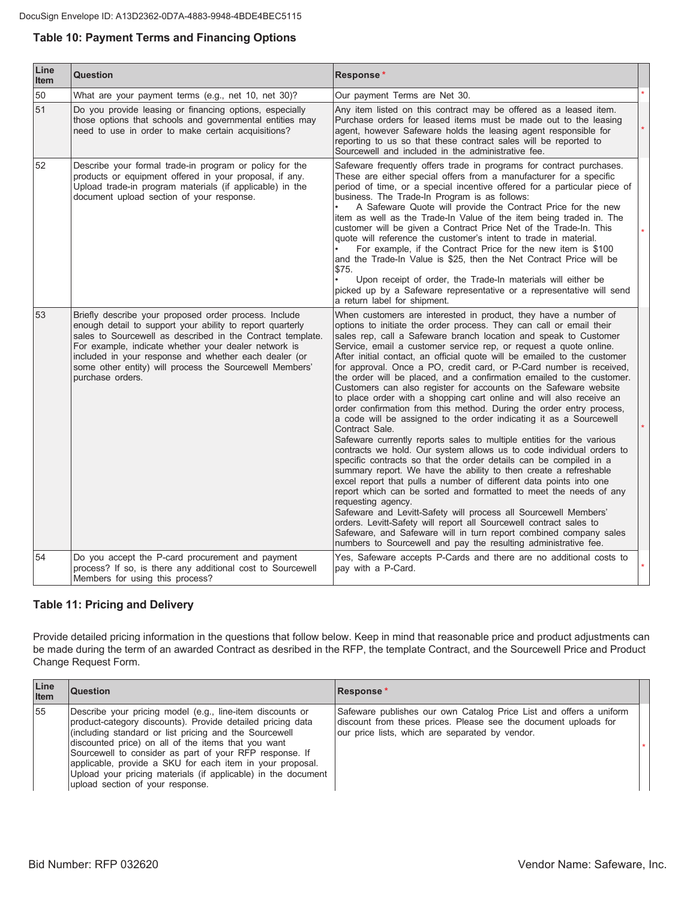## **Table 10: Payment Terms and Financing Options**

| Line<br>Item | <b>Question</b>                                                                                                                                                                                                                                                                                                                                                                  | Response*                                                                                                                                                                                                                                                                                                                                                                                                                                                                                                                                                                                                                                                                                                                                                                                                                                                                                                                                                                                                                                                                                                                                                                                                                                                                                                                                                                                                                                                                                                                                                          |  |
|--------------|----------------------------------------------------------------------------------------------------------------------------------------------------------------------------------------------------------------------------------------------------------------------------------------------------------------------------------------------------------------------------------|--------------------------------------------------------------------------------------------------------------------------------------------------------------------------------------------------------------------------------------------------------------------------------------------------------------------------------------------------------------------------------------------------------------------------------------------------------------------------------------------------------------------------------------------------------------------------------------------------------------------------------------------------------------------------------------------------------------------------------------------------------------------------------------------------------------------------------------------------------------------------------------------------------------------------------------------------------------------------------------------------------------------------------------------------------------------------------------------------------------------------------------------------------------------------------------------------------------------------------------------------------------------------------------------------------------------------------------------------------------------------------------------------------------------------------------------------------------------------------------------------------------------------------------------------------------------|--|
| 50           | What are your payment terms (e.g., net 10, net 30)?                                                                                                                                                                                                                                                                                                                              | Our payment Terms are Net 30.                                                                                                                                                                                                                                                                                                                                                                                                                                                                                                                                                                                                                                                                                                                                                                                                                                                                                                                                                                                                                                                                                                                                                                                                                                                                                                                                                                                                                                                                                                                                      |  |
| 51           | Do you provide leasing or financing options, especially<br>those options that schools and governmental entities may<br>need to use in order to make certain acquisitions?                                                                                                                                                                                                        | Any item listed on this contract may be offered as a leased item.<br>Purchase orders for leased items must be made out to the leasing<br>agent, however Safeware holds the leasing agent responsible for<br>reporting to us so that these contract sales will be reported to<br>Sourcewell and included in the administrative fee.                                                                                                                                                                                                                                                                                                                                                                                                                                                                                                                                                                                                                                                                                                                                                                                                                                                                                                                                                                                                                                                                                                                                                                                                                                 |  |
| 52           | Describe your formal trade-in program or policy for the<br>products or equipment offered in your proposal, if any.<br>Upload trade-in program materials (if applicable) in the<br>document upload section of your response.                                                                                                                                                      | Safeware frequently offers trade in programs for contract purchases.<br>These are either special offers from a manufacturer for a specific<br>period of time, or a special incentive offered for a particular piece of<br>business. The Trade-In Program is as follows:<br>A Safeware Quote will provide the Contract Price for the new<br>item as well as the Trade-In Value of the item being traded in. The<br>customer will be given a Contract Price Net of the Trade-In. This<br>quote will reference the customer's intent to trade in material.<br>For example, if the Contract Price for the new item is \$100<br>and the Trade-In Value is \$25, then the Net Contract Price will be<br>\$75.<br>Upon receipt of order, the Trade-In materials will either be<br>picked up by a Safeware representative or a representative will send<br>a return label for shipment.                                                                                                                                                                                                                                                                                                                                                                                                                                                                                                                                                                                                                                                                                    |  |
| 53           | Briefly describe your proposed order process. Include<br>enough detail to support your ability to report quarterly<br>sales to Sourcewell as described in the Contract template.<br>For example, indicate whether your dealer network is<br>included in your response and whether each dealer (or<br>some other entity) will process the Sourcewell Members'<br>purchase orders. | When customers are interested in product, they have a number of<br>options to initiate the order process. They can call or email their<br>sales rep, call a Safeware branch location and speak to Customer<br>Service, email a customer service rep, or request a quote online.<br>After initial contact, an official quote will be emailed to the customer<br>for approval. Once a PO, credit card, or P-Card number is received,<br>the order will be placed, and a confirmation emailed to the customer.<br>Customers can also register for accounts on the Safeware website<br>to place order with a shopping cart online and will also receive an<br>order confirmation from this method. During the order entry process,<br>a code will be assigned to the order indicating it as a Sourcewell<br>Contract Sale.<br>Safeware currently reports sales to multiple entities for the various<br>contracts we hold. Our system allows us to code individual orders to<br>specific contracts so that the order details can be compiled in a<br>summary report. We have the ability to then create a refreshable<br>excel report that pulls a number of different data points into one<br>report which can be sorted and formatted to meet the needs of any<br>requesting agency.<br>Safeware and Levitt-Safety will process all Sourcewell Members'<br>orders. Levitt-Safety will report all Sourcewell contract sales to<br>Safeware, and Safeware will in turn report combined company sales<br>numbers to Sourcewell and pay the resulting administrative fee. |  |
| 54           | Do you accept the P-card procurement and payment<br>process? If so, is there any additional cost to Sourcewell<br>Members for using this process?                                                                                                                                                                                                                                | Yes, Safeware accepts P-Cards and there are no additional costs to<br>pay with a P-Card.                                                                                                                                                                                                                                                                                                                                                                                                                                                                                                                                                                                                                                                                                                                                                                                                                                                                                                                                                                                                                                                                                                                                                                                                                                                                                                                                                                                                                                                                           |  |

#### **Table 11: Pricing and Delivery**

Provide detailed pricing information in the questions that follow below. Keep in mind that reasonable price and product adjustments can be made during the term of an awarded Contract as desribed in the RFP, the template Contract, and the Sourcewell Price and Product Change Request Form.

| Line<br><b>Item</b> | <b>Question</b>                                                                                                                                                                                                                                                                                                                                                                                                                                                       | Response*                                                                                                                                                                                |  |
|---------------------|-----------------------------------------------------------------------------------------------------------------------------------------------------------------------------------------------------------------------------------------------------------------------------------------------------------------------------------------------------------------------------------------------------------------------------------------------------------------------|------------------------------------------------------------------------------------------------------------------------------------------------------------------------------------------|--|
| 55                  | Describe your pricing model (e.g., line-item discounts or<br>product-category discounts). Provide detailed pricing data<br>(including standard or list pricing and the Sourcewell<br>discounted price) on all of the items that you want<br>Sourcewell to consider as part of your RFP response. If<br>applicable, provide a SKU for each item in your proposal.<br>Upload your pricing materials (if applicable) in the document<br>upload section of your response. | Safeware publishes our own Catalog Price List and offers a uniform<br>discount from these prices. Please see the document uploads for<br>our price lists, which are separated by vendor. |  |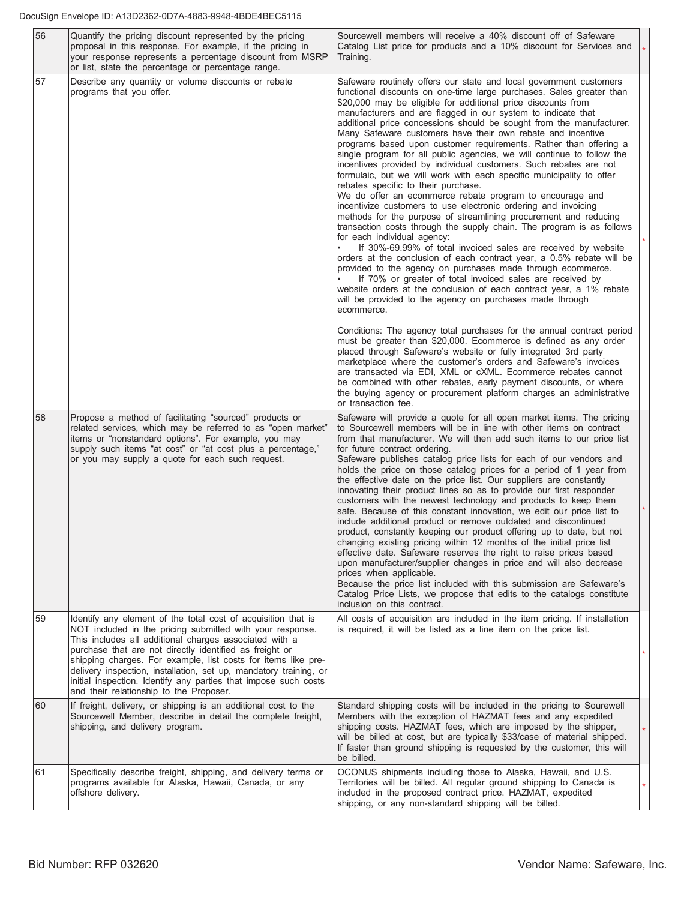| 56<br>Quantify the pricing discount represented by the pricing<br>proposal in this response. For example, if the pricing in<br>your response represents a percentage discount from MSRP<br>or list, state the percentage or percentage range. |    |                                                                                                                                                                                                                                                                                                                                                                                                                                                                                                     | Sourcewell members will receive a 40% discount off of Safeware<br>Catalog List price for products and a 10% discount for Services and<br>Training.                                                                                                                                                                                                                                                                                                                                                                                                                                                                                                                                                                                                                                                                                                                                                                                                                                                                                                                                                                                                                                                                                                                                                                                                                                                                                                                                    |         |
|-----------------------------------------------------------------------------------------------------------------------------------------------------------------------------------------------------------------------------------------------|----|-----------------------------------------------------------------------------------------------------------------------------------------------------------------------------------------------------------------------------------------------------------------------------------------------------------------------------------------------------------------------------------------------------------------------------------------------------------------------------------------------------|---------------------------------------------------------------------------------------------------------------------------------------------------------------------------------------------------------------------------------------------------------------------------------------------------------------------------------------------------------------------------------------------------------------------------------------------------------------------------------------------------------------------------------------------------------------------------------------------------------------------------------------------------------------------------------------------------------------------------------------------------------------------------------------------------------------------------------------------------------------------------------------------------------------------------------------------------------------------------------------------------------------------------------------------------------------------------------------------------------------------------------------------------------------------------------------------------------------------------------------------------------------------------------------------------------------------------------------------------------------------------------------------------------------------------------------------------------------------------------------|---------|
|                                                                                                                                                                                                                                               | 57 | Describe any quantity or volume discounts or rebate<br>programs that you offer.                                                                                                                                                                                                                                                                                                                                                                                                                     | Safeware routinely offers our state and local government customers<br>functional discounts on one-time large purchases. Sales greater than<br>\$20,000 may be eligible for additional price discounts from<br>manufacturers and are flagged in our system to indicate that<br>additional price concessions should be sought from the manufacturer.<br>Many Safeware customers have their own rebate and incentive<br>programs based upon customer requirements. Rather than offering a<br>single program for all public agencies, we will continue to follow the<br>incentives provided by individual customers. Such rebates are not<br>formulaic, but we will work with each specific municipality to offer<br>rebates specific to their purchase.<br>We do offer an ecommerce rebate program to encourage and<br>incentivize customers to use electronic ordering and invoicing<br>methods for the purpose of streamlining procurement and reducing<br>transaction costs through the supply chain. The program is as follows<br>for each individual agency:<br>If 30%-69.99% of total invoiced sales are received by website<br>orders at the conclusion of each contract year, a 0.5% rebate will be<br>provided to the agency on purchases made through ecommerce.<br>If 70% or greater of total invoiced sales are received by<br>website orders at the conclusion of each contract year, a 1% rebate<br>will be provided to the agency on purchases made through<br>ecommerce. |         |
|                                                                                                                                                                                                                                               |    |                                                                                                                                                                                                                                                                                                                                                                                                                                                                                                     | Conditions: The agency total purchases for the annual contract period<br>must be greater than \$20,000. Ecommerce is defined as any order<br>placed through Safeware's website or fully integrated 3rd party<br>marketplace where the customer's orders and Safeware's invoices<br>are transacted via EDI, XML or cXML. Ecommerce rebates cannot<br>be combined with other rebates, early payment discounts, or where<br>the buying agency or procurement platform charges an administrative<br>or transaction fee.                                                                                                                                                                                                                                                                                                                                                                                                                                                                                                                                                                                                                                                                                                                                                                                                                                                                                                                                                                   |         |
|                                                                                                                                                                                                                                               | 58 | Propose a method of facilitating "sourced" products or<br>related services, which may be referred to as "open market"<br>items or "nonstandard options". For example, you may<br>supply such items "at cost" or "at cost plus a percentage,"<br>or you may supply a quote for each such request.                                                                                                                                                                                                    | Safeware will provide a quote for all open market items. The pricing<br>to Sourcewell members will be in line with other items on contract<br>from that manufacturer. We will then add such items to our price list<br>for future contract ordering.<br>Safeware publishes catalog price lists for each of our vendors and<br>holds the price on those catalog prices for a period of 1 year from<br>the effective date on the price list. Our suppliers are constantly<br>innovating their product lines so as to provide our first responder<br>customers with the newest technology and products to keep them<br>safe. Because of this constant innovation, we edit our price list to<br>include additional product or remove outdated and discontinued<br>product, constantly keeping our product offering up to date, but not<br>changing existing pricing within 12 months of the initial price list<br>effective date. Safeware reserves the right to raise prices based<br>upon manufacturer/supplier changes in price and will also decrease<br>prices when applicable.<br>Because the price list included with this submission are Safeware's<br>Catalog Price Lists, we propose that edits to the catalogs constitute<br>inclusion on this contract.                                                                                                                                                                                                                       |         |
|                                                                                                                                                                                                                                               | 59 | Identify any element of the total cost of acquisition that is<br>NOT included in the pricing submitted with your response.<br>This includes all additional charges associated with a<br>purchase that are not directly identified as freight or<br>shipping charges. For example, list costs for items like pre-<br>delivery inspection, installation, set up, mandatory training, or<br>initial inspection. Identify any parties that impose such costs<br>and their relationship to the Proposer. | All costs of acquisition are included in the item pricing. If installation<br>is required, it will be listed as a line item on the price list.                                                                                                                                                                                                                                                                                                                                                                                                                                                                                                                                                                                                                                                                                                                                                                                                                                                                                                                                                                                                                                                                                                                                                                                                                                                                                                                                        | $\star$ |
|                                                                                                                                                                                                                                               | 60 | If freight, delivery, or shipping is an additional cost to the<br>Sourcewell Member, describe in detail the complete freight,<br>shipping, and delivery program.                                                                                                                                                                                                                                                                                                                                    | Standard shipping costs will be included in the pricing to Sourewell<br>Members with the exception of HAZMAT fees and any expedited<br>shipping costs. HAZMAT fees, which are imposed by the shipper,<br>will be billed at cost, but are typically \$33/case of material shipped.<br>If faster than ground shipping is requested by the customer, this will<br>be billed.                                                                                                                                                                                                                                                                                                                                                                                                                                                                                                                                                                                                                                                                                                                                                                                                                                                                                                                                                                                                                                                                                                             | $\star$ |
|                                                                                                                                                                                                                                               | 61 | Specifically describe freight, shipping, and delivery terms or<br>programs available for Alaska, Hawaii, Canada, or any<br>offshore delivery.                                                                                                                                                                                                                                                                                                                                                       | OCONUS shipments including those to Alaska, Hawaii, and U.S.<br>Territories will be billed. All regular ground shipping to Canada is<br>included in the proposed contract price. HAZMAT, expedited<br>shipping, or any non-standard shipping will be billed.                                                                                                                                                                                                                                                                                                                                                                                                                                                                                                                                                                                                                                                                                                                                                                                                                                                                                                                                                                                                                                                                                                                                                                                                                          | $\star$ |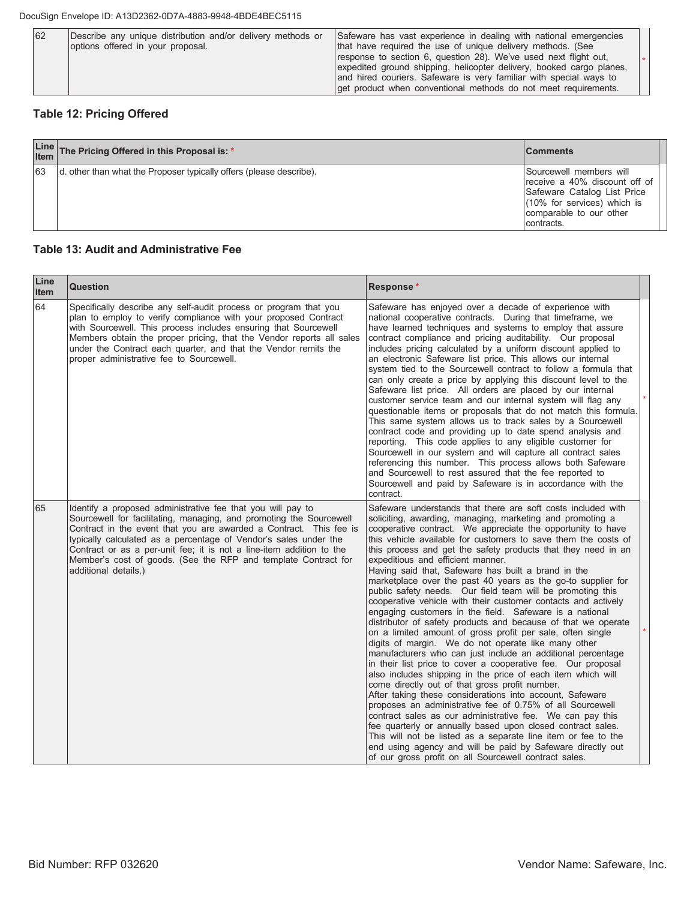| Describe any unique distribution and/or delivery methods or<br>62<br>options offered in your proposal. | Safeware has vast experience in dealing with national emergencies<br>that have required the use of unique delivery methods. (See<br>response to section 6, question 28). We've used next flight out,<br>expedited ground shipping, helicopter delivery, booked cargo planes,<br>and hired couriers. Safeware is very familiar with special ways to<br>get product when conventional methods do not meet requirements. |
|--------------------------------------------------------------------------------------------------------|-----------------------------------------------------------------------------------------------------------------------------------------------------------------------------------------------------------------------------------------------------------------------------------------------------------------------------------------------------------------------------------------------------------------------|
|--------------------------------------------------------------------------------------------------------|-----------------------------------------------------------------------------------------------------------------------------------------------------------------------------------------------------------------------------------------------------------------------------------------------------------------------------------------------------------------------------------------------------------------------|

## **Table 12: Pricing Offered**

|    | Line The Pricing Offered in this Proposal is: *                     | <b>Comments</b>                                                                                                                                                    |
|----|---------------------------------------------------------------------|--------------------------------------------------------------------------------------------------------------------------------------------------------------------|
| 63 | d. other than what the Proposer typically offers (please describe). | Sourcewell members will<br>receive a 40% discount off of<br>Safeware Catalog List Price<br>$(10\%$ for services) which is<br>comparable to our other<br>contracts. |

#### **Table 13: Audit and Administrative Fee**

| Line<br><b>Item</b> | <b>Question</b>                                                                                                                                                                                                                                                                                                                                                                                                                                | Response*                                                                                                                                                                                                                                                                                                                                                                                                                                                                                                                                                                                                                                                                                                                                                                                                                                                                                                                                                                                                                                                                                                                                                                                                                                                                                                                                                                                                                                                                                                                                                            |  |
|---------------------|------------------------------------------------------------------------------------------------------------------------------------------------------------------------------------------------------------------------------------------------------------------------------------------------------------------------------------------------------------------------------------------------------------------------------------------------|----------------------------------------------------------------------------------------------------------------------------------------------------------------------------------------------------------------------------------------------------------------------------------------------------------------------------------------------------------------------------------------------------------------------------------------------------------------------------------------------------------------------------------------------------------------------------------------------------------------------------------------------------------------------------------------------------------------------------------------------------------------------------------------------------------------------------------------------------------------------------------------------------------------------------------------------------------------------------------------------------------------------------------------------------------------------------------------------------------------------------------------------------------------------------------------------------------------------------------------------------------------------------------------------------------------------------------------------------------------------------------------------------------------------------------------------------------------------------------------------------------------------------------------------------------------------|--|
| 64                  | Specifically describe any self-audit process or program that you<br>plan to employ to verify compliance with your proposed Contract<br>with Sourcewell. This process includes ensuring that Sourcewell<br>Members obtain the proper pricing, that the Vendor reports all sales<br>under the Contract each quarter, and that the Vendor remits the<br>proper administrative fee to Sourcewell.                                                  | Safeware has enjoyed over a decade of experience with<br>national cooperative contracts. During that timeframe, we<br>have learned techniques and systems to employ that assure<br>contract compliance and pricing auditability. Our proposal<br>includes pricing calculated by a uniform discount applied to<br>an electronic Safeware list price. This allows our internal<br>system tied to the Sourcewell contract to follow a formula that<br>can only create a price by applying this discount level to the<br>Safeware list price. All orders are placed by our internal<br>customer service team and our internal system will flag any<br>questionable items or proposals that do not match this formula.<br>This same system allows us to track sales by a Sourcewell<br>contract code and providing up to date spend analysis and<br>reporting. This code applies to any eligible customer for<br>Sourcewell in our system and will capture all contract sales<br>referencing this number. This process allows both Safeware<br>and Sourcewell to rest assured that the fee reported to<br>Sourcewell and paid by Safeware is in accordance with the<br>contract.                                                                                                                                                                                                                                                                                                                                                                                          |  |
| 65                  | Identify a proposed administrative fee that you will pay to<br>Sourcewell for facilitating, managing, and promoting the Sourcewell<br>Contract in the event that you are awarded a Contract. This fee is<br>typically calculated as a percentage of Vendor's sales under the<br>Contract or as a per-unit fee; it is not a line-item addition to the<br>Member's cost of goods. (See the RFP and template Contract for<br>additional details.) | Safeware understands that there are soft costs included with<br>soliciting, awarding, managing, marketing and promoting a<br>cooperative contract. We appreciate the opportunity to have<br>this vehicle available for customers to save them the costs of<br>this process and get the safety products that they need in an<br>expeditious and efficient manner.<br>Having said that, Safeware has built a brand in the<br>marketplace over the past 40 years as the go-to supplier for<br>public safety needs. Our field team will be promoting this<br>cooperative vehicle with their customer contacts and actively<br>engaging customers in the field. Safeware is a national<br>distributor of safety products and because of that we operate<br>on a limited amount of gross profit per sale, often single<br>digits of margin. We do not operate like many other<br>manufacturers who can just include an additional percentage<br>in their list price to cover a cooperative fee. Our proposal<br>also includes shipping in the price of each item which will<br>come directly out of that gross profit number.<br>After taking these considerations into account, Safeware<br>proposes an administrative fee of 0.75% of all Sourcewell<br>contract sales as our administrative fee. We can pay this<br>fee quarterly or annually based upon closed contract sales.<br>This will not be listed as a separate line item or fee to the<br>end using agency and will be paid by Safeware directly out<br>of our gross profit on all Sourcewell contract sales. |  |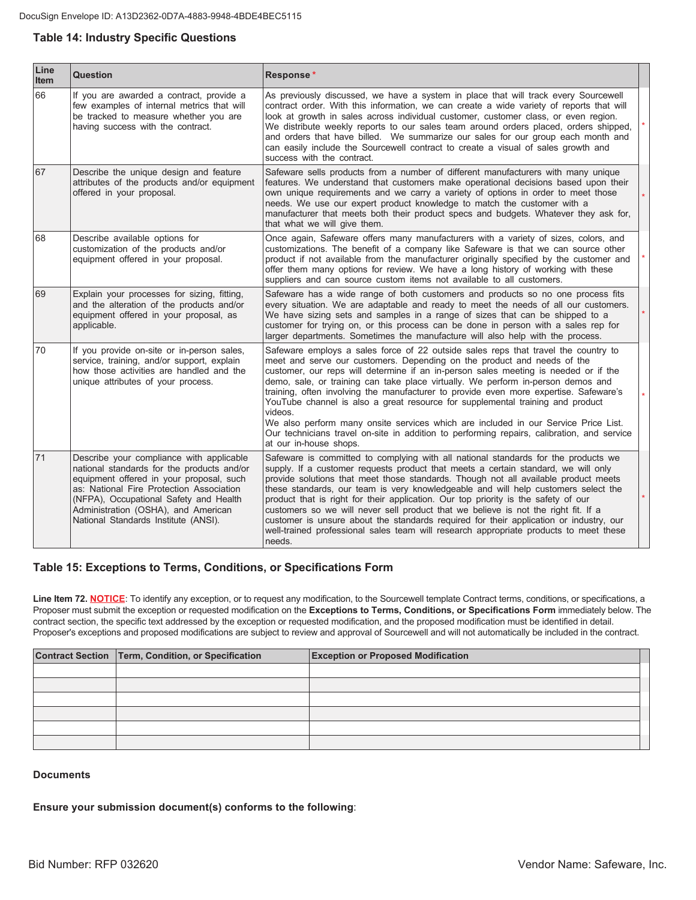## **Table 14: Industry Specific Questions**

| Line<br>Item | Question                                                                                                                                                                                                                                                                                                | Response*                                                                                                                                                                                                                                                                                                                                                                                                                                                                                                                                                                                                                                                                                                                                    |  |
|--------------|---------------------------------------------------------------------------------------------------------------------------------------------------------------------------------------------------------------------------------------------------------------------------------------------------------|----------------------------------------------------------------------------------------------------------------------------------------------------------------------------------------------------------------------------------------------------------------------------------------------------------------------------------------------------------------------------------------------------------------------------------------------------------------------------------------------------------------------------------------------------------------------------------------------------------------------------------------------------------------------------------------------------------------------------------------------|--|
| 66           | If you are awarded a contract, provide a<br>few examples of internal metrics that will<br>be tracked to measure whether you are<br>having success with the contract.                                                                                                                                    | As previously discussed, we have a system in place that will track every Sourcewell<br>contract order. With this information, we can create a wide variety of reports that will<br>look at growth in sales across individual customer, customer class, or even region.<br>We distribute weekly reports to our sales team around orders placed, orders shipped,<br>and orders that have billed. We summarize our sales for our group each month and<br>can easily include the Sourcewell contract to create a visual of sales growth and<br>success with the contract.                                                                                                                                                                        |  |
| 67           | Describe the unique design and feature<br>attributes of the products and/or equipment<br>offered in your proposal.                                                                                                                                                                                      | Safeware sells products from a number of different manufacturers with many unique<br>features. We understand that customers make operational decisions based upon their<br>own unique requirements and we carry a variety of options in order to meet those<br>needs. We use our expert product knowledge to match the customer with a<br>manufacturer that meets both their product specs and budgets. Whatever they ask for,<br>that what we will give them.                                                                                                                                                                                                                                                                               |  |
| 68           | Describe available options for<br>customization of the products and/or<br>equipment offered in your proposal.                                                                                                                                                                                           | Once again, Safeware offers many manufacturers with a variety of sizes, colors, and<br>customizations. The benefit of a company like Safeware is that we can source other<br>product if not available from the manufacturer originally specified by the customer and<br>offer them many options for review. We have a long history of working with these<br>suppliers and can source custom items not available to all customers.                                                                                                                                                                                                                                                                                                            |  |
| 69           | Explain your processes for sizing, fitting,<br>and the alteration of the products and/or<br>equipment offered in your proposal, as<br>applicable.                                                                                                                                                       | Safeware has a wide range of both customers and products so no one process fits<br>every situation. We are adaptable and ready to meet the needs of all our customers.<br>We have sizing sets and samples in a range of sizes that can be shipped to a<br>customer for trying on, or this process can be done in person with a sales rep for<br>larger departments. Sometimes the manufacture will also help with the process.                                                                                                                                                                                                                                                                                                               |  |
| 70           | If you provide on-site or in-person sales,<br>service, training, and/or support, explain<br>how those activities are handled and the<br>unique attributes of your process.                                                                                                                              | Safeware employs a sales force of 22 outside sales reps that travel the country to<br>meet and serve our customers. Depending on the product and needs of the<br>customer, our reps will determine if an in-person sales meeting is needed or if the<br>demo, sale, or training can take place virtually. We perform in-person demos and<br>training, often involving the manufacturer to provide even more expertise. Safeware's<br>YouTube channel is also a great resource for supplemental training and product<br>videos.<br>We also perform many onsite services which are included in our Service Price List.<br>Our technicians travel on-site in addition to performing repairs, calibration, and service<br>at our in-house shops. |  |
| 71           | Describe your compliance with applicable<br>national standards for the products and/or<br>equipment offered in your proposal, such<br>as: National Fire Protection Association<br>(NFPA), Occupational Safety and Health<br>Administration (OSHA), and American<br>National Standards Institute (ANSI). | Safeware is committed to complying with all national standards for the products we<br>supply. If a customer requests product that meets a certain standard, we will only<br>provide solutions that meet those standards. Though not all available product meets<br>these standards, our team is very knowledgeable and will help customers select the<br>product that is right for their application. Our top priority is the safety of our<br>customers so we will never sell product that we believe is not the right fit. If a<br>customer is unsure about the standards required for their application or industry, our<br>well-trained professional sales team will research appropriate products to meet these<br>needs.               |  |

#### Table 15: Exceptions to Terms, Conditions, or Specifications Form

Line Item 72. **NOTICE**: To identify any exception, or to request any modification, to the Sourcewell template Contract terms, conditions, or specifications, a Proposer must submit the exception or requested modification on the Exceptions to Terms, Conditions, or Specifications Form immediately below. The contract section, the specific text addressed by the exception or requested modification, and the proposed modification must be identified in detail. Proposer's exceptions and proposed modifications are subject to review and approval of Sourcewell and will not automatically be included in the contract.

| Contract Section Term, Condition, or Specification | <b>Exception or Proposed Modification</b> |
|----------------------------------------------------|-------------------------------------------|
|                                                    |                                           |
|                                                    |                                           |
|                                                    |                                           |
|                                                    |                                           |
|                                                    |                                           |
|                                                    |                                           |

#### Documents

Ensure your submission document(s) conforms to the following: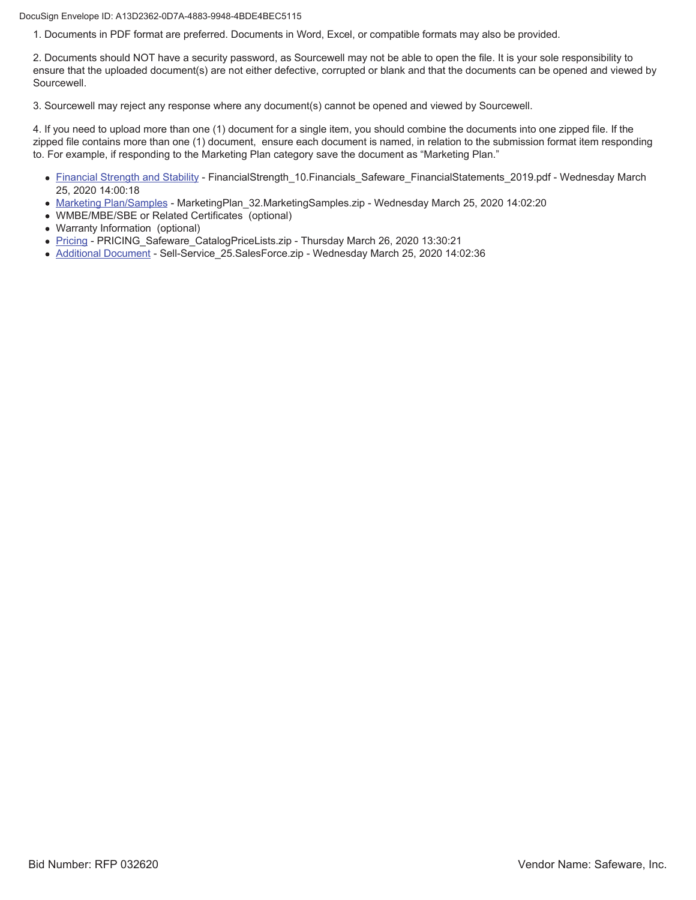DocuSign Envelope ID: A13D2362-0D7A-4883-9948-4BDE4BEC5115

1. Documents in PDF format are preferred. Documents in Word, Excel, or compatible formats may also be provided.

2. Documents should NOT have a security password, as Sourcewell may not be able to open the file. It is your sole responsibility to ensure that the uploaded document(s) are not either defective, corrupted or blank and that the documents can be opened and viewed by Sourcewell.

3. Sourcewell may reject any response where any document(s) cannot be opened and viewed by Sourcewell.

4. If you need to upload more than one (1) document for a single item, you should combine the documents into one zipped file. If the zipped file contains more than one (1) document, ensure each document is named, in relation to the submission format item responding to. For example, if responding to the Marketing Plan category save the document as "Marketing Plan."

- Financial Strength and Stability FinancialStrength\_10.Financials\_Safeware\_FinancialStatements\_2019.pdf Wednesday March 25, 2020 14:00:18
- Marketing Plan/Samples MarketingPlan 32.MarketingSamples.zip Wednesday March 25, 2020 14:02:20
- WMBE/MBE/SBE or Related Certificates (optional)
- Warranty Information (optional)
- Pricing PRICING\_Safeware\_CatalogPriceLists.zip Thursday March 26, 2020 13:30:21
- Additional Document Sell-Service 25.SalesForce.zip Wednesday March 25, 2020 14:02:36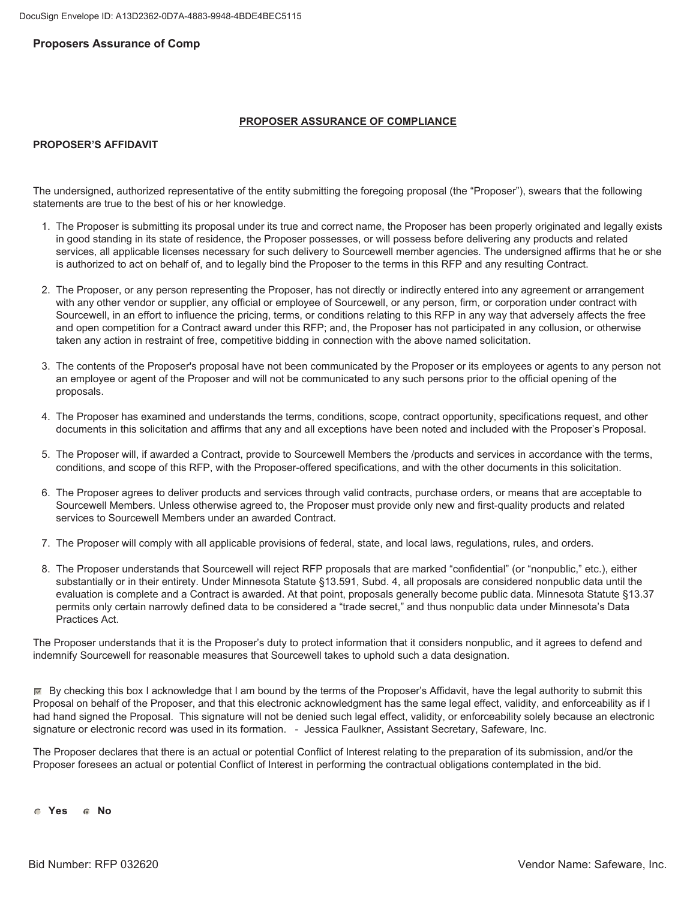#### **Proposers Assurance of Comp**

#### **PROPOSER ASSURANCE OF COMPLIANCE**

#### **PROPOSER'S AFFIDAVIT**

The undersigned, authorized representative of the entity submitting the foregoing proposal (the "Proposer"), swears that the following statements are true to the best of his or her knowledge.

- 1. The Proposer is submitting its proposal under its true and correct name, the Proposer has been properly originated and legally exists in good standing in its state of residence, the Proposer possesses, or will possess before delivering any products and related services, all applicable licenses necessary for such delivery to Sourcewell member agencies. The undersigned affirms that he or she is authorized to act on behalf of, and to legally bind the Proposer to the terms in this RFP and any resulting Contract.
- 2. The Proposer, or any person representing the Proposer, has not directly or indirectly entered into any agreement or arrangement with any other vendor or supplier, any official or employee of Sourcewell, or any person, firm, or corporation under contract with Sourcewell, in an effort to influence the pricing, terms, or conditions relating to this RFP in any way that adversely affects the free and open competition for a Contract award under this RFP; and, the Proposer has not participated in any collusion, or otherwise taken any action in restraint of free, competitive bidding in connection with the above named solicitation.
- 3. The contents of the Proposer's proposal have not been communicated by the Proposer or its employees or agents to any person not an employee or agent of the Proposer and will not be communicated to any such persons prior to the official opening of the proposals.
- 4. The Proposer has examined and understands the terms, conditions, scope, contract opportunity, specifications request, and other documents in this solicitation and affirms that any and all exceptions have been noted and included with the Proposer's Proposal.
- 5. The Proposer will, if awarded a Contract, provide to Sourcewell Members the /products and services in accordance with the terms, conditions, and scope of this RFP, with the Proposer-offered specifications, and with the other documents in this solicitation.
- 6. The Proposer agrees to deliver products and services through valid contracts, purchase orders, or means that are acceptable to Sourcewell Members. Unless otherwise agreed to, the Proposer must provide only new and first-guality products and related services to Sourcewell Members under an awarded Contract.
- 7. The Proposer will comply with all applicable provisions of federal, state, and local laws, regulations, rules, and orders.
- 8. The Proposer understands that Sourcewell will reject RFP proposals that are marked "confidential" (or "nonpublic," etc.), either substantially or in their entirety. Under Minnesota Statute §13.591, Subd. 4, all proposals are considered nonpublic data until the evaluation is complete and a Contract is awarded. At that point, proposals generally become public data. Minnesota Statute §13.37 permits only certain narrowly defined data to be considered a "trade secret," and thus nonpublic data under Minnesota's Data Practices Act.

The Proposer understands that it is the Proposer's duty to protect information that it considers nonpublic, and it agrees to defend and indemnify Sourcewell for reasonable measures that Sourcewell takes to uphold such a data designation.

 $\mathbb F$  By checking this box I acknowledge that I am bound by the terms of the Proposer's Affidavit, have the legal authority to submit this Proposal on behalf of the Proposer, and that this electronic acknowledgment has the same legal effect, validity, and enforceability as if I had hand signed the Proposal. This signature will not be denied such legal effect, validity, or enforceability solely because an electronic signature or electronic record was used in its formation. - Jessica Faulkner, Assistant Secretary, Safeware, Inc.

The Proposer declares that there is an actual or potential Conflict of Interest relating to the preparation of its submission, and/or the Proposer foresees an actual or potential Conflict of Interest in performing the contractual obligations contemplated in the bid.

**C** Yes **C** No